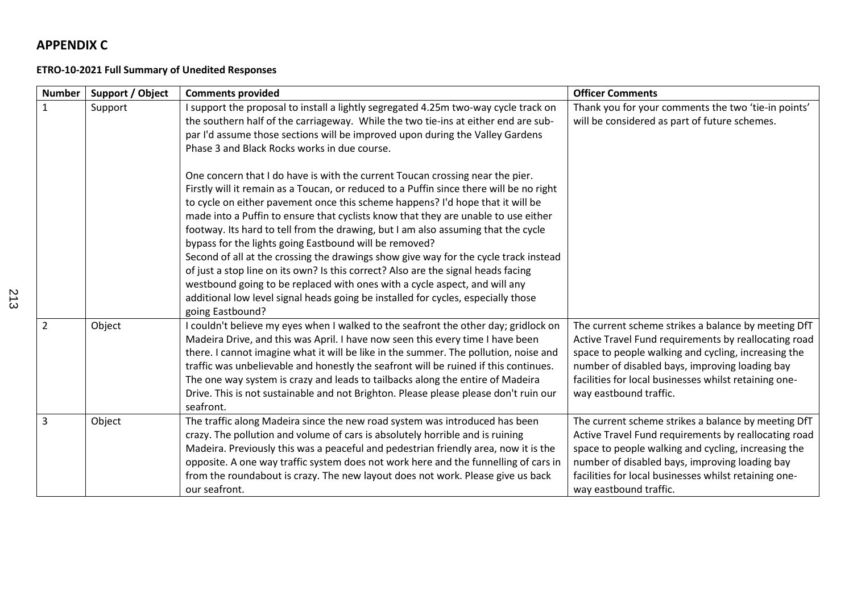## **APPENDIX C**

## **ETRO-10-2021 Full Summary of Unedited Responses**

| <b>Number</b>  | Support / Object | <b>Comments provided</b>                                                                                                                                                                                                                                                                                                                                                                                                                                                                                                                                                                                                                                                                                                                                                                                                                                            | <b>Officer Comments</b>                                                                                                                                                                                                                                                                                 |
|----------------|------------------|---------------------------------------------------------------------------------------------------------------------------------------------------------------------------------------------------------------------------------------------------------------------------------------------------------------------------------------------------------------------------------------------------------------------------------------------------------------------------------------------------------------------------------------------------------------------------------------------------------------------------------------------------------------------------------------------------------------------------------------------------------------------------------------------------------------------------------------------------------------------|---------------------------------------------------------------------------------------------------------------------------------------------------------------------------------------------------------------------------------------------------------------------------------------------------------|
| $\mathbf{1}$   | Support          | I support the proposal to install a lightly segregated 4.25m two-way cycle track on<br>the southern half of the carriageway. While the two tie-ins at either end are sub-<br>par I'd assume those sections will be improved upon during the Valley Gardens<br>Phase 3 and Black Rocks works in due course.                                                                                                                                                                                                                                                                                                                                                                                                                                                                                                                                                          | Thank you for your comments the two 'tie-in points'<br>will be considered as part of future schemes.                                                                                                                                                                                                    |
|                |                  | One concern that I do have is with the current Toucan crossing near the pier.<br>Firstly will it remain as a Toucan, or reduced to a Puffin since there will be no right<br>to cycle on either pavement once this scheme happens? I'd hope that it will be<br>made into a Puffin to ensure that cyclists know that they are unable to use either<br>footway. Its hard to tell from the drawing, but I am also assuming that the cycle<br>bypass for the lights going Eastbound will be removed?<br>Second of all at the crossing the drawings show give way for the cycle track instead<br>of just a stop line on its own? Is this correct? Also are the signal heads facing<br>westbound going to be replaced with ones with a cycle aspect, and will any<br>additional low level signal heads going be installed for cycles, especially those<br>going Eastbound? |                                                                                                                                                                                                                                                                                                         |
| $\overline{2}$ | Object           | I couldn't believe my eyes when I walked to the seafront the other day; gridlock on<br>Madeira Drive, and this was April. I have now seen this every time I have been<br>there. I cannot imagine what it will be like in the summer. The pollution, noise and<br>traffic was unbelievable and honestly the seafront will be ruined if this continues.<br>The one way system is crazy and leads to tailbacks along the entire of Madeira<br>Drive. This is not sustainable and not Brighton. Please please please don't ruin our<br>seafront.                                                                                                                                                                                                                                                                                                                        | The current scheme strikes a balance by meeting DfT<br>Active Travel Fund requirements by reallocating road<br>space to people walking and cycling, increasing the<br>number of disabled bays, improving loading bay<br>facilities for local businesses whilst retaining one-<br>way eastbound traffic. |
| 3              | Object           | The traffic along Madeira since the new road system was introduced has been<br>crazy. The pollution and volume of cars is absolutely horrible and is ruining<br>Madeira. Previously this was a peaceful and pedestrian friendly area, now it is the<br>opposite. A one way traffic system does not work here and the funnelling of cars in<br>from the roundabout is crazy. The new layout does not work. Please give us back<br>our seafront.                                                                                                                                                                                                                                                                                                                                                                                                                      | The current scheme strikes a balance by meeting DfT<br>Active Travel Fund requirements by reallocating road<br>space to people walking and cycling, increasing the<br>number of disabled bays, improving loading bay<br>facilities for local businesses whilst retaining one-<br>way eastbound traffic. |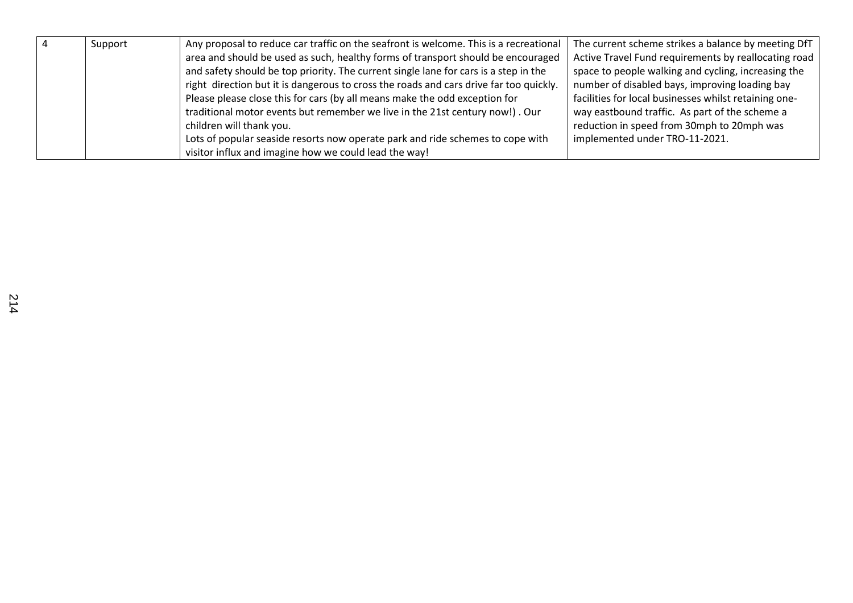| $\sqrt{4}$ | Support | Any proposal to reduce car traffic on the seafront is welcome. This is a recreational  | The current scheme strikes a balance by meeting DfT   |
|------------|---------|----------------------------------------------------------------------------------------|-------------------------------------------------------|
|            |         | area and should be used as such, healthy forms of transport should be encouraged       | Active Travel Fund requirements by reallocating road  |
|            |         | and safety should be top priority. The current single lane for cars is a step in the   | space to people walking and cycling, increasing the   |
|            |         | right direction but it is dangerous to cross the roads and cars drive far too quickly. | number of disabled bays, improving loading bay        |
|            |         | Please please close this for cars (by all means make the odd exception for             | facilities for local businesses whilst retaining one- |
|            |         | traditional motor events but remember we live in the 21st century now!). Our           | way eastbound traffic. As part of the scheme a        |
|            |         | children will thank you.                                                               | reduction in speed from 30mph to 20mph was            |
|            |         | Lots of popular seaside resorts now operate park and ride schemes to cope with         | implemented under TRO-11-2021.                        |
|            |         | visitor influx and imagine how we could lead the way!                                  |                                                       |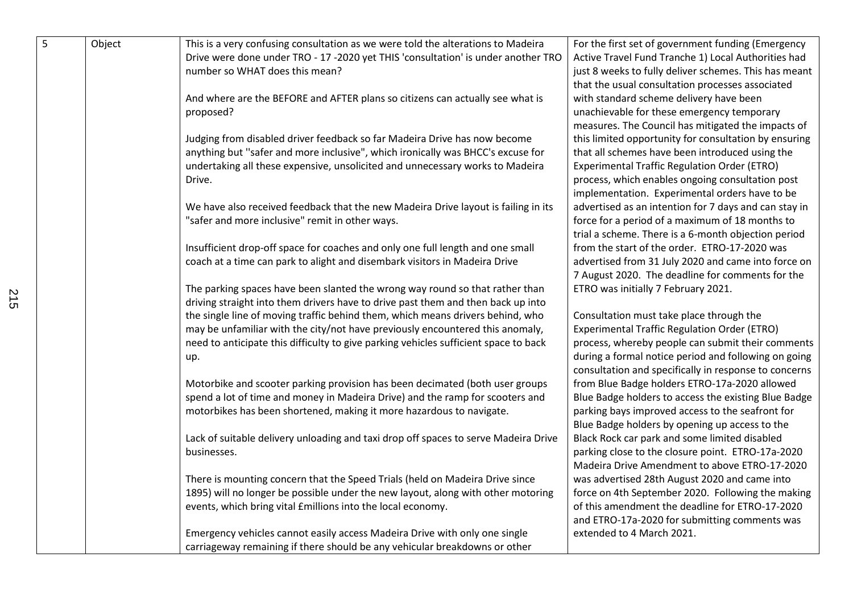| Drive were done under TRO - 17 -2020 yet THIS 'consultation' is under another TRO<br>Active Travel Fund Tranche 1) Local Authorities had<br>number so WHAT does this mean?<br>just 8 weeks to fully deliver schemes. This has meant<br>that the usual consultation processes associated<br>And where are the BEFORE and AFTER plans so citizens can actually see what is<br>with standard scheme delivery have been<br>proposed?<br>unachievable for these emergency temporary |  |
|--------------------------------------------------------------------------------------------------------------------------------------------------------------------------------------------------------------------------------------------------------------------------------------------------------------------------------------------------------------------------------------------------------------------------------------------------------------------------------|--|
|                                                                                                                                                                                                                                                                                                                                                                                                                                                                                |  |
|                                                                                                                                                                                                                                                                                                                                                                                                                                                                                |  |
|                                                                                                                                                                                                                                                                                                                                                                                                                                                                                |  |
|                                                                                                                                                                                                                                                                                                                                                                                                                                                                                |  |
|                                                                                                                                                                                                                                                                                                                                                                                                                                                                                |  |
| measures. The Council has mitigated the impacts of                                                                                                                                                                                                                                                                                                                                                                                                                             |  |
| Judging from disabled driver feedback so far Madeira Drive has now become<br>this limited opportunity for consultation by ensuring                                                                                                                                                                                                                                                                                                                                             |  |
| anything but "safer and more inclusive", which ironically was BHCC's excuse for<br>that all schemes have been introduced using the                                                                                                                                                                                                                                                                                                                                             |  |
| undertaking all these expensive, unsolicited and unnecessary works to Madeira<br><b>Experimental Traffic Regulation Order (ETRO)</b>                                                                                                                                                                                                                                                                                                                                           |  |
| Drive.<br>process, which enables ongoing consultation post                                                                                                                                                                                                                                                                                                                                                                                                                     |  |
| implementation. Experimental orders have to be                                                                                                                                                                                                                                                                                                                                                                                                                                 |  |
| advertised as an intention for 7 days and can stay in<br>We have also received feedback that the new Madeira Drive layout is failing in its                                                                                                                                                                                                                                                                                                                                    |  |
| "safer and more inclusive" remit in other ways.<br>force for a period of a maximum of 18 months to                                                                                                                                                                                                                                                                                                                                                                             |  |
| trial a scheme. There is a 6-month objection period                                                                                                                                                                                                                                                                                                                                                                                                                            |  |
| Insufficient drop-off space for coaches and only one full length and one small<br>from the start of the order. ETRO-17-2020 was                                                                                                                                                                                                                                                                                                                                                |  |
| coach at a time can park to alight and disembark visitors in Madeira Drive<br>advertised from 31 July 2020 and came into force on                                                                                                                                                                                                                                                                                                                                              |  |
| 7 August 2020. The deadline for comments for the                                                                                                                                                                                                                                                                                                                                                                                                                               |  |
| The parking spaces have been slanted the wrong way round so that rather than<br>ETRO was initially 7 February 2021.                                                                                                                                                                                                                                                                                                                                                            |  |
| driving straight into them drivers have to drive past them and then back up into                                                                                                                                                                                                                                                                                                                                                                                               |  |
| the single line of moving traffic behind them, which means drivers behind, who<br>Consultation must take place through the                                                                                                                                                                                                                                                                                                                                                     |  |
| may be unfamiliar with the city/not have previously encountered this anomaly,<br><b>Experimental Traffic Regulation Order (ETRO)</b>                                                                                                                                                                                                                                                                                                                                           |  |
| need to anticipate this difficulty to give parking vehicles sufficient space to back<br>process, whereby people can submit their comments                                                                                                                                                                                                                                                                                                                                      |  |
| during a formal notice period and following on going<br>up.                                                                                                                                                                                                                                                                                                                                                                                                                    |  |
| consultation and specifically in response to concerns                                                                                                                                                                                                                                                                                                                                                                                                                          |  |
| from Blue Badge holders ETRO-17a-2020 allowed<br>Motorbike and scooter parking provision has been decimated (both user groups                                                                                                                                                                                                                                                                                                                                                  |  |
| spend a lot of time and money in Madeira Drive) and the ramp for scooters and<br>Blue Badge holders to access the existing Blue Badge                                                                                                                                                                                                                                                                                                                                          |  |
| motorbikes has been shortened, making it more hazardous to navigate.<br>parking bays improved access to the seafront for                                                                                                                                                                                                                                                                                                                                                       |  |
| Blue Badge holders by opening up access to the                                                                                                                                                                                                                                                                                                                                                                                                                                 |  |
| Lack of suitable delivery unloading and taxi drop off spaces to serve Madeira Drive<br>Black Rock car park and some limited disabled                                                                                                                                                                                                                                                                                                                                           |  |
| parking close to the closure point. ETRO-17a-2020<br>businesses.                                                                                                                                                                                                                                                                                                                                                                                                               |  |
| Madeira Drive Amendment to above ETRO-17-2020                                                                                                                                                                                                                                                                                                                                                                                                                                  |  |
| There is mounting concern that the Speed Trials (held on Madeira Drive since<br>was advertised 28th August 2020 and came into                                                                                                                                                                                                                                                                                                                                                  |  |
| 1895) will no longer be possible under the new layout, along with other motoring<br>force on 4th September 2020. Following the making                                                                                                                                                                                                                                                                                                                                          |  |
| events, which bring vital £millions into the local economy.<br>of this amendment the deadline for ETRO-17-2020                                                                                                                                                                                                                                                                                                                                                                 |  |
| and ETRO-17a-2020 for submitting comments was                                                                                                                                                                                                                                                                                                                                                                                                                                  |  |
| Emergency vehicles cannot easily access Madeira Drive with only one single<br>extended to 4 March 2021.                                                                                                                                                                                                                                                                                                                                                                        |  |
| carriageway remaining if there should be any vehicular breakdowns or other                                                                                                                                                                                                                                                                                                                                                                                                     |  |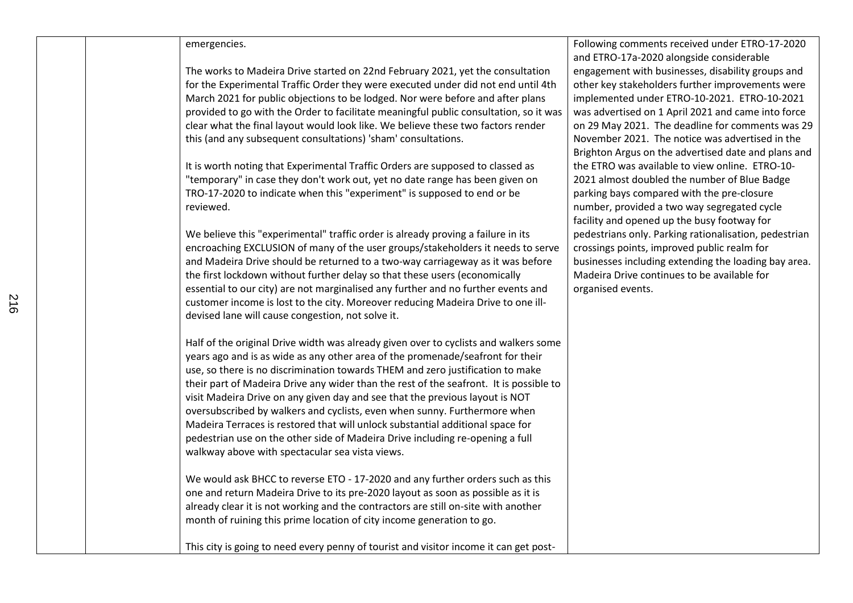## emergencies.

The works to Madeira Drive started on 22nd February 2021, yet the consultation for the Experimental Traffic Order they were executed under did not end until 4th March 2021 for public objections to be lodged. Nor were before and after plans provided to go with the Order to facilitate meaningful public consultation, so it was clear what the final layout would look like. We believe these two factors render this (and any subsequent consultations) 'sham' consultations.

It is worth noting that Experimental Traffic Orders are supposed to classed as "temporary" in case they don't work out, yet no date range has been given on TRO-17-2020 to indicate when this "experiment" is supposed to end or be reviewed.

We believe this "experimental" traffic order is already proving a failure in its encroaching EXCLUSION of many of the user groups/stakeholders it needs to serve and Madeira Drive should be returned to a two-way carriageway as it was before the first lockdown without further delay so that these users (economically essential to our city) are not marginalised any further and no further events and customer income is lost to the city. Moreover reducing Madeira Drive to one illdevised lane will cause congestion, not solve it.

Half of the original Drive width was already given over to cyclists and walkers some years ago and is as wide as any other area of the promenade/seafront for their use, so there is no discrimination towards THEM and zero justification to make their part of Madeira Drive any wider than the rest of the seafront. It is possible to visit Madeira Drive on any given day and see that the previous layout is NOT oversubscribed by walkers and cyclists, even when sunny. Furthermore when Madeira Terraces is restored that will unlock substantial additional space for pedestrian use on the other side of Madeira Drive including re-opening a full walkway above with spectacular sea vista views.

We would ask BHCC to reverse ETO - 17-2020 and any further orders such as this one and return Madeira Drive to its pre-2020 layout as soon as possible as it is already clear it is not working and the contractors are still on-site with another month of ruining this prime location of city income generation to go.

This city is going to need every penny of tourist and visitor income it can get post-

Following comments received under ETRO-17-2020 and ETRO-17a-2020 alongside considerable engagement with businesses, disability groups and other key stakeholders further improvements were implemented under ETRO-10-2021. ETRO-10-2021 was advertised on 1 April 2021 and came into force on 29 May 2021. The deadline for comments was 29 November 2021. The notice was advertised in the Brighton Argus on the advertised date and plans and the ETRO was available to view online. ETRO-10- 2021 almost doubled the number of Blue Badge parking bays compared with the pre-closure number, provided a two way segregated cycle facility and opened up the busy footway for pedestrians only. Parking rationalisation, pedestrian crossings points, improved public realm for businesses including extending the loading bay area. Madeira Drive continues to be available for organised events.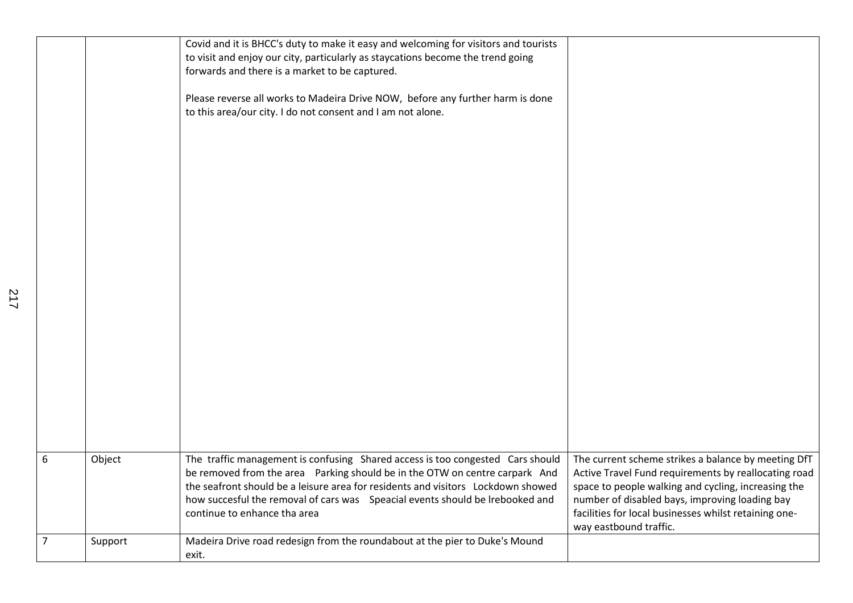|                |         | Covid and it is BHCC's duty to make it easy and welcoming for visitors and tourists |                                                       |
|----------------|---------|-------------------------------------------------------------------------------------|-------------------------------------------------------|
|                |         | to visit and enjoy our city, particularly as staycations become the trend going     |                                                       |
|                |         | forwards and there is a market to be captured.                                      |                                                       |
|                |         |                                                                                     |                                                       |
|                |         | Please reverse all works to Madeira Drive NOW, before any further harm is done      |                                                       |
|                |         | to this area/our city. I do not consent and I am not alone.                         |                                                       |
|                |         |                                                                                     |                                                       |
|                |         |                                                                                     |                                                       |
|                |         |                                                                                     |                                                       |
|                |         |                                                                                     |                                                       |
|                |         |                                                                                     |                                                       |
|                |         |                                                                                     |                                                       |
|                |         |                                                                                     |                                                       |
|                |         |                                                                                     |                                                       |
|                |         |                                                                                     |                                                       |
|                |         |                                                                                     |                                                       |
|                |         |                                                                                     |                                                       |
|                |         |                                                                                     |                                                       |
|                |         |                                                                                     |                                                       |
|                |         |                                                                                     |                                                       |
|                |         |                                                                                     |                                                       |
|                |         |                                                                                     |                                                       |
|                |         |                                                                                     |                                                       |
|                |         |                                                                                     |                                                       |
|                |         |                                                                                     |                                                       |
|                |         |                                                                                     |                                                       |
|                |         |                                                                                     |                                                       |
|                |         |                                                                                     |                                                       |
|                |         |                                                                                     |                                                       |
|                |         |                                                                                     |                                                       |
| 6              | Object  | The traffic management is confusing Shared access is too congested Cars should      | The current scheme strikes a balance by meeting DfT   |
|                |         | be removed from the area Parking should be in the OTW on centre carpark And         | Active Travel Fund requirements by reallocating road  |
|                |         | the seafront should be a leisure area for residents and visitors Lockdown showed    | space to people walking and cycling, increasing the   |
|                |         | how succesful the removal of cars was Speacial events should be Irebooked and       | number of disabled bays, improving loading bay        |
|                |         | continue to enhance tha area                                                        | facilities for local businesses whilst retaining one- |
|                |         |                                                                                     | way eastbound traffic.                                |
| $\overline{7}$ | Support | Madeira Drive road redesign from the roundabout at the pier to Duke's Mound         |                                                       |
|                |         | exit.                                                                               |                                                       |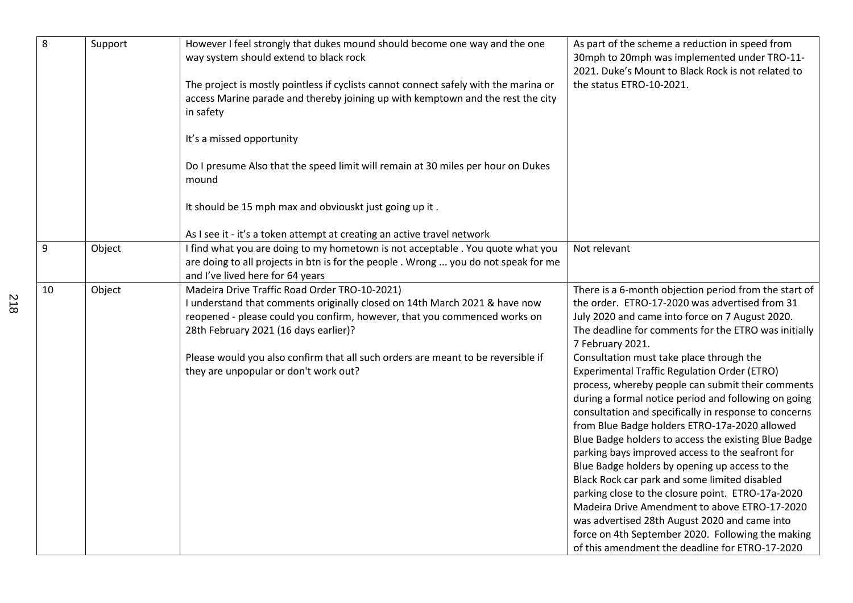| $\overline{8}$ | Support | However I feel strongly that dukes mound should become one way and the one<br>way system should extend to black rock<br>The project is mostly pointless if cyclists cannot connect safely with the marina or<br>access Marine parade and thereby joining up with kemptown and the rest the city<br>in safety<br>It's a missed opportunity<br>Do I presume Also that the speed limit will remain at 30 miles per hour on Dukes<br>mound | As part of the scheme a reduction in speed from<br>30mph to 20mph was implemented under TRO-11-<br>2021. Duke's Mount to Black Rock is not related to<br>the status ETRO-10-2021.                                                                                                                                                                                                                                                                                                                                                                                                                                                                                                                                                                                                                                                                                                                                                                                                                                                              |
|----------------|---------|----------------------------------------------------------------------------------------------------------------------------------------------------------------------------------------------------------------------------------------------------------------------------------------------------------------------------------------------------------------------------------------------------------------------------------------|------------------------------------------------------------------------------------------------------------------------------------------------------------------------------------------------------------------------------------------------------------------------------------------------------------------------------------------------------------------------------------------------------------------------------------------------------------------------------------------------------------------------------------------------------------------------------------------------------------------------------------------------------------------------------------------------------------------------------------------------------------------------------------------------------------------------------------------------------------------------------------------------------------------------------------------------------------------------------------------------------------------------------------------------|
|                |         | It should be 15 mph max and obviouskt just going up it.<br>As I see it - it's a token attempt at creating an active travel network                                                                                                                                                                                                                                                                                                     |                                                                                                                                                                                                                                                                                                                                                                                                                                                                                                                                                                                                                                                                                                                                                                                                                                                                                                                                                                                                                                                |
| $\overline{9}$ | Object  | I find what you are doing to my hometown is not acceptable. You quote what you<br>are doing to all projects in btn is for the people. Wrong  you do not speak for me<br>and I've lived here for 64 years                                                                                                                                                                                                                               | Not relevant                                                                                                                                                                                                                                                                                                                                                                                                                                                                                                                                                                                                                                                                                                                                                                                                                                                                                                                                                                                                                                   |
| 10             | Object  | Madeira Drive Traffic Road Order TRO-10-2021)<br>I understand that comments originally closed on 14th March 2021 & have now<br>reopened - please could you confirm, however, that you commenced works on<br>28th February 2021 (16 days earlier)?<br>Please would you also confirm that all such orders are meant to be reversible if<br>they are unpopular or don't work out?                                                         | There is a 6-month objection period from the start of<br>the order. ETRO-17-2020 was advertised from 31<br>July 2020 and came into force on 7 August 2020.<br>The deadline for comments for the ETRO was initially<br>7 February 2021.<br>Consultation must take place through the<br><b>Experimental Traffic Regulation Order (ETRO)</b><br>process, whereby people can submit their comments<br>during a formal notice period and following on going<br>consultation and specifically in response to concerns<br>from Blue Badge holders ETRO-17a-2020 allowed<br>Blue Badge holders to access the existing Blue Badge<br>parking bays improved access to the seafront for<br>Blue Badge holders by opening up access to the<br>Black Rock car park and some limited disabled<br>parking close to the closure point. ETRO-17a-2020<br>Madeira Drive Amendment to above ETRO-17-2020<br>was advertised 28th August 2020 and came into<br>force on 4th September 2020. Following the making<br>of this amendment the deadline for ETRO-17-2020 |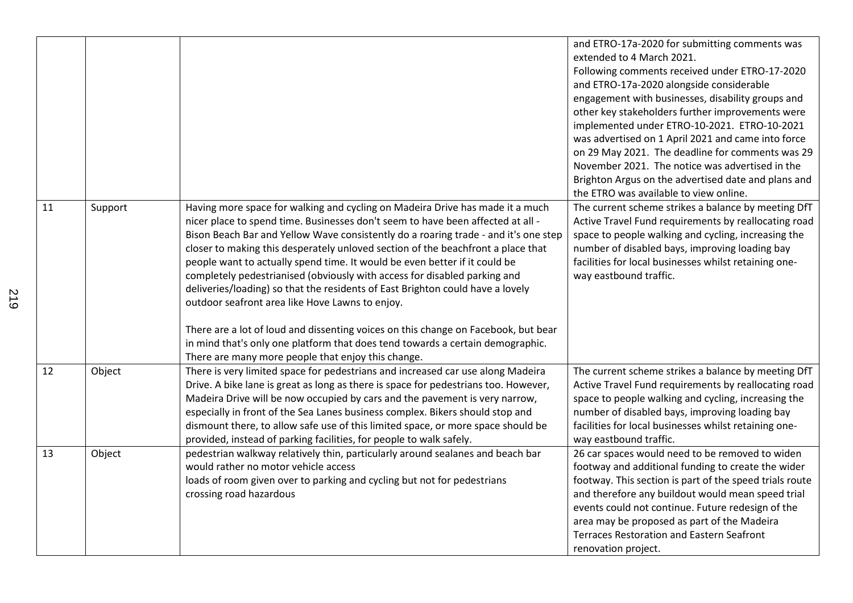|    |         |                                                                                                                                                                                                                                                                                                                                                                                                                                                                                                                                                                                                                                                                                                                                   | and ETRO-17a-2020 for submitting comments was<br>extended to 4 March 2021.<br>Following comments received under ETRO-17-2020<br>and ETRO-17a-2020 alongside considerable<br>engagement with businesses, disability groups and<br>other key stakeholders further improvements were<br>implemented under ETRO-10-2021. ETRO-10-2021                                                                    |
|----|---------|-----------------------------------------------------------------------------------------------------------------------------------------------------------------------------------------------------------------------------------------------------------------------------------------------------------------------------------------------------------------------------------------------------------------------------------------------------------------------------------------------------------------------------------------------------------------------------------------------------------------------------------------------------------------------------------------------------------------------------------|------------------------------------------------------------------------------------------------------------------------------------------------------------------------------------------------------------------------------------------------------------------------------------------------------------------------------------------------------------------------------------------------------|
|    |         |                                                                                                                                                                                                                                                                                                                                                                                                                                                                                                                                                                                                                                                                                                                                   | was advertised on 1 April 2021 and came into force<br>on 29 May 2021. The deadline for comments was 29                                                                                                                                                                                                                                                                                               |
|    |         |                                                                                                                                                                                                                                                                                                                                                                                                                                                                                                                                                                                                                                                                                                                                   | November 2021. The notice was advertised in the<br>Brighton Argus on the advertised date and plans and                                                                                                                                                                                                                                                                                               |
|    |         |                                                                                                                                                                                                                                                                                                                                                                                                                                                                                                                                                                                                                                                                                                                                   | the ETRO was available to view online.                                                                                                                                                                                                                                                                                                                                                               |
| 11 | Support | Having more space for walking and cycling on Madeira Drive has made it a much<br>nicer place to spend time. Businesses don't seem to have been affected at all -<br>Bison Beach Bar and Yellow Wave consistently do a roaring trade - and it's one step<br>closer to making this desperately unloved section of the beachfront a place that<br>people want to actually spend time. It would be even better if it could be<br>completely pedestrianised (obviously with access for disabled parking and<br>deliveries/loading) so that the residents of East Brighton could have a lovely<br>outdoor seafront area like Hove Lawns to enjoy.<br>There are a lot of loud and dissenting voices on this change on Facebook, but bear | The current scheme strikes a balance by meeting DfT<br>Active Travel Fund requirements by reallocating road<br>space to people walking and cycling, increasing the<br>number of disabled bays, improving loading bay<br>facilities for local businesses whilst retaining one-<br>way eastbound traffic.                                                                                              |
|    |         | in mind that's only one platform that does tend towards a certain demographic.<br>There are many more people that enjoy this change.                                                                                                                                                                                                                                                                                                                                                                                                                                                                                                                                                                                              |                                                                                                                                                                                                                                                                                                                                                                                                      |
| 12 | Object  | There is very limited space for pedestrians and increased car use along Madeira<br>Drive. A bike lane is great as long as there is space for pedestrians too. However,<br>Madeira Drive will be now occupied by cars and the pavement is very narrow,<br>especially in front of the Sea Lanes business complex. Bikers should stop and<br>dismount there, to allow safe use of this limited space, or more space should be<br>provided, instead of parking facilities, for people to walk safely.                                                                                                                                                                                                                                 | The current scheme strikes a balance by meeting DfT<br>Active Travel Fund requirements by reallocating road<br>space to people walking and cycling, increasing the<br>number of disabled bays, improving loading bay<br>facilities for local businesses whilst retaining one-<br>way eastbound traffic.                                                                                              |
| 13 | Object  | pedestrian walkway relatively thin, particularly around sealanes and beach bar<br>would rather no motor vehicle access<br>loads of room given over to parking and cycling but not for pedestrians<br>crossing road hazardous                                                                                                                                                                                                                                                                                                                                                                                                                                                                                                      | 26 car spaces would need to be removed to widen<br>footway and additional funding to create the wider<br>footway. This section is part of the speed trials route<br>and therefore any buildout would mean speed trial<br>events could not continue. Future redesign of the<br>area may be proposed as part of the Madeira<br><b>Terraces Restoration and Eastern Seafront</b><br>renovation project. |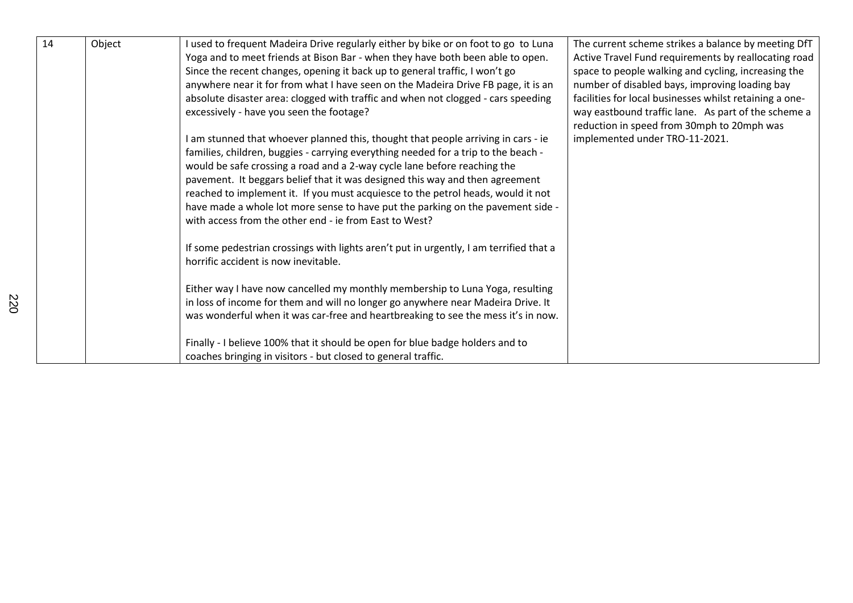| 14 | Object | I used to frequent Madeira Drive regularly either by bike or on foot to go to Luna<br>Yoga and to meet friends at Bison Bar - when they have both been able to open. | The current scheme strikes a balance by meeting DfT<br>Active Travel Fund requirements by reallocating road |
|----|--------|----------------------------------------------------------------------------------------------------------------------------------------------------------------------|-------------------------------------------------------------------------------------------------------------|
|    |        | Since the recent changes, opening it back up to general traffic, I won't go                                                                                          | space to people walking and cycling, increasing the                                                         |
|    |        | anywhere near it for from what I have seen on the Madeira Drive FB page, it is an                                                                                    | number of disabled bays, improving loading bay                                                              |
|    |        | absolute disaster area: clogged with traffic and when not clogged - cars speeding                                                                                    | facilities for local businesses whilst retaining a one-                                                     |
|    |        | excessively - have you seen the footage?                                                                                                                             | way eastbound traffic lane. As part of the scheme a                                                         |
|    |        |                                                                                                                                                                      | reduction in speed from 30mph to 20mph was                                                                  |
|    |        | I am stunned that whoever planned this, thought that people arriving in cars - ie                                                                                    | implemented under TRO-11-2021.                                                                              |
|    |        | families, children, buggies - carrying everything needed for a trip to the beach -                                                                                   |                                                                                                             |
|    |        | would be safe crossing a road and a 2-way cycle lane before reaching the                                                                                             |                                                                                                             |
|    |        | pavement. It beggars belief that it was designed this way and then agreement                                                                                         |                                                                                                             |
|    |        | reached to implement it. If you must acquiesce to the petrol heads, would it not                                                                                     |                                                                                                             |
|    |        | have made a whole lot more sense to have put the parking on the pavement side -                                                                                      |                                                                                                             |
|    |        | with access from the other end - ie from East to West?                                                                                                               |                                                                                                             |
|    |        | If some pedestrian crossings with lights aren't put in urgently, I am terrified that a                                                                               |                                                                                                             |
|    |        | horrific accident is now inevitable.                                                                                                                                 |                                                                                                             |
|    |        | Either way I have now cancelled my monthly membership to Luna Yoga, resulting                                                                                        |                                                                                                             |
|    |        | in loss of income for them and will no longer go anywhere near Madeira Drive. It                                                                                     |                                                                                                             |
|    |        | was wonderful when it was car-free and heartbreaking to see the mess it's in now.                                                                                    |                                                                                                             |
|    |        | Finally - I believe 100% that it should be open for blue badge holders and to                                                                                        |                                                                                                             |
|    |        | coaches bringing in visitors - but closed to general traffic.                                                                                                        |                                                                                                             |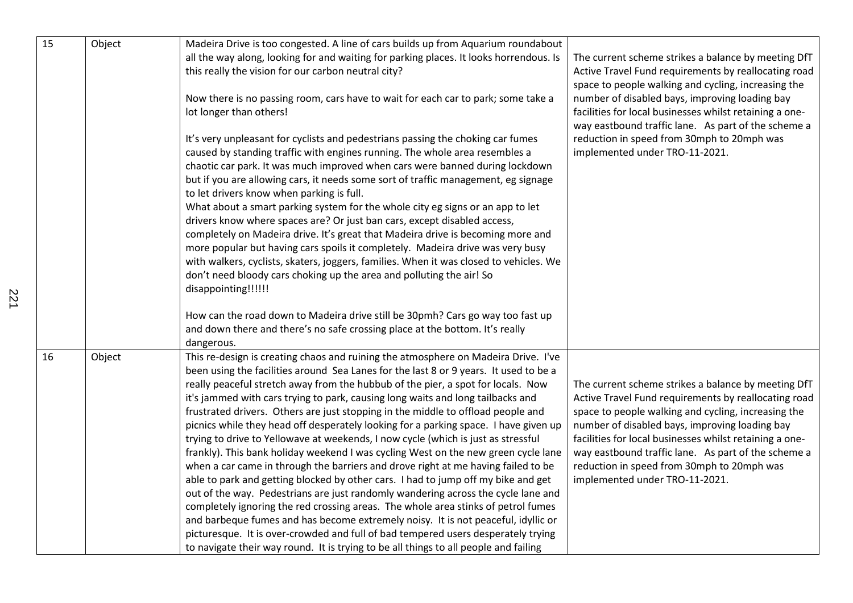| 15 | Object | Madeira Drive is too congested. A line of cars builds up from Aquarium roundabout                                                                                                                                                                                                                                                                                                                                                                                                                                                                                                                                                                                                                                                                                                                                                                                                                                                                                                                                                                                                                                                                                                                                                                                                                                               |                                                                                                                                                                                                                                                                                                                                                                                                                        |
|----|--------|---------------------------------------------------------------------------------------------------------------------------------------------------------------------------------------------------------------------------------------------------------------------------------------------------------------------------------------------------------------------------------------------------------------------------------------------------------------------------------------------------------------------------------------------------------------------------------------------------------------------------------------------------------------------------------------------------------------------------------------------------------------------------------------------------------------------------------------------------------------------------------------------------------------------------------------------------------------------------------------------------------------------------------------------------------------------------------------------------------------------------------------------------------------------------------------------------------------------------------------------------------------------------------------------------------------------------------|------------------------------------------------------------------------------------------------------------------------------------------------------------------------------------------------------------------------------------------------------------------------------------------------------------------------------------------------------------------------------------------------------------------------|
|    |        | all the way along, looking for and waiting for parking places. It looks horrendous. Is<br>this really the vision for our carbon neutral city?                                                                                                                                                                                                                                                                                                                                                                                                                                                                                                                                                                                                                                                                                                                                                                                                                                                                                                                                                                                                                                                                                                                                                                                   | The current scheme strikes a balance by meeting DfT<br>Active Travel Fund requirements by reallocating road<br>space to people walking and cycling, increasing the                                                                                                                                                                                                                                                     |
|    |        | Now there is no passing room, cars have to wait for each car to park; some take a<br>lot longer than others!                                                                                                                                                                                                                                                                                                                                                                                                                                                                                                                                                                                                                                                                                                                                                                                                                                                                                                                                                                                                                                                                                                                                                                                                                    | number of disabled bays, improving loading bay<br>facilities for local businesses whilst retaining a one-<br>way eastbound traffic lane. As part of the scheme a                                                                                                                                                                                                                                                       |
|    |        | It's very unpleasant for cyclists and pedestrians passing the choking car fumes<br>caused by standing traffic with engines running. The whole area resembles a<br>chaotic car park. It was much improved when cars were banned during lockdown<br>but if you are allowing cars, it needs some sort of traffic management, eg signage<br>to let drivers know when parking is full.<br>What about a smart parking system for the whole city eg signs or an app to let<br>drivers know where spaces are? Or just ban cars, except disabled access,<br>completely on Madeira drive. It's great that Madeira drive is becoming more and<br>more popular but having cars spoils it completely. Madeira drive was very busy<br>with walkers, cyclists, skaters, joggers, families. When it was closed to vehicles. We<br>don't need bloody cars choking up the area and polluting the air! So<br>disappointing!!!!!!                                                                                                                                                                                                                                                                                                                                                                                                                   | reduction in speed from 30mph to 20mph was<br>implemented under TRO-11-2021.                                                                                                                                                                                                                                                                                                                                           |
|    |        | How can the road down to Madeira drive still be 30pmh? Cars go way too fast up<br>and down there and there's no safe crossing place at the bottom. It's really<br>dangerous.                                                                                                                                                                                                                                                                                                                                                                                                                                                                                                                                                                                                                                                                                                                                                                                                                                                                                                                                                                                                                                                                                                                                                    |                                                                                                                                                                                                                                                                                                                                                                                                                        |
| 16 | Object | This re-design is creating chaos and ruining the atmosphere on Madeira Drive. I've<br>been using the facilities around Sea Lanes for the last 8 or 9 years. It used to be a<br>really peaceful stretch away from the hubbub of the pier, a spot for locals. Now<br>it's jammed with cars trying to park, causing long waits and long tailbacks and<br>frustrated drivers. Others are just stopping in the middle to offload people and<br>picnics while they head off desperately looking for a parking space. I have given up<br>trying to drive to Yellowave at weekends, I now cycle (which is just as stressful<br>frankly). This bank holiday weekend I was cycling West on the new green cycle lane<br>when a car came in through the barriers and drove right at me having failed to be<br>able to park and getting blocked by other cars. I had to jump off my bike and get<br>out of the way. Pedestrians are just randomly wandering across the cycle lane and<br>completely ignoring the red crossing areas. The whole area stinks of petrol fumes<br>and barbeque fumes and has become extremely noisy. It is not peaceful, idyllic or<br>picturesque. It is over-crowded and full of bad tempered users desperately trying<br>to navigate their way round. It is trying to be all things to all people and failing | The current scheme strikes a balance by meeting DfT<br>Active Travel Fund requirements by reallocating road<br>space to people walking and cycling, increasing the<br>number of disabled bays, improving loading bay<br>facilities for local businesses whilst retaining a one-<br>way eastbound traffic lane. As part of the scheme a<br>reduction in speed from 30mph to 20mph was<br>implemented under TRO-11-2021. |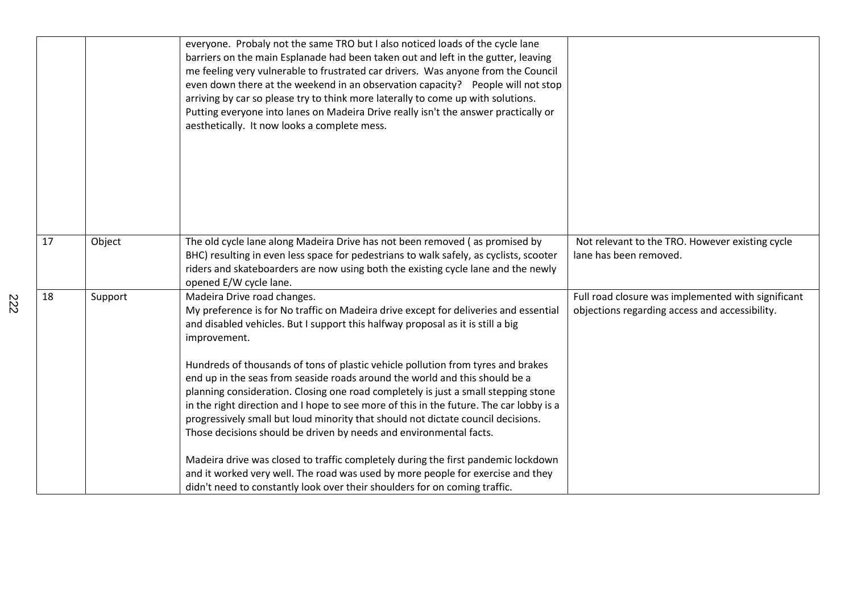|    |         | everyone. Probaly not the same TRO but I also noticed loads of the cycle lane<br>barriers on the main Esplanade had been taken out and left in the gutter, leaving<br>me feeling very vulnerable to frustrated car drivers. Was anyone from the Council<br>even down there at the weekend in an observation capacity?  People will not stop<br>arriving by car so please try to think more laterally to come up with solutions.<br>Putting everyone into lanes on Madeira Drive really isn't the answer practically or<br>aesthetically. It now looks a complete mess. |                                                                                                      |
|----|---------|------------------------------------------------------------------------------------------------------------------------------------------------------------------------------------------------------------------------------------------------------------------------------------------------------------------------------------------------------------------------------------------------------------------------------------------------------------------------------------------------------------------------------------------------------------------------|------------------------------------------------------------------------------------------------------|
| 17 | Object  | The old cycle lane along Madeira Drive has not been removed (as promised by<br>BHC) resulting in even less space for pedestrians to walk safely, as cyclists, scooter<br>riders and skateboarders are now using both the existing cycle lane and the newly<br>opened E/W cycle lane.                                                                                                                                                                                                                                                                                   | Not relevant to the TRO. However existing cycle<br>lane has been removed.                            |
| 18 | Support | Madeira Drive road changes.<br>My preference is for No traffic on Madeira drive except for deliveries and essential<br>and disabled vehicles. But I support this halfway proposal as it is still a big<br>improvement.                                                                                                                                                                                                                                                                                                                                                 | Full road closure was implemented with significant<br>objections regarding access and accessibility. |
|    |         | Hundreds of thousands of tons of plastic vehicle pollution from tyres and brakes<br>end up in the seas from seaside roads around the world and this should be a<br>planning consideration. Closing one road completely is just a small stepping stone                                                                                                                                                                                                                                                                                                                  |                                                                                                      |
|    |         | in the right direction and I hope to see more of this in the future. The car lobby is a<br>progressively small but loud minority that should not dictate council decisions.<br>Those decisions should be driven by needs and environmental facts.                                                                                                                                                                                                                                                                                                                      |                                                                                                      |
|    |         | Madeira drive was closed to traffic completely during the first pandemic lockdown<br>and it worked very well. The road was used by more people for exercise and they<br>didn't need to constantly look over their shoulders for on coming traffic.                                                                                                                                                                                                                                                                                                                     |                                                                                                      |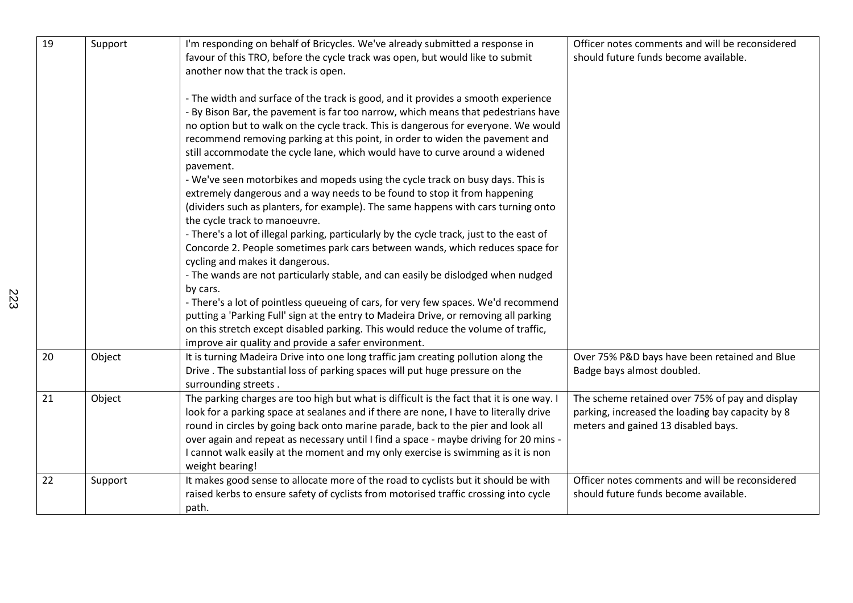| 19 | Support | I'm responding on behalf of Bricycles. We've already submitted a response in              | Officer notes comments and will be reconsidered  |
|----|---------|-------------------------------------------------------------------------------------------|--------------------------------------------------|
|    |         | favour of this TRO, before the cycle track was open, but would like to submit             | should future funds become available.            |
|    |         | another now that the track is open.                                                       |                                                  |
|    |         |                                                                                           |                                                  |
|    |         | - The width and surface of the track is good, and it provides a smooth experience         |                                                  |
|    |         | - By Bison Bar, the pavement is far too narrow, which means that pedestrians have         |                                                  |
|    |         |                                                                                           |                                                  |
|    |         | no option but to walk on the cycle track. This is dangerous for everyone. We would        |                                                  |
|    |         | recommend removing parking at this point, in order to widen the pavement and              |                                                  |
|    |         | still accommodate the cycle lane, which would have to curve around a widened<br>pavement. |                                                  |
|    |         | - We've seen motorbikes and mopeds using the cycle track on busy days. This is            |                                                  |
|    |         | extremely dangerous and a way needs to be found to stop it from happening                 |                                                  |
|    |         | (dividers such as planters, for example). The same happens with cars turning onto         |                                                  |
|    |         | the cycle track to manoeuvre.                                                             |                                                  |
|    |         | - There's a lot of illegal parking, particularly by the cycle track, just to the east of  |                                                  |
|    |         |                                                                                           |                                                  |
|    |         | Concorde 2. People sometimes park cars between wands, which reduces space for             |                                                  |
|    |         | cycling and makes it dangerous.                                                           |                                                  |
|    |         | - The wands are not particularly stable, and can easily be dislodged when nudged          |                                                  |
|    |         | by cars.                                                                                  |                                                  |
|    |         | - There's a lot of pointless queueing of cars, for very few spaces. We'd recommend        |                                                  |
|    |         | putting a 'Parking Full' sign at the entry to Madeira Drive, or removing all parking      |                                                  |
|    |         | on this stretch except disabled parking. This would reduce the volume of traffic,         |                                                  |
|    |         | improve air quality and provide a safer environment.                                      |                                                  |
| 20 | Object  | It is turning Madeira Drive into one long traffic jam creating pollution along the        | Over 75% P&D bays have been retained and Blue    |
|    |         | Drive. The substantial loss of parking spaces will put huge pressure on the               | Badge bays almost doubled.                       |
|    |         | surrounding streets.                                                                      |                                                  |
| 21 | Object  | The parking charges are too high but what is difficult is the fact that it is one way. I  | The scheme retained over 75% of pay and display  |
|    |         | look for a parking space at sealanes and if there are none, I have to literally drive     | parking, increased the loading bay capacity by 8 |
|    |         | round in circles by going back onto marine parade, back to the pier and look all          | meters and gained 13 disabled bays.              |
|    |         | over again and repeat as necessary until I find a space - maybe driving for 20 mins -     |                                                  |
|    |         | I cannot walk easily at the moment and my only exercise is swimming as it is non          |                                                  |
|    |         | weight bearing!                                                                           |                                                  |
| 22 | Support | It makes good sense to allocate more of the road to cyclists but it should be with        | Officer notes comments and will be reconsidered  |
|    |         | raised kerbs to ensure safety of cyclists from motorised traffic crossing into cycle      | should future funds become available.            |
|    |         | path.                                                                                     |                                                  |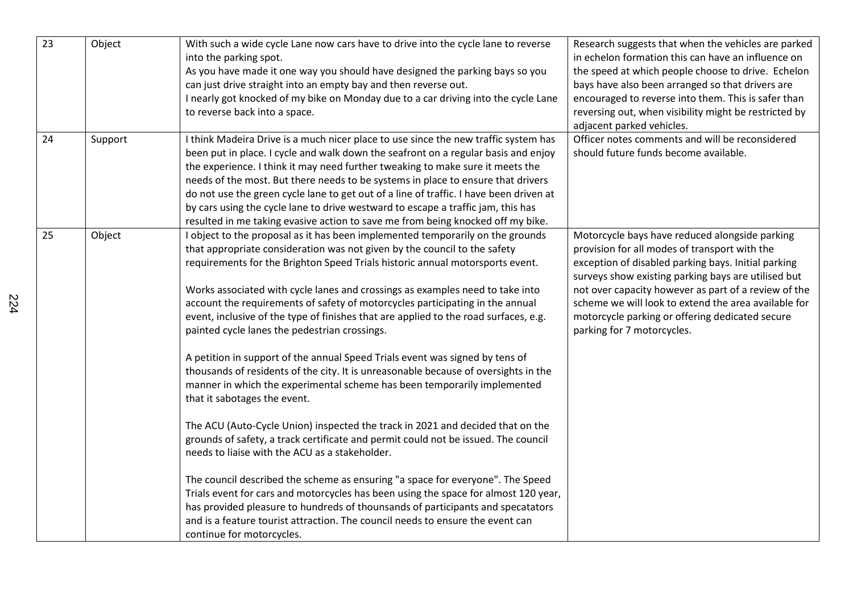| 23 | Object  | With such a wide cycle Lane now cars have to drive into the cycle lane to reverse<br>into the parking spot.<br>As you have made it one way you should have designed the parking bays so you<br>can just drive straight into an empty bay and then reverse out.<br>I nearly got knocked of my bike on Monday due to a car driving into the cycle Lane<br>to reverse back into a space.                                                                                                                                                                                                                                                                                                                                                                                                                                                                                                                                                                                                                                                                                                                                                                                                                                                                                                                                                                                                                                                           | Research suggests that when the vehicles are parked<br>in echelon formation this can have an influence on<br>the speed at which people choose to drive. Echelon<br>bays have also been arranged so that drivers are<br>encouraged to reverse into them. This is safer than<br>reversing out, when visibility might be restricted by<br>adjacent parked vehicles.                                               |
|----|---------|-------------------------------------------------------------------------------------------------------------------------------------------------------------------------------------------------------------------------------------------------------------------------------------------------------------------------------------------------------------------------------------------------------------------------------------------------------------------------------------------------------------------------------------------------------------------------------------------------------------------------------------------------------------------------------------------------------------------------------------------------------------------------------------------------------------------------------------------------------------------------------------------------------------------------------------------------------------------------------------------------------------------------------------------------------------------------------------------------------------------------------------------------------------------------------------------------------------------------------------------------------------------------------------------------------------------------------------------------------------------------------------------------------------------------------------------------|----------------------------------------------------------------------------------------------------------------------------------------------------------------------------------------------------------------------------------------------------------------------------------------------------------------------------------------------------------------------------------------------------------------|
| 24 | Support | I think Madeira Drive is a much nicer place to use since the new traffic system has<br>been put in place. I cycle and walk down the seafront on a regular basis and enjoy<br>the experience. I think it may need further tweaking to make sure it meets the<br>needs of the most. But there needs to be systems in place to ensure that drivers<br>do not use the green cycle lane to get out of a line of traffic. I have been driven at<br>by cars using the cycle lane to drive westward to escape a traffic jam, this has<br>resulted in me taking evasive action to save me from being knocked off my bike.                                                                                                                                                                                                                                                                                                                                                                                                                                                                                                                                                                                                                                                                                                                                                                                                                                | Officer notes comments and will be reconsidered<br>should future funds become available.                                                                                                                                                                                                                                                                                                                       |
| 25 | Object  | I object to the proposal as it has been implemented temporarily on the grounds<br>that appropriate consideration was not given by the council to the safety<br>requirements for the Brighton Speed Trials historic annual motorsports event.<br>Works associated with cycle lanes and crossings as examples need to take into<br>account the requirements of safety of motorcycles participating in the annual<br>event, inclusive of the type of finishes that are applied to the road surfaces, e.g.<br>painted cycle lanes the pedestrian crossings.<br>A petition in support of the annual Speed Trials event was signed by tens of<br>thousands of residents of the city. It is unreasonable because of oversights in the<br>manner in which the experimental scheme has been temporarily implemented<br>that it sabotages the event.<br>The ACU (Auto-Cycle Union) inspected the track in 2021 and decided that on the<br>grounds of safety, a track certificate and permit could not be issued. The council<br>needs to liaise with the ACU as a stakeholder.<br>The council described the scheme as ensuring "a space for everyone". The Speed<br>Trials event for cars and motorcycles has been using the space for almost 120 year,<br>has provided pleasure to hundreds of thounsands of participants and specatators<br>and is a feature tourist attraction. The council needs to ensure the event can<br>continue for motorcycles. | Motorcycle bays have reduced alongside parking<br>provision for all modes of transport with the<br>exception of disabled parking bays. Initial parking<br>surveys show existing parking bays are utilised but<br>not over capacity however as part of a review of the<br>scheme we will look to extend the area available for<br>motorcycle parking or offering dedicated secure<br>parking for 7 motorcycles. |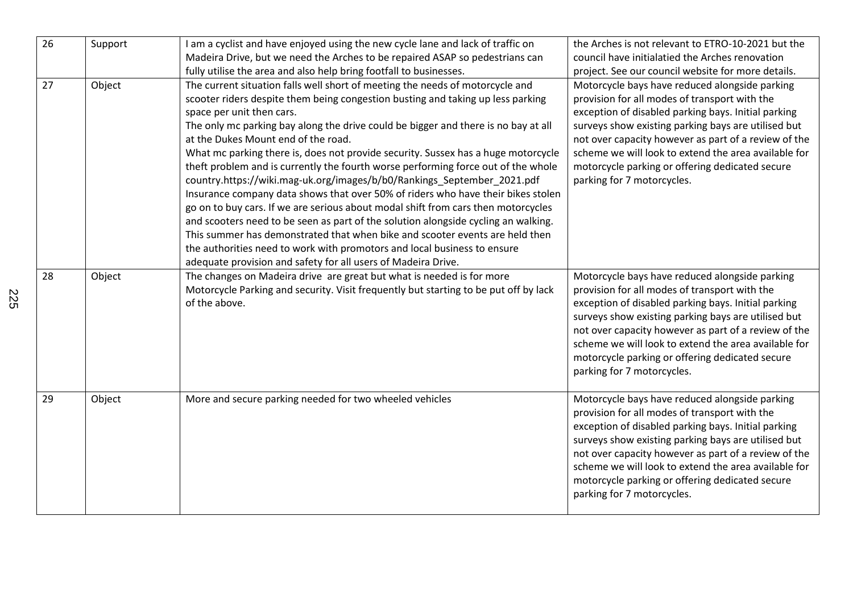| 26 | Support | I am a cyclist and have enjoyed using the new cycle lane and lack of traffic on<br>Madeira Drive, but we need the Arches to be repaired ASAP so pedestrians can<br>fully utilise the area and also help bring footfall to businesses.                                                                                                                                                                                                                                                                                                                                                                                                                                                                                                                                                                                                                                                                                                                                                                                                                                       | the Arches is not relevant to ETRO-10-2021 but the<br>council have initialatied the Arches renovation<br>project. See our council website for more details.                                                                                                                                                                                                                                                    |
|----|---------|-----------------------------------------------------------------------------------------------------------------------------------------------------------------------------------------------------------------------------------------------------------------------------------------------------------------------------------------------------------------------------------------------------------------------------------------------------------------------------------------------------------------------------------------------------------------------------------------------------------------------------------------------------------------------------------------------------------------------------------------------------------------------------------------------------------------------------------------------------------------------------------------------------------------------------------------------------------------------------------------------------------------------------------------------------------------------------|----------------------------------------------------------------------------------------------------------------------------------------------------------------------------------------------------------------------------------------------------------------------------------------------------------------------------------------------------------------------------------------------------------------|
| 27 | Object  | The current situation falls well short of meeting the needs of motorcycle and<br>scooter riders despite them being congestion busting and taking up less parking<br>space per unit then cars.<br>The only mc parking bay along the drive could be bigger and there is no bay at all<br>at the Dukes Mount end of the road.<br>What mc parking there is, does not provide security. Sussex has a huge motorcycle<br>theft problem and is currently the fourth worse performing force out of the whole<br>country.https://wiki.mag-uk.org/images/b/b0/Rankings_September_2021.pdf<br>Insurance company data shows that over 50% of riders who have their bikes stolen<br>go on to buy cars. If we are serious about modal shift from cars then motorcycles<br>and scooters need to be seen as part of the solution alongside cycling an walking.<br>This summer has demonstrated that when bike and scooter events are held then<br>the authorities need to work with promotors and local business to ensure<br>adequate provision and safety for all users of Madeira Drive. | Motorcycle bays have reduced alongside parking<br>provision for all modes of transport with the<br>exception of disabled parking bays. Initial parking<br>surveys show existing parking bays are utilised but<br>not over capacity however as part of a review of the<br>scheme we will look to extend the area available for<br>motorcycle parking or offering dedicated secure<br>parking for 7 motorcycles. |
| 28 | Object  | The changes on Madeira drive are great but what is needed is for more<br>Motorcycle Parking and security. Visit frequently but starting to be put off by lack<br>of the above.                                                                                                                                                                                                                                                                                                                                                                                                                                                                                                                                                                                                                                                                                                                                                                                                                                                                                              | Motorcycle bays have reduced alongside parking<br>provision for all modes of transport with the<br>exception of disabled parking bays. Initial parking<br>surveys show existing parking bays are utilised but<br>not over capacity however as part of a review of the<br>scheme we will look to extend the area available for<br>motorcycle parking or offering dedicated secure<br>parking for 7 motorcycles. |
| 29 | Object  | More and secure parking needed for two wheeled vehicles                                                                                                                                                                                                                                                                                                                                                                                                                                                                                                                                                                                                                                                                                                                                                                                                                                                                                                                                                                                                                     | Motorcycle bays have reduced alongside parking<br>provision for all modes of transport with the<br>exception of disabled parking bays. Initial parking<br>surveys show existing parking bays are utilised but<br>not over capacity however as part of a review of the<br>scheme we will look to extend the area available for<br>motorcycle parking or offering dedicated secure<br>parking for 7 motorcycles. |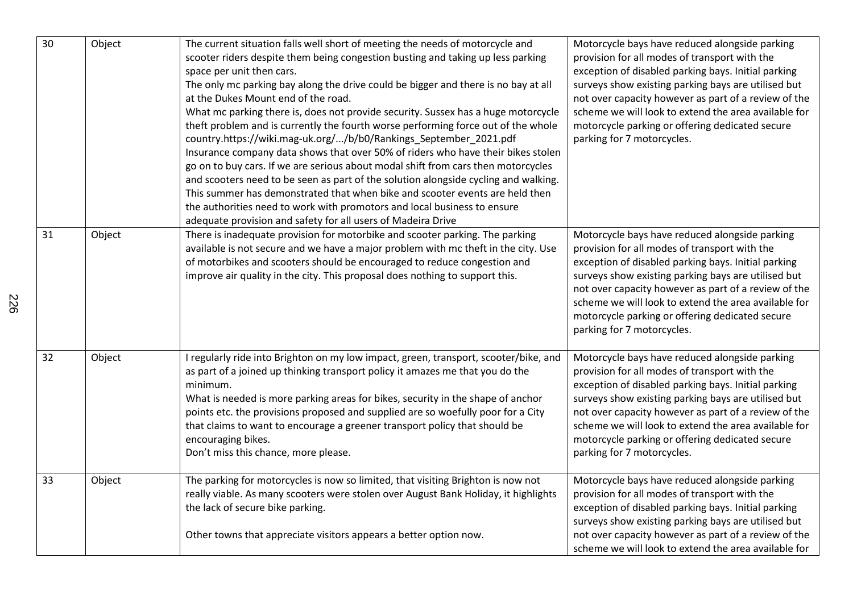| 30 | Object | The current situation falls well short of meeting the needs of motorcycle and<br>scooter riders despite them being congestion busting and taking up less parking<br>space per unit then cars.<br>The only mc parking bay along the drive could be bigger and there is no bay at all<br>at the Dukes Mount end of the road.<br>What mc parking there is, does not provide security. Sussex has a huge motorcycle<br>theft problem and is currently the fourth worse performing force out of the whole<br>country.https://wiki.mag-uk.org//b/b0/Rankings_September_2021.pdf<br>Insurance company data shows that over 50% of riders who have their bikes stolen<br>go on to buy cars. If we are serious about modal shift from cars then motorcycles<br>and scooters need to be seen as part of the solution alongside cycling and walking.<br>This summer has demonstrated that when bike and scooter events are held then<br>the authorities need to work with promotors and local business to ensure<br>adequate provision and safety for all users of Madeira Drive | Motorcycle bays have reduced alongside parking<br>provision for all modes of transport with the<br>exception of disabled parking bays. Initial parking<br>surveys show existing parking bays are utilised but<br>not over capacity however as part of a review of the<br>scheme we will look to extend the area available for<br>motorcycle parking or offering dedicated secure<br>parking for 7 motorcycles. |
|----|--------|-----------------------------------------------------------------------------------------------------------------------------------------------------------------------------------------------------------------------------------------------------------------------------------------------------------------------------------------------------------------------------------------------------------------------------------------------------------------------------------------------------------------------------------------------------------------------------------------------------------------------------------------------------------------------------------------------------------------------------------------------------------------------------------------------------------------------------------------------------------------------------------------------------------------------------------------------------------------------------------------------------------------------------------------------------------------------|----------------------------------------------------------------------------------------------------------------------------------------------------------------------------------------------------------------------------------------------------------------------------------------------------------------------------------------------------------------------------------------------------------------|
| 31 | Object | There is inadequate provision for motorbike and scooter parking. The parking<br>available is not secure and we have a major problem with mc theft in the city. Use<br>of motorbikes and scooters should be encouraged to reduce congestion and<br>improve air quality in the city. This proposal does nothing to support this.                                                                                                                                                                                                                                                                                                                                                                                                                                                                                                                                                                                                                                                                                                                                        | Motorcycle bays have reduced alongside parking<br>provision for all modes of transport with the<br>exception of disabled parking bays. Initial parking<br>surveys show existing parking bays are utilised but<br>not over capacity however as part of a review of the<br>scheme we will look to extend the area available for<br>motorcycle parking or offering dedicated secure<br>parking for 7 motorcycles. |
| 32 | Object | I regularly ride into Brighton on my low impact, green, transport, scooter/bike, and<br>as part of a joined up thinking transport policy it amazes me that you do the<br>minimum.<br>What is needed is more parking areas for bikes, security in the shape of anchor<br>points etc. the provisions proposed and supplied are so woefully poor for a City<br>that claims to want to encourage a greener transport policy that should be<br>encouraging bikes.<br>Don't miss this chance, more please.                                                                                                                                                                                                                                                                                                                                                                                                                                                                                                                                                                  | Motorcycle bays have reduced alongside parking<br>provision for all modes of transport with the<br>exception of disabled parking bays. Initial parking<br>surveys show existing parking bays are utilised but<br>not over capacity however as part of a review of the<br>scheme we will look to extend the area available for<br>motorcycle parking or offering dedicated secure<br>parking for 7 motorcycles. |
| 33 | Object | The parking for motorcycles is now so limited, that visiting Brighton is now not<br>really viable. As many scooters were stolen over August Bank Holiday, it highlights<br>the lack of secure bike parking.<br>Other towns that appreciate visitors appears a better option now.                                                                                                                                                                                                                                                                                                                                                                                                                                                                                                                                                                                                                                                                                                                                                                                      | Motorcycle bays have reduced alongside parking<br>provision for all modes of transport with the<br>exception of disabled parking bays. Initial parking<br>surveys show existing parking bays are utilised but<br>not over capacity however as part of a review of the<br>scheme we will look to extend the area available for                                                                                  |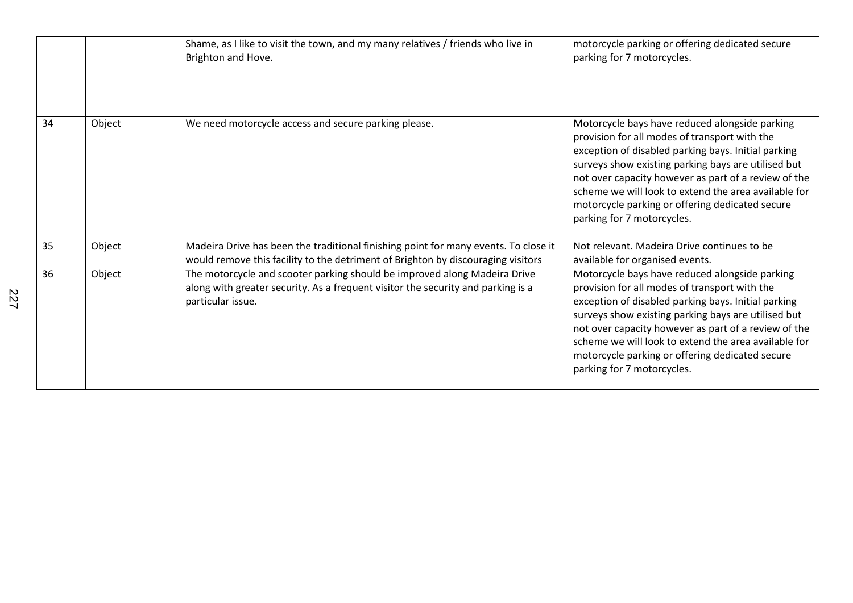|    |        | Shame, as I like to visit the town, and my many relatives / friends who live in<br>Brighton and Hove.                                                                              | motorcycle parking or offering dedicated secure<br>parking for 7 motorcycles.                                                                                                                                                                                                                                                                                                                                  |
|----|--------|------------------------------------------------------------------------------------------------------------------------------------------------------------------------------------|----------------------------------------------------------------------------------------------------------------------------------------------------------------------------------------------------------------------------------------------------------------------------------------------------------------------------------------------------------------------------------------------------------------|
| 34 | Object | We need motorcycle access and secure parking please.                                                                                                                               | Motorcycle bays have reduced alongside parking<br>provision for all modes of transport with the<br>exception of disabled parking bays. Initial parking<br>surveys show existing parking bays are utilised but<br>not over capacity however as part of a review of the<br>scheme we will look to extend the area available for<br>motorcycle parking or offering dedicated secure<br>parking for 7 motorcycles. |
| 35 | Object | Madeira Drive has been the traditional finishing point for many events. To close it<br>would remove this facility to the detriment of Brighton by discouraging visitors            | Not relevant. Madeira Drive continues to be<br>available for organised events.                                                                                                                                                                                                                                                                                                                                 |
| 36 | Object | The motorcycle and scooter parking should be improved along Madeira Drive<br>along with greater security. As a frequent visitor the security and parking is a<br>particular issue. | Motorcycle bays have reduced alongside parking<br>provision for all modes of transport with the<br>exception of disabled parking bays. Initial parking<br>surveys show existing parking bays are utilised but<br>not over capacity however as part of a review of the<br>scheme we will look to extend the area available for<br>motorcycle parking or offering dedicated secure<br>parking for 7 motorcycles. |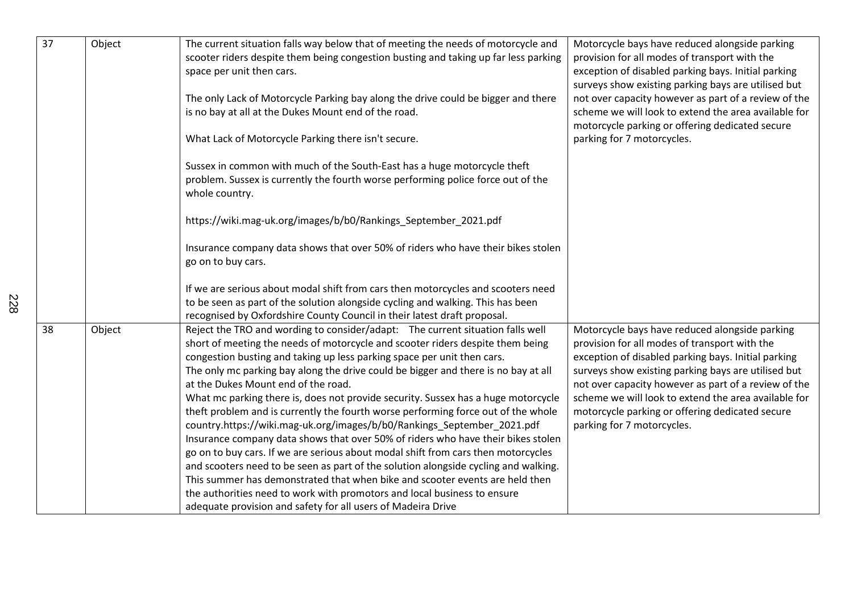| $\overline{37}$ | Object | The current situation falls way below that of meeting the needs of motorcycle and<br>scooter riders despite them being congestion busting and taking up far less parking<br>space per unit then cars.<br>The only Lack of Motorcycle Parking bay along the drive could be bigger and there<br>is no bay at all at the Dukes Mount end of the road.                                                                                                                                                                                                                                                                                                                                                                                                                                                                                                                                                                                                                                                                                                                                                                        | Motorcycle bays have reduced alongside parking<br>provision for all modes of transport with the<br>exception of disabled parking bays. Initial parking<br>surveys show existing parking bays are utilised but<br>not over capacity however as part of a review of the<br>scheme we will look to extend the area available for                                                                                  |
|-----------------|--------|---------------------------------------------------------------------------------------------------------------------------------------------------------------------------------------------------------------------------------------------------------------------------------------------------------------------------------------------------------------------------------------------------------------------------------------------------------------------------------------------------------------------------------------------------------------------------------------------------------------------------------------------------------------------------------------------------------------------------------------------------------------------------------------------------------------------------------------------------------------------------------------------------------------------------------------------------------------------------------------------------------------------------------------------------------------------------------------------------------------------------|----------------------------------------------------------------------------------------------------------------------------------------------------------------------------------------------------------------------------------------------------------------------------------------------------------------------------------------------------------------------------------------------------------------|
|                 |        | What Lack of Motorcycle Parking there isn't secure.                                                                                                                                                                                                                                                                                                                                                                                                                                                                                                                                                                                                                                                                                                                                                                                                                                                                                                                                                                                                                                                                       | motorcycle parking or offering dedicated secure<br>parking for 7 motorcycles.                                                                                                                                                                                                                                                                                                                                  |
|                 |        | Sussex in common with much of the South-East has a huge motorcycle theft<br>problem. Sussex is currently the fourth worse performing police force out of the<br>whole country.                                                                                                                                                                                                                                                                                                                                                                                                                                                                                                                                                                                                                                                                                                                                                                                                                                                                                                                                            |                                                                                                                                                                                                                                                                                                                                                                                                                |
|                 |        | https://wiki.mag-uk.org/images/b/b0/Rankings_September_2021.pdf                                                                                                                                                                                                                                                                                                                                                                                                                                                                                                                                                                                                                                                                                                                                                                                                                                                                                                                                                                                                                                                           |                                                                                                                                                                                                                                                                                                                                                                                                                |
|                 |        | Insurance company data shows that over 50% of riders who have their bikes stolen<br>go on to buy cars.                                                                                                                                                                                                                                                                                                                                                                                                                                                                                                                                                                                                                                                                                                                                                                                                                                                                                                                                                                                                                    |                                                                                                                                                                                                                                                                                                                                                                                                                |
|                 |        | If we are serious about modal shift from cars then motorcycles and scooters need<br>to be seen as part of the solution alongside cycling and walking. This has been<br>recognised by Oxfordshire County Council in their latest draft proposal.                                                                                                                                                                                                                                                                                                                                                                                                                                                                                                                                                                                                                                                                                                                                                                                                                                                                           |                                                                                                                                                                                                                                                                                                                                                                                                                |
| 38              | Object | Reject the TRO and wording to consider/adapt: The current situation falls well<br>short of meeting the needs of motorcycle and scooter riders despite them being<br>congestion busting and taking up less parking space per unit then cars.<br>The only mc parking bay along the drive could be bigger and there is no bay at all<br>at the Dukes Mount end of the road.<br>What mc parking there is, does not provide security. Sussex has a huge motorcycle<br>theft problem and is currently the fourth worse performing force out of the whole<br>country.https://wiki.mag-uk.org/images/b/b0/Rankings_September_2021.pdf<br>Insurance company data shows that over 50% of riders who have their bikes stolen<br>go on to buy cars. If we are serious about modal shift from cars then motorcycles<br>and scooters need to be seen as part of the solution alongside cycling and walking.<br>This summer has demonstrated that when bike and scooter events are held then<br>the authorities need to work with promotors and local business to ensure<br>adequate provision and safety for all users of Madeira Drive | Motorcycle bays have reduced alongside parking<br>provision for all modes of transport with the<br>exception of disabled parking bays. Initial parking<br>surveys show existing parking bays are utilised but<br>not over capacity however as part of a review of the<br>scheme we will look to extend the area available for<br>motorcycle parking or offering dedicated secure<br>parking for 7 motorcycles. |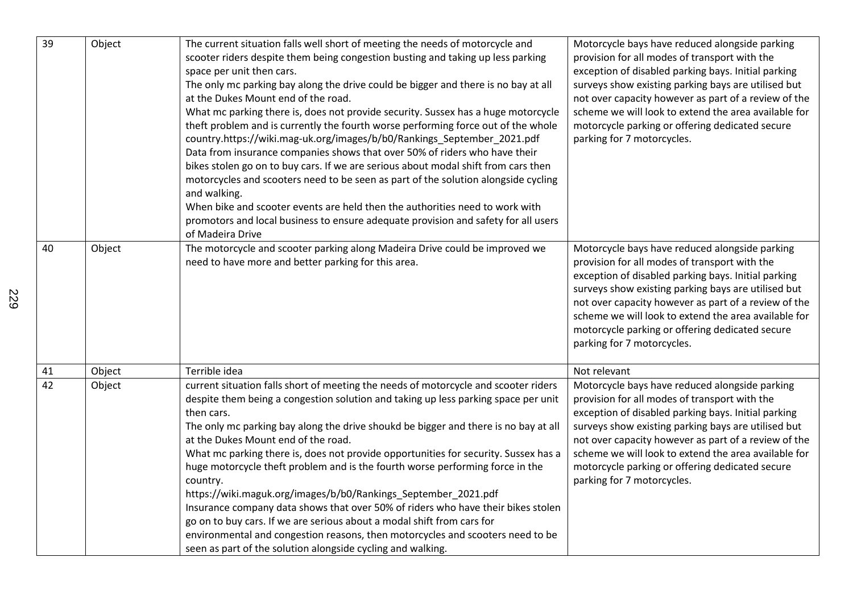| 39              | Object | The current situation falls well short of meeting the needs of motorcycle and<br>scooter riders despite them being congestion busting and taking up less parking<br>space per unit then cars.<br>The only mc parking bay along the drive could be bigger and there is no bay at all<br>at the Dukes Mount end of the road.<br>What mc parking there is, does not provide security. Sussex has a huge motorcycle<br>theft problem and is currently the fourth worse performing force out of the whole<br>country.https://wiki.mag-uk.org/images/b/b0/Rankings_September_2021.pdf<br>Data from insurance companies shows that over 50% of riders who have their<br>bikes stolen go on to buy cars. If we are serious about modal shift from cars then<br>motorcycles and scooters need to be seen as part of the solution alongside cycling<br>and walking.<br>When bike and scooter events are held then the authorities need to work with<br>promotors and local business to ensure adequate provision and safety for all users<br>of Madeira Drive | Motorcycle bays have reduced alongside parking<br>provision for all modes of transport with the<br>exception of disabled parking bays. Initial parking<br>surveys show existing parking bays are utilised but<br>not over capacity however as part of a review of the<br>scheme we will look to extend the area available for<br>motorcycle parking or offering dedicated secure<br>parking for 7 motorcycles. |
|-----------------|--------|-----------------------------------------------------------------------------------------------------------------------------------------------------------------------------------------------------------------------------------------------------------------------------------------------------------------------------------------------------------------------------------------------------------------------------------------------------------------------------------------------------------------------------------------------------------------------------------------------------------------------------------------------------------------------------------------------------------------------------------------------------------------------------------------------------------------------------------------------------------------------------------------------------------------------------------------------------------------------------------------------------------------------------------------------------|----------------------------------------------------------------------------------------------------------------------------------------------------------------------------------------------------------------------------------------------------------------------------------------------------------------------------------------------------------------------------------------------------------------|
| 40              | Object | The motorcycle and scooter parking along Madeira Drive could be improved we<br>need to have more and better parking for this area.                                                                                                                                                                                                                                                                                                                                                                                                                                                                                                                                                                                                                                                                                                                                                                                                                                                                                                                  | Motorcycle bays have reduced alongside parking<br>provision for all modes of transport with the<br>exception of disabled parking bays. Initial parking<br>surveys show existing parking bays are utilised but<br>not over capacity however as part of a review of the<br>scheme we will look to extend the area available for<br>motorcycle parking or offering dedicated secure<br>parking for 7 motorcycles. |
| 41              | Object | Terrible idea                                                                                                                                                                                                                                                                                                                                                                                                                                                                                                                                                                                                                                                                                                                                                                                                                                                                                                                                                                                                                                       | Not relevant                                                                                                                                                                                                                                                                                                                                                                                                   |
| $\overline{42}$ | Object | current situation falls short of meeting the needs of motorcycle and scooter riders<br>despite them being a congestion solution and taking up less parking space per unit<br>then cars.<br>The only mc parking bay along the drive shoukd be bigger and there is no bay at all<br>at the Dukes Mount end of the road.<br>What mc parking there is, does not provide opportunities for security. Sussex has a<br>huge motorcycle theft problem and is the fourth worse performing force in the<br>country.<br>https://wiki.maguk.org/images/b/b0/Rankings_September_2021.pdf<br>Insurance company data shows that over 50% of riders who have their bikes stolen<br>go on to buy cars. If we are serious about a modal shift from cars for<br>environmental and congestion reasons, then motorcycles and scooters need to be<br>seen as part of the solution alongside cycling and walking.                                                                                                                                                          | Motorcycle bays have reduced alongside parking<br>provision for all modes of transport with the<br>exception of disabled parking bays. Initial parking<br>surveys show existing parking bays are utilised but<br>not over capacity however as part of a review of the<br>scheme we will look to extend the area available for<br>motorcycle parking or offering dedicated secure<br>parking for 7 motorcycles. |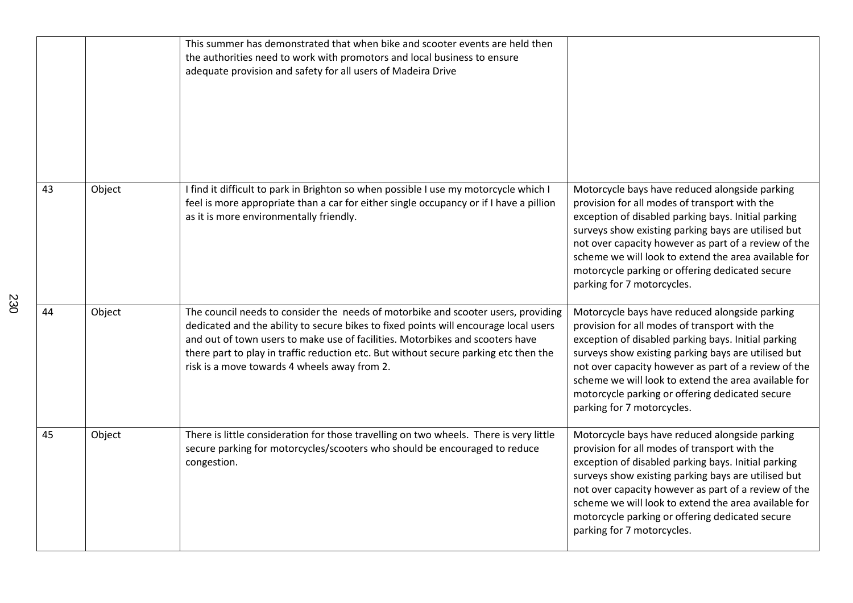|    |        | This summer has demonstrated that when bike and scooter events are held then<br>the authorities need to work with promotors and local business to ensure<br>adequate provision and safety for all users of Madeira Drive                                                                                                                                                                           |                                                                                                                                                                                                                                                                                                                                                                                                                |
|----|--------|----------------------------------------------------------------------------------------------------------------------------------------------------------------------------------------------------------------------------------------------------------------------------------------------------------------------------------------------------------------------------------------------------|----------------------------------------------------------------------------------------------------------------------------------------------------------------------------------------------------------------------------------------------------------------------------------------------------------------------------------------------------------------------------------------------------------------|
| 43 | Object | I find it difficult to park in Brighton so when possible I use my motorcycle which I<br>feel is more appropriate than a car for either single occupancy or if I have a pillion<br>as it is more environmentally friendly.                                                                                                                                                                          | Motorcycle bays have reduced alongside parking<br>provision for all modes of transport with the<br>exception of disabled parking bays. Initial parking<br>surveys show existing parking bays are utilised but<br>not over capacity however as part of a review of the<br>scheme we will look to extend the area available for<br>motorcycle parking or offering dedicated secure<br>parking for 7 motorcycles. |
| 44 | Object | The council needs to consider the needs of motorbike and scooter users, providing<br>dedicated and the ability to secure bikes to fixed points will encourage local users<br>and out of town users to make use of facilities. Motorbikes and scooters have<br>there part to play in traffic reduction etc. But without secure parking etc then the<br>risk is a move towards 4 wheels away from 2. | Motorcycle bays have reduced alongside parking<br>provision for all modes of transport with the<br>exception of disabled parking bays. Initial parking<br>surveys show existing parking bays are utilised but<br>not over capacity however as part of a review of the<br>scheme we will look to extend the area available for<br>motorcycle parking or offering dedicated secure<br>parking for 7 motorcycles. |
| 45 | Object | There is little consideration for those travelling on two wheels. There is very little<br>secure parking for motorcycles/scooters who should be encouraged to reduce<br>congestion.                                                                                                                                                                                                                | Motorcycle bays have reduced alongside parking<br>provision for all modes of transport with the<br>exception of disabled parking bays. Initial parking<br>surveys show existing parking bays are utilised but<br>not over capacity however as part of a review of the<br>scheme we will look to extend the area available for<br>motorcycle parking or offering dedicated secure<br>parking for 7 motorcycles. |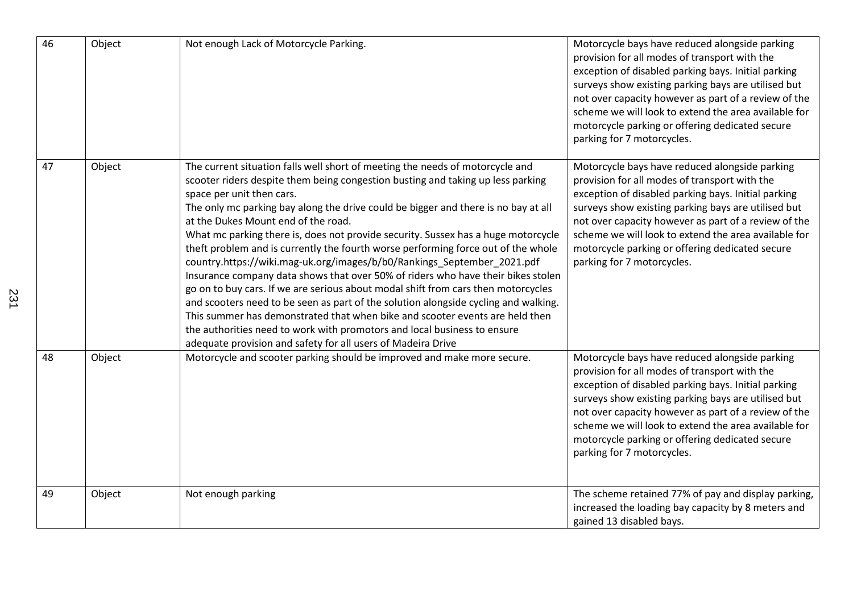| 46 | Object | Not enough Lack of Motorcycle Parking.                                                                                                                                                                                                                                                                                                                                                                                                                                                                                                                                                                                                                                                                                                                                                                                                                                                                                                                                                                                                                                      | Motorcycle bays have reduced alongside parking<br>provision for all modes of transport with the<br>exception of disabled parking bays. Initial parking<br>surveys show existing parking bays are utilised but<br>not over capacity however as part of a review of the<br>scheme we will look to extend the area available for<br>motorcycle parking or offering dedicated secure<br>parking for 7 motorcycles. |
|----|--------|-----------------------------------------------------------------------------------------------------------------------------------------------------------------------------------------------------------------------------------------------------------------------------------------------------------------------------------------------------------------------------------------------------------------------------------------------------------------------------------------------------------------------------------------------------------------------------------------------------------------------------------------------------------------------------------------------------------------------------------------------------------------------------------------------------------------------------------------------------------------------------------------------------------------------------------------------------------------------------------------------------------------------------------------------------------------------------|----------------------------------------------------------------------------------------------------------------------------------------------------------------------------------------------------------------------------------------------------------------------------------------------------------------------------------------------------------------------------------------------------------------|
| 47 | Object | The current situation falls well short of meeting the needs of motorcycle and<br>scooter riders despite them being congestion busting and taking up less parking<br>space per unit then cars.<br>The only mc parking bay along the drive could be bigger and there is no bay at all<br>at the Dukes Mount end of the road.<br>What mc parking there is, does not provide security. Sussex has a huge motorcycle<br>theft problem and is currently the fourth worse performing force out of the whole<br>country.https://wiki.mag-uk.org/images/b/b0/Rankings_September_2021.pdf<br>Insurance company data shows that over 50% of riders who have their bikes stolen<br>go on to buy cars. If we are serious about modal shift from cars then motorcycles<br>and scooters need to be seen as part of the solution alongside cycling and walking.<br>This summer has demonstrated that when bike and scooter events are held then<br>the authorities need to work with promotors and local business to ensure<br>adequate provision and safety for all users of Madeira Drive | Motorcycle bays have reduced alongside parking<br>provision for all modes of transport with the<br>exception of disabled parking bays. Initial parking<br>surveys show existing parking bays are utilised but<br>not over capacity however as part of a review of the<br>scheme we will look to extend the area available for<br>motorcycle parking or offering dedicated secure<br>parking for 7 motorcycles. |
| 48 | Object | Motorcycle and scooter parking should be improved and make more secure.                                                                                                                                                                                                                                                                                                                                                                                                                                                                                                                                                                                                                                                                                                                                                                                                                                                                                                                                                                                                     | Motorcycle bays have reduced alongside parking<br>provision for all modes of transport with the<br>exception of disabled parking bays. Initial parking<br>surveys show existing parking bays are utilised but<br>not over capacity however as part of a review of the<br>scheme we will look to extend the area available for<br>motorcycle parking or offering dedicated secure<br>parking for 7 motorcycles. |
| 49 | Object | Not enough parking                                                                                                                                                                                                                                                                                                                                                                                                                                                                                                                                                                                                                                                                                                                                                                                                                                                                                                                                                                                                                                                          | The scheme retained 77% of pay and display parking,<br>increased the loading bay capacity by 8 meters and<br>gained 13 disabled bays.                                                                                                                                                                                                                                                                          |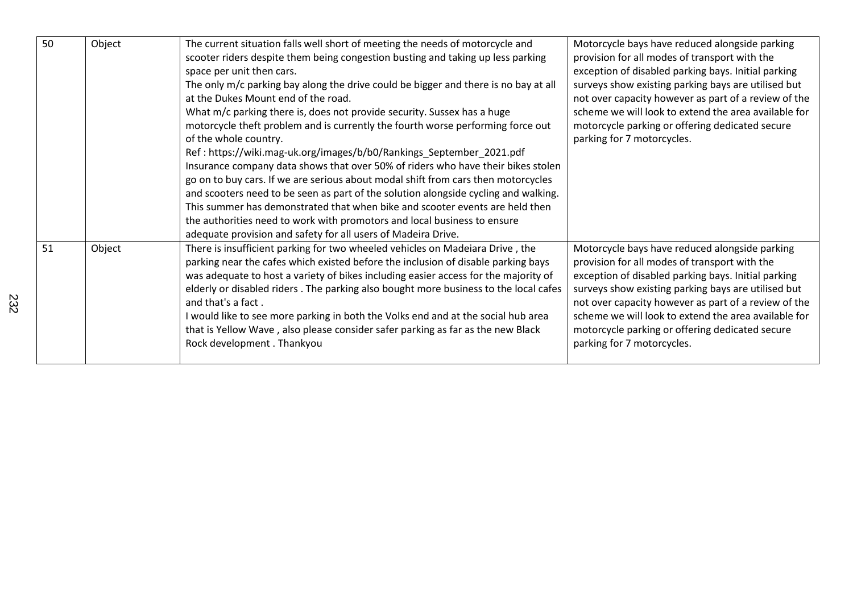| 50 | Object | The current situation falls well short of meeting the needs of motorcycle and<br>scooter riders despite them being congestion busting and taking up less parking<br>space per unit then cars.<br>The only m/c parking bay along the drive could be bigger and there is no bay at all<br>at the Dukes Mount end of the road.<br>What m/c parking there is, does not provide security. Sussex has a huge<br>motorcycle theft problem and is currently the fourth worse performing force out<br>of the whole country.<br>Ref: https://wiki.mag-uk.org/images/b/b0/Rankings_September_2021.pdf<br>Insurance company data shows that over 50% of riders who have their bikes stolen<br>go on to buy cars. If we are serious about modal shift from cars then motorcycles<br>and scooters need to be seen as part of the solution alongside cycling and walking.<br>This summer has demonstrated that when bike and scooter events are held then<br>the authorities need to work with promotors and local business to ensure<br>adequate provision and safety for all users of Madeira Drive. | Motorcycle bays have reduced alongside parking<br>provision for all modes of transport with the<br>exception of disabled parking bays. Initial parking<br>surveys show existing parking bays are utilised but<br>not over capacity however as part of a review of the<br>scheme we will look to extend the area available for<br>motorcycle parking or offering dedicated secure<br>parking for 7 motorcycles. |
|----|--------|-----------------------------------------------------------------------------------------------------------------------------------------------------------------------------------------------------------------------------------------------------------------------------------------------------------------------------------------------------------------------------------------------------------------------------------------------------------------------------------------------------------------------------------------------------------------------------------------------------------------------------------------------------------------------------------------------------------------------------------------------------------------------------------------------------------------------------------------------------------------------------------------------------------------------------------------------------------------------------------------------------------------------------------------------------------------------------------------|----------------------------------------------------------------------------------------------------------------------------------------------------------------------------------------------------------------------------------------------------------------------------------------------------------------------------------------------------------------------------------------------------------------|
| 51 | Object | There is insufficient parking for two wheeled vehicles on Madeiara Drive, the<br>parking near the cafes which existed before the inclusion of disable parking bays<br>was adequate to host a variety of bikes including easier access for the majority of<br>elderly or disabled riders . The parking also bought more business to the local cafes<br>and that's a fact.<br>I would like to see more parking in both the Volks end and at the social hub area<br>that is Yellow Wave, also please consider safer parking as far as the new Black<br>Rock development . Thankyou                                                                                                                                                                                                                                                                                                                                                                                                                                                                                                         | Motorcycle bays have reduced alongside parking<br>provision for all modes of transport with the<br>exception of disabled parking bays. Initial parking<br>surveys show existing parking bays are utilised but<br>not over capacity however as part of a review of the<br>scheme we will look to extend the area available for<br>motorcycle parking or offering dedicated secure<br>parking for 7 motorcycles. |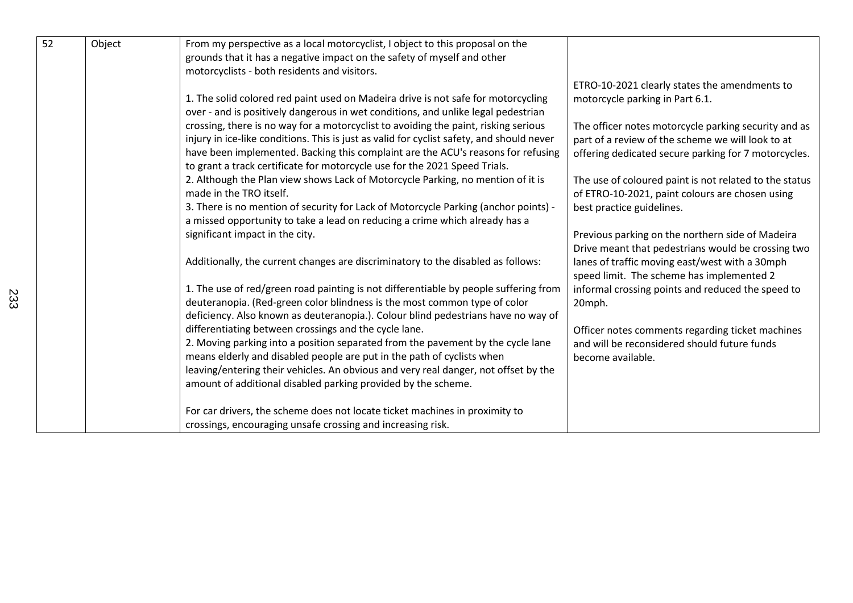| $\overline{52}$ | Object | From my perspective as a local motorcyclist, I object to this proposal on the<br>grounds that it has a negative impact on the safety of myself and other |                                                        |
|-----------------|--------|----------------------------------------------------------------------------------------------------------------------------------------------------------|--------------------------------------------------------|
|                 |        | motorcyclists - both residents and visitors.                                                                                                             |                                                        |
|                 |        |                                                                                                                                                          | ETRO-10-2021 clearly states the amendments to          |
|                 |        | 1. The solid colored red paint used on Madeira drive is not safe for motorcycling                                                                        | motorcycle parking in Part 6.1.                        |
|                 |        | over - and is positively dangerous in wet conditions, and unlike legal pedestrian                                                                        |                                                        |
|                 |        | crossing, there is no way for a motorcyclist to avoiding the paint, risking serious                                                                      | The officer notes motorcycle parking security and as   |
|                 |        | injury in ice-like conditions. This is just as valid for cyclist safety, and should never                                                                | part of a review of the scheme we will look to at      |
|                 |        | have been implemented. Backing this complaint are the ACU's reasons for refusing                                                                         | offering dedicated secure parking for 7 motorcycles.   |
|                 |        | to grant a track certificate for motorcycle use for the 2021 Speed Trials.                                                                               |                                                        |
|                 |        | 2. Although the Plan view shows Lack of Motorcycle Parking, no mention of it is                                                                          | The use of coloured paint is not related to the status |
|                 |        | made in the TRO itself.                                                                                                                                  | of ETRO-10-2021, paint colours are chosen using        |
|                 |        | 3. There is no mention of security for Lack of Motorcycle Parking (anchor points) -                                                                      | best practice guidelines.                              |
|                 |        | a missed opportunity to take a lead on reducing a crime which already has a                                                                              |                                                        |
|                 |        | significant impact in the city.                                                                                                                          | Previous parking on the northern side of Madeira       |
|                 |        |                                                                                                                                                          | Drive meant that pedestrians would be crossing two     |
|                 |        | Additionally, the current changes are discriminatory to the disabled as follows:                                                                         | lanes of traffic moving east/west with a 30mph         |
|                 |        |                                                                                                                                                          | speed limit. The scheme has implemented 2              |
|                 |        | 1. The use of red/green road painting is not differentiable by people suffering from                                                                     | informal crossing points and reduced the speed to      |
|                 |        | deuteranopia. (Red-green color blindness is the most common type of color                                                                                | 20mph.                                                 |
|                 |        | deficiency. Also known as deuteranopia.). Colour blind pedestrians have no way of                                                                        |                                                        |
|                 |        | differentiating between crossings and the cycle lane.                                                                                                    | Officer notes comments regarding ticket machines       |
|                 |        | 2. Moving parking into a position separated from the pavement by the cycle lane                                                                          | and will be reconsidered should future funds           |
|                 |        | means elderly and disabled people are put in the path of cyclists when                                                                                   | become available.                                      |
|                 |        | leaving/entering their vehicles. An obvious and very real danger, not offset by the                                                                      |                                                        |
|                 |        | amount of additional disabled parking provided by the scheme.                                                                                            |                                                        |
|                 |        | For car drivers, the scheme does not locate ticket machines in proximity to                                                                              |                                                        |
|                 |        | crossings, encouraging unsafe crossing and increasing risk.                                                                                              |                                                        |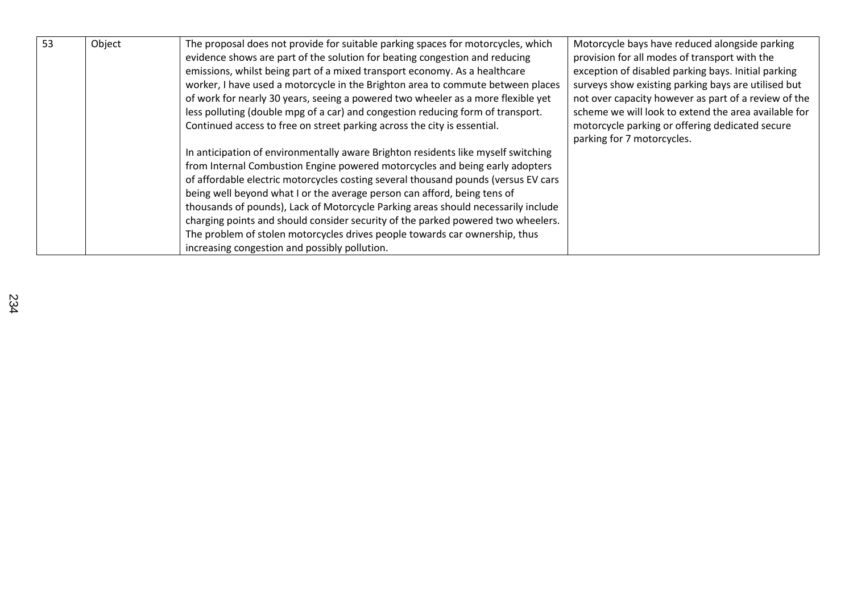| 53 | Object | The proposal does not provide for suitable parking spaces for motorcycles, which<br>evidence shows are part of the solution for beating congestion and reducing<br>emissions, whilst being part of a mixed transport economy. As a healthcare<br>worker, I have used a motorcycle in the Brighton area to commute between places<br>of work for nearly 30 years, seeing a powered two wheeler as a more flexible yet<br>less polluting (double mpg of a car) and congestion reducing form of transport.<br>Continued access to free on street parking across the city is essential.                                                          | Motorcycle bays have reduced alongside parking<br>provision for all modes of transport with the<br>exception of disabled parking bays. Initial parking<br>surveys show existing parking bays are utilised but<br>not over capacity however as part of a review of the<br>scheme we will look to extend the area available for<br>motorcycle parking or offering dedicated secure<br>parking for 7 motorcycles. |
|----|--------|----------------------------------------------------------------------------------------------------------------------------------------------------------------------------------------------------------------------------------------------------------------------------------------------------------------------------------------------------------------------------------------------------------------------------------------------------------------------------------------------------------------------------------------------------------------------------------------------------------------------------------------------|----------------------------------------------------------------------------------------------------------------------------------------------------------------------------------------------------------------------------------------------------------------------------------------------------------------------------------------------------------------------------------------------------------------|
|    |        | In anticipation of environmentally aware Brighton residents like myself switching<br>from Internal Combustion Engine powered motorcycles and being early adopters<br>of affordable electric motorcycles costing several thousand pounds (versus EV cars<br>being well beyond what I or the average person can afford, being tens of<br>thousands of pounds), Lack of Motorcycle Parking areas should necessarily include<br>charging points and should consider security of the parked powered two wheelers.<br>The problem of stolen motorcycles drives people towards car ownership, thus<br>increasing congestion and possibly pollution. |                                                                                                                                                                                                                                                                                                                                                                                                                |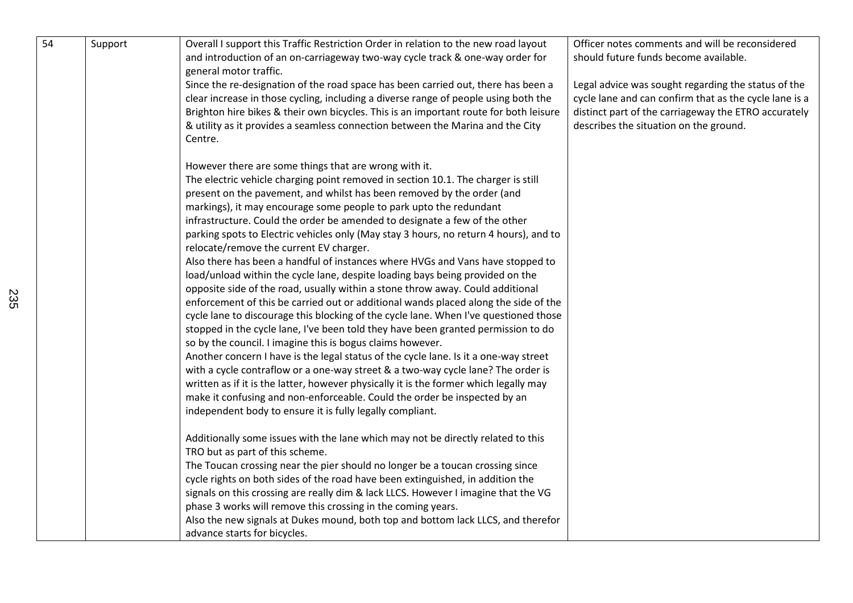| 54 | Support | Overall I support this Traffic Restriction Order in relation to the new road layout<br>and introduction of an on-carriageway two-way cycle track & one-way order for<br>general motor traffic. | Officer notes comments and will be reconsidered<br>should future funds become available. |
|----|---------|------------------------------------------------------------------------------------------------------------------------------------------------------------------------------------------------|------------------------------------------------------------------------------------------|
|    |         | Since the re-designation of the road space has been carried out, there has been a                                                                                                              | Legal advice was sought regarding the status of the                                      |
|    |         | clear increase in those cycling, including a diverse range of people using both the                                                                                                            | cycle lane and can confirm that as the cycle lane is a                                   |
|    |         | Brighton hire bikes & their own bicycles. This is an important route for both leisure                                                                                                          | distinct part of the carriageway the ETRO accurately                                     |
|    |         | & utility as it provides a seamless connection between the Marina and the City                                                                                                                 | describes the situation on the ground.                                                   |
|    |         | Centre.                                                                                                                                                                                        |                                                                                          |
|    |         | However there are some things that are wrong with it.                                                                                                                                          |                                                                                          |
|    |         | The electric vehicle charging point removed in section 10.1. The charger is still                                                                                                              |                                                                                          |
|    |         | present on the pavement, and whilst has been removed by the order (and                                                                                                                         |                                                                                          |
|    |         | markings), it may encourage some people to park upto the redundant                                                                                                                             |                                                                                          |
|    |         | infrastructure. Could the order be amended to designate a few of the other                                                                                                                     |                                                                                          |
|    |         | parking spots to Electric vehicles only (May stay 3 hours, no return 4 hours), and to                                                                                                          |                                                                                          |
|    |         | relocate/remove the current EV charger.                                                                                                                                                        |                                                                                          |
|    |         | Also there has been a handful of instances where HVGs and Vans have stopped to                                                                                                                 |                                                                                          |
|    |         | load/unload within the cycle lane, despite loading bays being provided on the                                                                                                                  |                                                                                          |
|    |         | opposite side of the road, usually within a stone throw away. Could additional                                                                                                                 |                                                                                          |
|    |         | enforcement of this be carried out or additional wands placed along the side of the                                                                                                            |                                                                                          |
|    |         | cycle lane to discourage this blocking of the cycle lane. When I've questioned those                                                                                                           |                                                                                          |
|    |         | stopped in the cycle lane, I've been told they have been granted permission to do                                                                                                              |                                                                                          |
|    |         | so by the council. I imagine this is bogus claims however.                                                                                                                                     |                                                                                          |
|    |         | Another concern I have is the legal status of the cycle lane. Is it a one-way street                                                                                                           |                                                                                          |
|    |         | with a cycle contraflow or a one-way street & a two-way cycle lane? The order is                                                                                                               |                                                                                          |
|    |         | written as if it is the latter, however physically it is the former which legally may                                                                                                          |                                                                                          |
|    |         | make it confusing and non-enforceable. Could the order be inspected by an                                                                                                                      |                                                                                          |
|    |         | independent body to ensure it is fully legally compliant.                                                                                                                                      |                                                                                          |
|    |         | Additionally some issues with the lane which may not be directly related to this                                                                                                               |                                                                                          |
|    |         | TRO but as part of this scheme.                                                                                                                                                                |                                                                                          |
|    |         | The Toucan crossing near the pier should no longer be a toucan crossing since                                                                                                                  |                                                                                          |
|    |         | cycle rights on both sides of the road have been extinguished, in addition the                                                                                                                 |                                                                                          |
|    |         | signals on this crossing are really dim & lack LLCS. However I imagine that the VG                                                                                                             |                                                                                          |
|    |         | phase 3 works will remove this crossing in the coming years.                                                                                                                                   |                                                                                          |
|    |         | Also the new signals at Dukes mound, both top and bottom lack LLCS, and therefor                                                                                                               |                                                                                          |
|    |         | advance starts for bicycles.                                                                                                                                                                   |                                                                                          |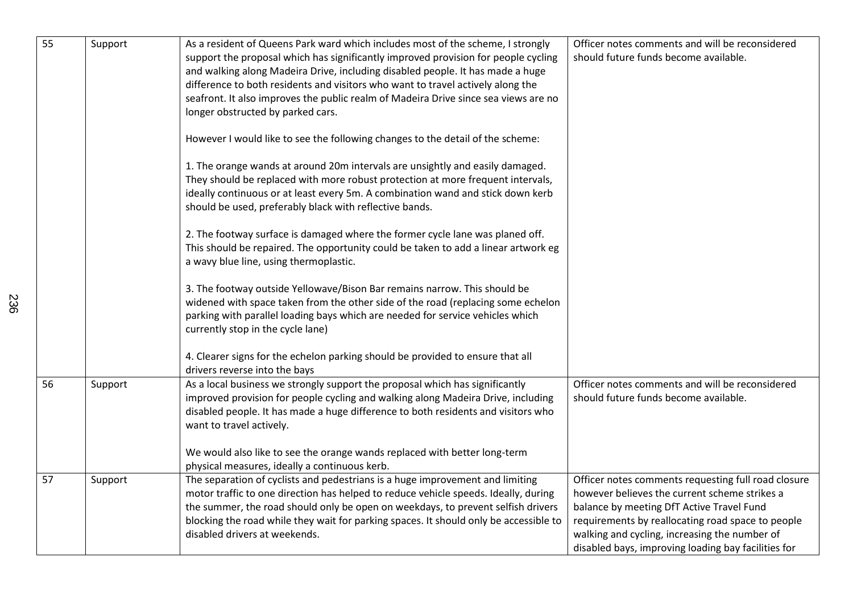| $\overline{55}$ | Support | As a resident of Queens Park ward which includes most of the scheme, I strongly<br>support the proposal which has significantly improved provision for people cycling<br>and walking along Madeira Drive, including disabled people. It has made a huge<br>difference to both residents and visitors who want to travel actively along the<br>seafront. It also improves the public realm of Madeira Drive since sea views are no<br>longer obstructed by parked cars.<br>However I would like to see the following changes to the detail of the scheme:<br>1. The orange wands at around 20m intervals are unsightly and easily damaged.<br>They should be replaced with more robust protection at more frequent intervals,<br>ideally continuous or at least every 5m. A combination wand and stick down kerb<br>should be used, preferably black with reflective bands.<br>2. The footway surface is damaged where the former cycle lane was planed off.<br>This should be repaired. The opportunity could be taken to add a linear artwork eg<br>a wavy blue line, using thermoplastic.<br>3. The footway outside Yellowave/Bison Bar remains narrow. This should be<br>widened with space taken from the other side of the road (replacing some echelon<br>parking with parallel loading bays which are needed for service vehicles which<br>currently stop in the cycle lane)<br>4. Clearer signs for the echelon parking should be provided to ensure that all<br>drivers reverse into the bays | Officer notes comments and will be reconsidered<br>should future funds become available.                                                                                                                                                                                                                       |
|-----------------|---------|--------------------------------------------------------------------------------------------------------------------------------------------------------------------------------------------------------------------------------------------------------------------------------------------------------------------------------------------------------------------------------------------------------------------------------------------------------------------------------------------------------------------------------------------------------------------------------------------------------------------------------------------------------------------------------------------------------------------------------------------------------------------------------------------------------------------------------------------------------------------------------------------------------------------------------------------------------------------------------------------------------------------------------------------------------------------------------------------------------------------------------------------------------------------------------------------------------------------------------------------------------------------------------------------------------------------------------------------------------------------------------------------------------------------------------------------------------------------------------------------------------|----------------------------------------------------------------------------------------------------------------------------------------------------------------------------------------------------------------------------------------------------------------------------------------------------------------|
| 56              | Support | As a local business we strongly support the proposal which has significantly<br>improved provision for people cycling and walking along Madeira Drive, including<br>disabled people. It has made a huge difference to both residents and visitors who<br>want to travel actively.<br>We would also like to see the orange wands replaced with better long-term<br>physical measures, ideally a continuous kerb.                                                                                                                                                                                                                                                                                                                                                                                                                                                                                                                                                                                                                                                                                                                                                                                                                                                                                                                                                                                                                                                                                        | Officer notes comments and will be reconsidered<br>should future funds become available.                                                                                                                                                                                                                       |
| 57              | Support | The separation of cyclists and pedestrians is a huge improvement and limiting<br>motor traffic to one direction has helped to reduce vehicle speeds. Ideally, during<br>the summer, the road should only be open on weekdays, to prevent selfish drivers<br>blocking the road while they wait for parking spaces. It should only be accessible to<br>disabled drivers at weekends.                                                                                                                                                                                                                                                                                                                                                                                                                                                                                                                                                                                                                                                                                                                                                                                                                                                                                                                                                                                                                                                                                                                     | Officer notes comments requesting full road closure<br>however believes the current scheme strikes a<br>balance by meeting DfT Active Travel Fund<br>requirements by reallocating road space to people<br>walking and cycling, increasing the number of<br>disabled bays, improving loading bay facilities for |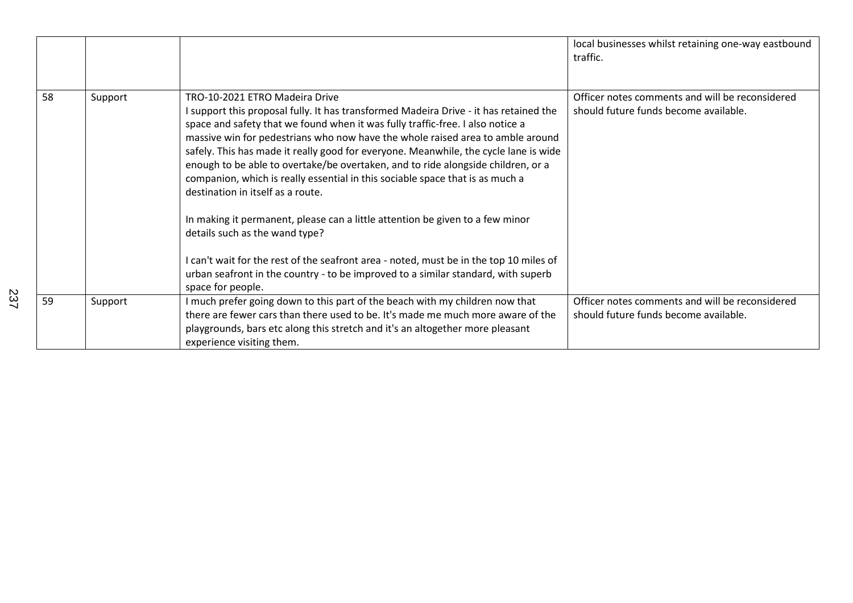|    |         |                                                                                                                                                                                                                                                                                                                                                                                                                                                                                                                                                                                                                                                                                                                                                                                                                                                                                                                      | local businesses whilst retaining one-way eastbound<br>traffic.                          |
|----|---------|----------------------------------------------------------------------------------------------------------------------------------------------------------------------------------------------------------------------------------------------------------------------------------------------------------------------------------------------------------------------------------------------------------------------------------------------------------------------------------------------------------------------------------------------------------------------------------------------------------------------------------------------------------------------------------------------------------------------------------------------------------------------------------------------------------------------------------------------------------------------------------------------------------------------|------------------------------------------------------------------------------------------|
| 58 | Support | TRO-10-2021 ETRO Madeira Drive<br>I support this proposal fully. It has transformed Madeira Drive - it has retained the<br>space and safety that we found when it was fully traffic-free. I also notice a<br>massive win for pedestrians who now have the whole raised area to amble around<br>safely. This has made it really good for everyone. Meanwhile, the cycle lane is wide<br>enough to be able to overtake/be overtaken, and to ride alongside children, or a<br>companion, which is really essential in this sociable space that is as much a<br>destination in itself as a route.<br>In making it permanent, please can a little attention be given to a few minor<br>details such as the wand type?<br>I can't wait for the rest of the seafront area - noted, must be in the top 10 miles of<br>urban seafront in the country - to be improved to a similar standard, with superb<br>space for people. | Officer notes comments and will be reconsidered<br>should future funds become available. |
| 59 | Support | I much prefer going down to this part of the beach with my children now that<br>there are fewer cars than there used to be. It's made me much more aware of the<br>playgrounds, bars etc along this stretch and it's an altogether more pleasant<br>experience visiting them.                                                                                                                                                                                                                                                                                                                                                                                                                                                                                                                                                                                                                                        | Officer notes comments and will be reconsidered<br>should future funds become available. |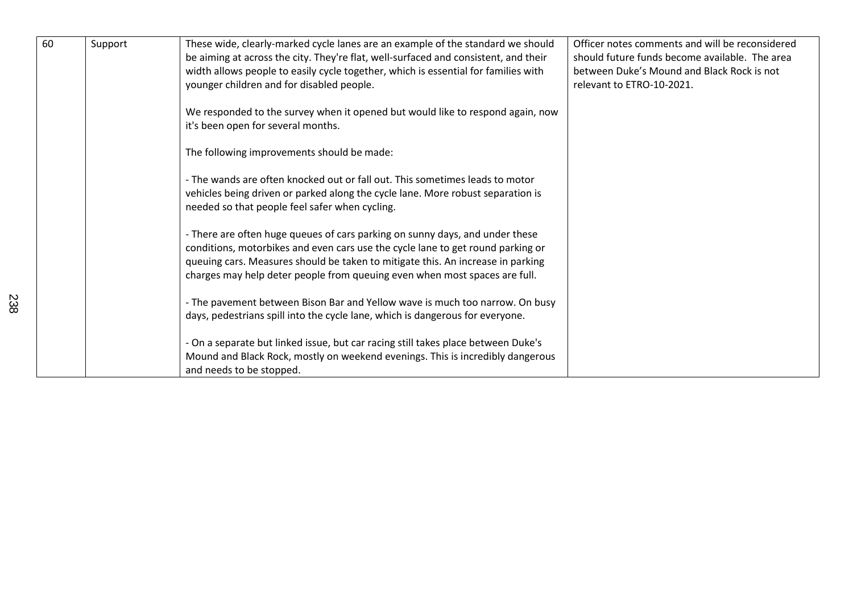| 60 | Support | These wide, clearly-marked cycle lanes are an example of the standard we should<br>be aiming at across the city. They're flat, well-surfaced and consistent, and their<br>width allows people to easily cycle together, which is essential for families with<br>younger children and for disabled people.                        | Officer notes comments and will be reconsidered<br>should future funds become available. The area<br>between Duke's Mound and Black Rock is not<br>relevant to ETRO-10-2021. |
|----|---------|----------------------------------------------------------------------------------------------------------------------------------------------------------------------------------------------------------------------------------------------------------------------------------------------------------------------------------|------------------------------------------------------------------------------------------------------------------------------------------------------------------------------|
|    |         | We responded to the survey when it opened but would like to respond again, now<br>it's been open for several months.                                                                                                                                                                                                             |                                                                                                                                                                              |
|    |         | The following improvements should be made:                                                                                                                                                                                                                                                                                       |                                                                                                                                                                              |
|    |         | - The wands are often knocked out or fall out. This sometimes leads to motor<br>vehicles being driven or parked along the cycle lane. More robust separation is<br>needed so that people feel safer when cycling.                                                                                                                |                                                                                                                                                                              |
|    |         | - There are often huge queues of cars parking on sunny days, and under these<br>conditions, motorbikes and even cars use the cycle lane to get round parking or<br>queuing cars. Measures should be taken to mitigate this. An increase in parking<br>charges may help deter people from queuing even when most spaces are full. |                                                                                                                                                                              |
|    |         | - The pavement between Bison Bar and Yellow wave is much too narrow. On busy<br>days, pedestrians spill into the cycle lane, which is dangerous for everyone.                                                                                                                                                                    |                                                                                                                                                                              |
|    |         | - On a separate but linked issue, but car racing still takes place between Duke's<br>Mound and Black Rock, mostly on weekend evenings. This is incredibly dangerous<br>and needs to be stopped.                                                                                                                                  |                                                                                                                                                                              |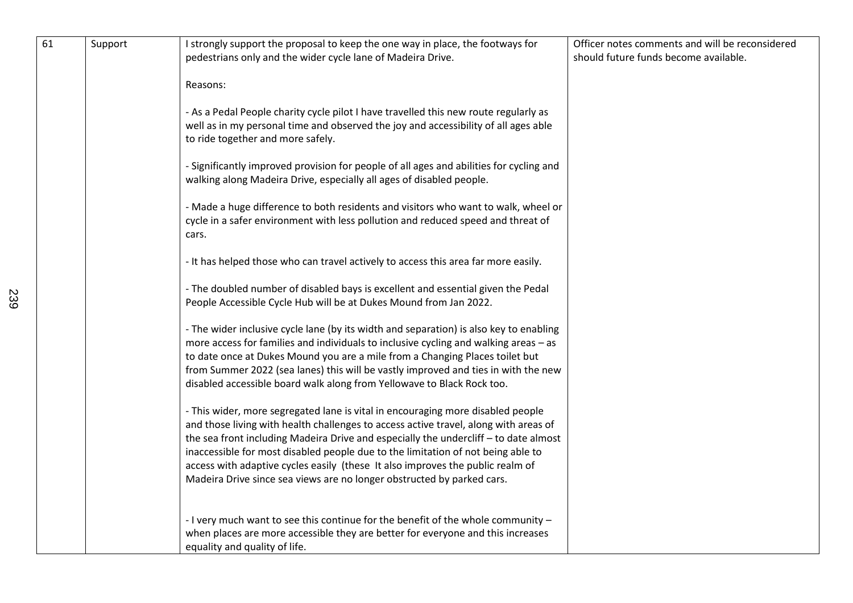| 61 | Support | I strongly support the proposal to keep the one way in place, the footways for<br>pedestrians only and the wider cycle lane of Madeira Drive.                                                                                                                                                                                                                                                                                                                                                                   | Officer notes comments and will be reconsidered<br>should future funds become available. |
|----|---------|-----------------------------------------------------------------------------------------------------------------------------------------------------------------------------------------------------------------------------------------------------------------------------------------------------------------------------------------------------------------------------------------------------------------------------------------------------------------------------------------------------------------|------------------------------------------------------------------------------------------|
|    |         | Reasons:                                                                                                                                                                                                                                                                                                                                                                                                                                                                                                        |                                                                                          |
|    |         | - As a Pedal People charity cycle pilot I have travelled this new route regularly as<br>well as in my personal time and observed the joy and accessibility of all ages able<br>to ride together and more safely.                                                                                                                                                                                                                                                                                                |                                                                                          |
|    |         | - Significantly improved provision for people of all ages and abilities for cycling and<br>walking along Madeira Drive, especially all ages of disabled people.                                                                                                                                                                                                                                                                                                                                                 |                                                                                          |
|    |         | - Made a huge difference to both residents and visitors who want to walk, wheel or<br>cycle in a safer environment with less pollution and reduced speed and threat of<br>cars.                                                                                                                                                                                                                                                                                                                                 |                                                                                          |
|    |         | - It has helped those who can travel actively to access this area far more easily.                                                                                                                                                                                                                                                                                                                                                                                                                              |                                                                                          |
|    |         | - The doubled number of disabled bays is excellent and essential given the Pedal<br>People Accessible Cycle Hub will be at Dukes Mound from Jan 2022.                                                                                                                                                                                                                                                                                                                                                           |                                                                                          |
|    |         | - The wider inclusive cycle lane (by its width and separation) is also key to enabling<br>more access for families and individuals to inclusive cycling and walking areas - as<br>to date once at Dukes Mound you are a mile from a Changing Places toilet but<br>from Summer 2022 (sea lanes) this will be vastly improved and ties in with the new<br>disabled accessible board walk along from Yellowave to Black Rock too.                                                                                  |                                                                                          |
|    |         | - This wider, more segregated lane is vital in encouraging more disabled people<br>and those living with health challenges to access active travel, along with areas of<br>the sea front including Madeira Drive and especially the undercliff - to date almost<br>inaccessible for most disabled people due to the limitation of not being able to<br>access with adaptive cycles easily (these It also improves the public realm of<br>Madeira Drive since sea views are no longer obstructed by parked cars. |                                                                                          |
|    |         | - I very much want to see this continue for the benefit of the whole community -<br>when places are more accessible they are better for everyone and this increases<br>equality and quality of life.                                                                                                                                                                                                                                                                                                            |                                                                                          |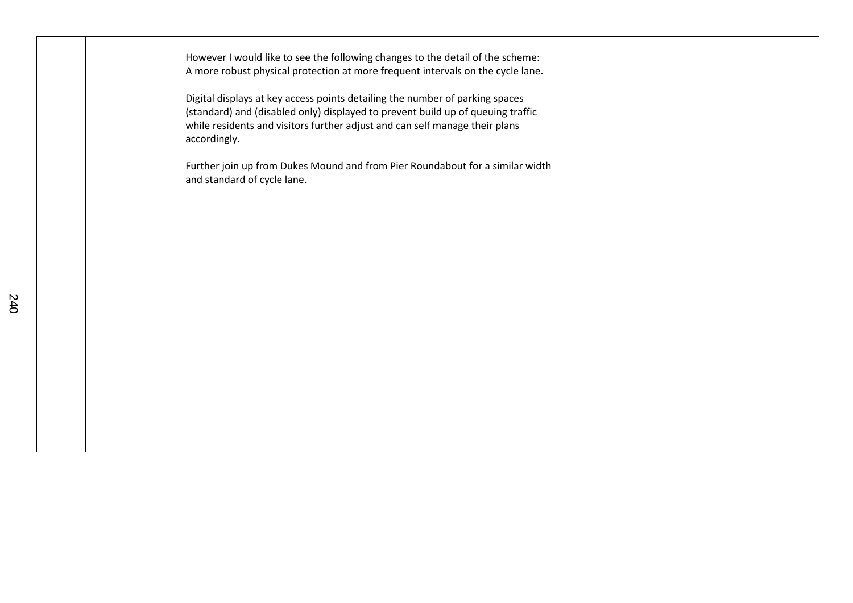| However I would like to see the following changes to the detail of the scheme:<br>A more robust physical protection at more frequent intervals on the cycle lane.<br>Digital displays at key access points detailing the number of parking spaces<br>(standard) and (disabled only) displayed to prevent build up of queuing traffic<br>while residents and visitors further adjust and can self manage their plans<br>accordingly. |  |
|-------------------------------------------------------------------------------------------------------------------------------------------------------------------------------------------------------------------------------------------------------------------------------------------------------------------------------------------------------------------------------------------------------------------------------------|--|
| Further join up from Dukes Mound and from Pier Roundabout for a similar width<br>and standard of cycle lane.                                                                                                                                                                                                                                                                                                                        |  |
|                                                                                                                                                                                                                                                                                                                                                                                                                                     |  |
|                                                                                                                                                                                                                                                                                                                                                                                                                                     |  |
|                                                                                                                                                                                                                                                                                                                                                                                                                                     |  |
|                                                                                                                                                                                                                                                                                                                                                                                                                                     |  |
|                                                                                                                                                                                                                                                                                                                                                                                                                                     |  |
|                                                                                                                                                                                                                                                                                                                                                                                                                                     |  |
|                                                                                                                                                                                                                                                                                                                                                                                                                                     |  |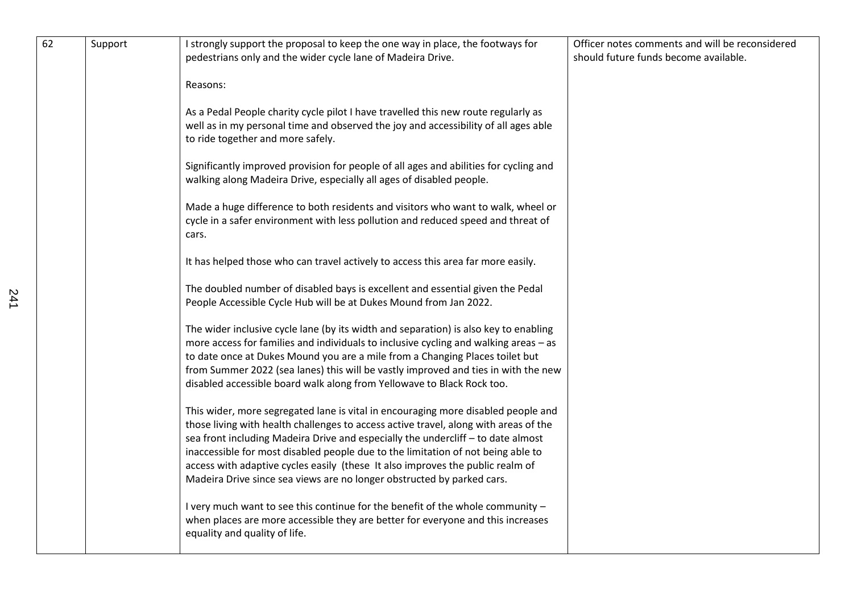| 62 | Support | I strongly support the proposal to keep the one way in place, the footways for<br>pedestrians only and the wider cycle lane of Madeira Drive.                                                                                                                                                                                                                                                                                                                                                                 | Officer notes comments and will be reconsidered<br>should future funds become available. |
|----|---------|---------------------------------------------------------------------------------------------------------------------------------------------------------------------------------------------------------------------------------------------------------------------------------------------------------------------------------------------------------------------------------------------------------------------------------------------------------------------------------------------------------------|------------------------------------------------------------------------------------------|
|    |         | Reasons:                                                                                                                                                                                                                                                                                                                                                                                                                                                                                                      |                                                                                          |
|    |         | As a Pedal People charity cycle pilot I have travelled this new route regularly as<br>well as in my personal time and observed the joy and accessibility of all ages able<br>to ride together and more safely.                                                                                                                                                                                                                                                                                                |                                                                                          |
|    |         | Significantly improved provision for people of all ages and abilities for cycling and<br>walking along Madeira Drive, especially all ages of disabled people.                                                                                                                                                                                                                                                                                                                                                 |                                                                                          |
|    |         | Made a huge difference to both residents and visitors who want to walk, wheel or<br>cycle in a safer environment with less pollution and reduced speed and threat of<br>cars.                                                                                                                                                                                                                                                                                                                                 |                                                                                          |
|    |         | It has helped those who can travel actively to access this area far more easily.                                                                                                                                                                                                                                                                                                                                                                                                                              |                                                                                          |
|    |         | The doubled number of disabled bays is excellent and essential given the Pedal<br>People Accessible Cycle Hub will be at Dukes Mound from Jan 2022.                                                                                                                                                                                                                                                                                                                                                           |                                                                                          |
|    |         | The wider inclusive cycle lane (by its width and separation) is also key to enabling<br>more access for families and individuals to inclusive cycling and walking areas - as<br>to date once at Dukes Mound you are a mile from a Changing Places toilet but<br>from Summer 2022 (sea lanes) this will be vastly improved and ties in with the new<br>disabled accessible board walk along from Yellowave to Black Rock too.                                                                                  |                                                                                          |
|    |         | This wider, more segregated lane is vital in encouraging more disabled people and<br>those living with health challenges to access active travel, along with areas of the<br>sea front including Madeira Drive and especially the undercliff - to date almost<br>inaccessible for most disabled people due to the limitation of not being able to<br>access with adaptive cycles easily (these It also improves the public realm of<br>Madeira Drive since sea views are no longer obstructed by parked cars. |                                                                                          |
|    |         | I very much want to see this continue for the benefit of the whole community -<br>when places are more accessible they are better for everyone and this increases<br>equality and quality of life.                                                                                                                                                                                                                                                                                                            |                                                                                          |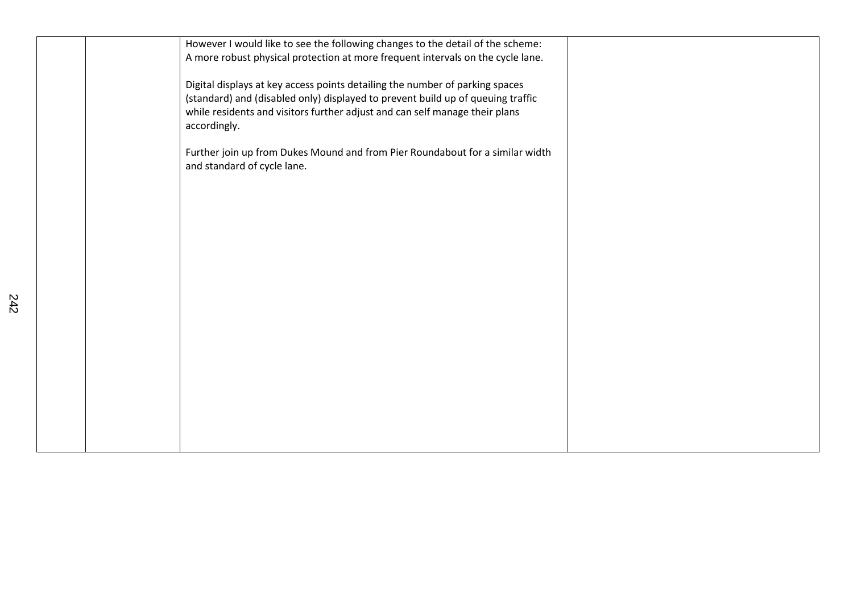| However I would like to see the following changes to the detail of the scheme:<br>A more robust physical protection at more frequent intervals on the cycle lane.                                                                                              |  |
|----------------------------------------------------------------------------------------------------------------------------------------------------------------------------------------------------------------------------------------------------------------|--|
| Digital displays at key access points detailing the number of parking spaces<br>(standard) and (disabled only) displayed to prevent build up of queuing traffic<br>while residents and visitors further adjust and can self manage their plans<br>accordingly. |  |
| Further join up from Dukes Mound and from Pier Roundabout for a similar width<br>and standard of cycle lane.                                                                                                                                                   |  |
|                                                                                                                                                                                                                                                                |  |
|                                                                                                                                                                                                                                                                |  |
|                                                                                                                                                                                                                                                                |  |
|                                                                                                                                                                                                                                                                |  |
|                                                                                                                                                                                                                                                                |  |
|                                                                                                                                                                                                                                                                |  |
|                                                                                                                                                                                                                                                                |  |
|                                                                                                                                                                                                                                                                |  |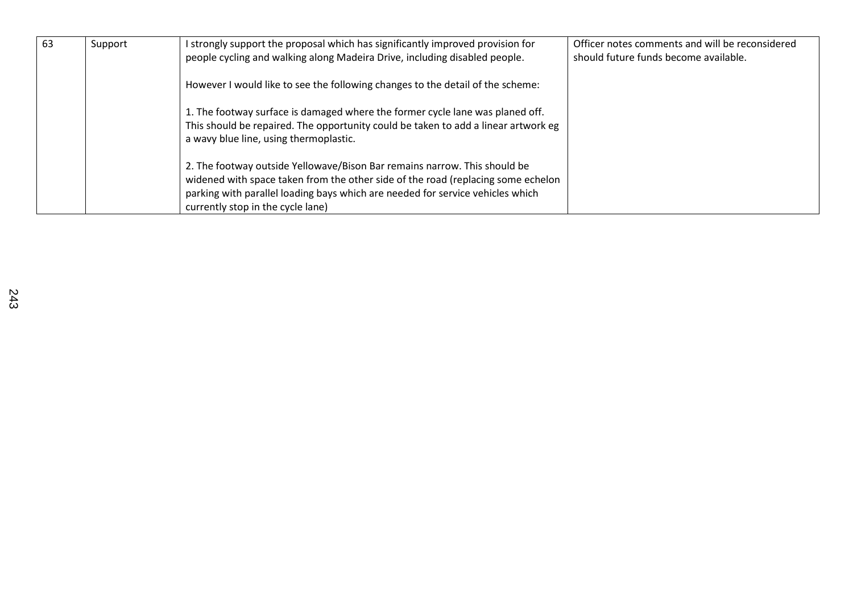| 63 | Support | I strongly support the proposal which has significantly improved provision for                                                                                | Officer notes comments and will be reconsidered |
|----|---------|---------------------------------------------------------------------------------------------------------------------------------------------------------------|-------------------------------------------------|
|    |         | people cycling and walking along Madeira Drive, including disabled people.                                                                                    | should future funds become available.           |
|    |         | However I would like to see the following changes to the detail of the scheme:                                                                                |                                                 |
|    |         | 1. The footway surface is damaged where the former cycle lane was planed off.                                                                                 |                                                 |
|    |         | This should be repaired. The opportunity could be taken to add a linear artwork eg<br>a wavy blue line, using thermoplastic.                                  |                                                 |
|    |         | 2. The footway outside Yellowave/Bison Bar remains narrow. This should be<br>widened with space taken from the other side of the road (replacing some echelon |                                                 |
|    |         | parking with parallel loading bays which are needed for service vehicles which                                                                                |                                                 |
|    |         | currently stop in the cycle lane)                                                                                                                             |                                                 |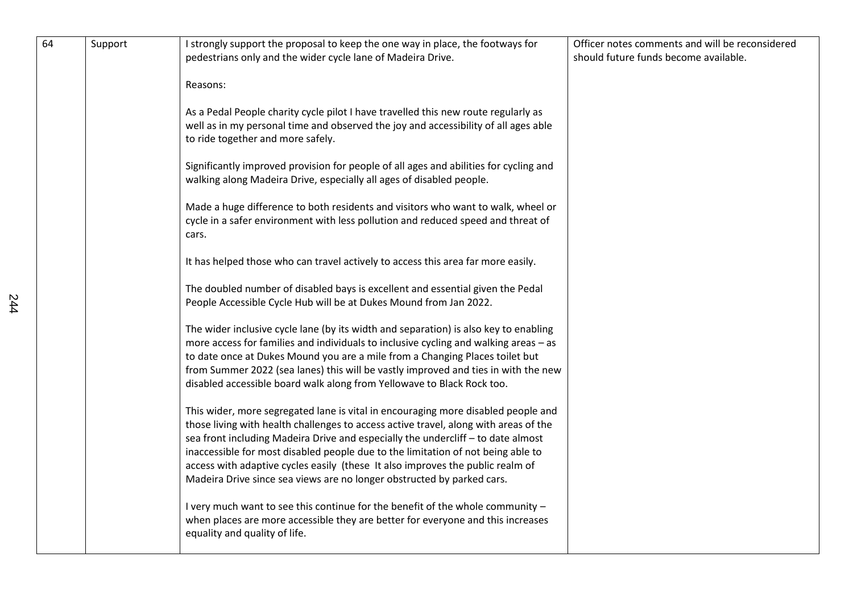| 64 | Support | I strongly support the proposal to keep the one way in place, the footways for<br>pedestrians only and the wider cycle lane of Madeira Drive.                                                                                                                                                                                                                                                                                                                                                                 | Officer notes comments and will be reconsidered<br>should future funds become available. |
|----|---------|---------------------------------------------------------------------------------------------------------------------------------------------------------------------------------------------------------------------------------------------------------------------------------------------------------------------------------------------------------------------------------------------------------------------------------------------------------------------------------------------------------------|------------------------------------------------------------------------------------------|
|    |         | Reasons:                                                                                                                                                                                                                                                                                                                                                                                                                                                                                                      |                                                                                          |
|    |         | As a Pedal People charity cycle pilot I have travelled this new route regularly as<br>well as in my personal time and observed the joy and accessibility of all ages able<br>to ride together and more safely.                                                                                                                                                                                                                                                                                                |                                                                                          |
|    |         | Significantly improved provision for people of all ages and abilities for cycling and<br>walking along Madeira Drive, especially all ages of disabled people.                                                                                                                                                                                                                                                                                                                                                 |                                                                                          |
|    |         | Made a huge difference to both residents and visitors who want to walk, wheel or<br>cycle in a safer environment with less pollution and reduced speed and threat of<br>cars.                                                                                                                                                                                                                                                                                                                                 |                                                                                          |
|    |         | It has helped those who can travel actively to access this area far more easily.                                                                                                                                                                                                                                                                                                                                                                                                                              |                                                                                          |
|    |         | The doubled number of disabled bays is excellent and essential given the Pedal<br>People Accessible Cycle Hub will be at Dukes Mound from Jan 2022.                                                                                                                                                                                                                                                                                                                                                           |                                                                                          |
|    |         | The wider inclusive cycle lane (by its width and separation) is also key to enabling<br>more access for families and individuals to inclusive cycling and walking areas - as<br>to date once at Dukes Mound you are a mile from a Changing Places toilet but<br>from Summer 2022 (sea lanes) this will be vastly improved and ties in with the new<br>disabled accessible board walk along from Yellowave to Black Rock too.                                                                                  |                                                                                          |
|    |         | This wider, more segregated lane is vital in encouraging more disabled people and<br>those living with health challenges to access active travel, along with areas of the<br>sea front including Madeira Drive and especially the undercliff - to date almost<br>inaccessible for most disabled people due to the limitation of not being able to<br>access with adaptive cycles easily (these It also improves the public realm of<br>Madeira Drive since sea views are no longer obstructed by parked cars. |                                                                                          |
|    |         | I very much want to see this continue for the benefit of the whole community -<br>when places are more accessible they are better for everyone and this increases<br>equality and quality of life.                                                                                                                                                                                                                                                                                                            |                                                                                          |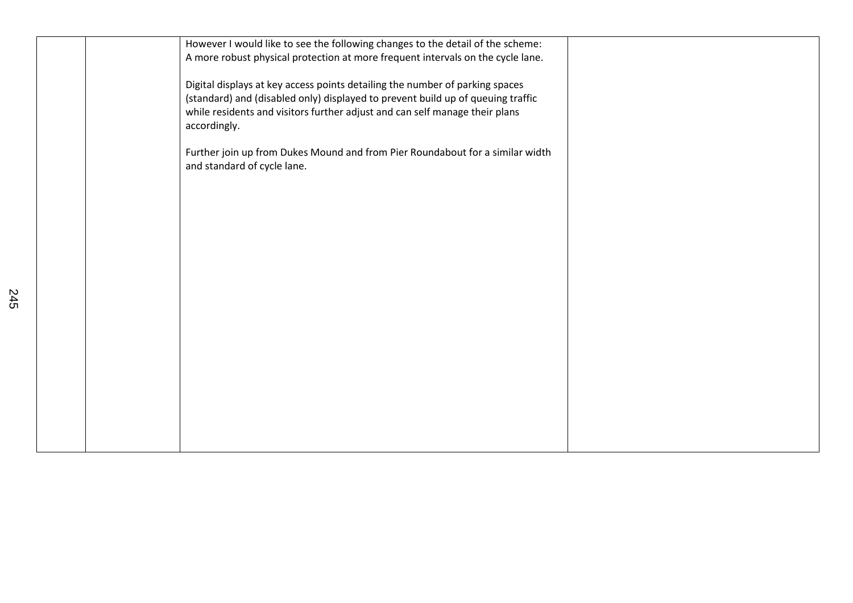| However I would like to see the following changes to the detail of the scheme:  |  |
|---------------------------------------------------------------------------------|--|
| A more robust physical protection at more frequent intervals on the cycle lane. |  |
| Digital displays at key access points detailing the number of parking spaces    |  |
| (standard) and (disabled only) displayed to prevent build up of queuing traffic |  |
| while residents and visitors further adjust and can self manage their plans     |  |
| accordingly.                                                                    |  |
| Further join up from Dukes Mound and from Pier Roundabout for a similar width   |  |
| and standard of cycle lane.                                                     |  |
|                                                                                 |  |
|                                                                                 |  |
|                                                                                 |  |
|                                                                                 |  |
|                                                                                 |  |
|                                                                                 |  |
|                                                                                 |  |
|                                                                                 |  |
|                                                                                 |  |
|                                                                                 |  |
|                                                                                 |  |
|                                                                                 |  |
|                                                                                 |  |
|                                                                                 |  |
|                                                                                 |  |
|                                                                                 |  |
|                                                                                 |  |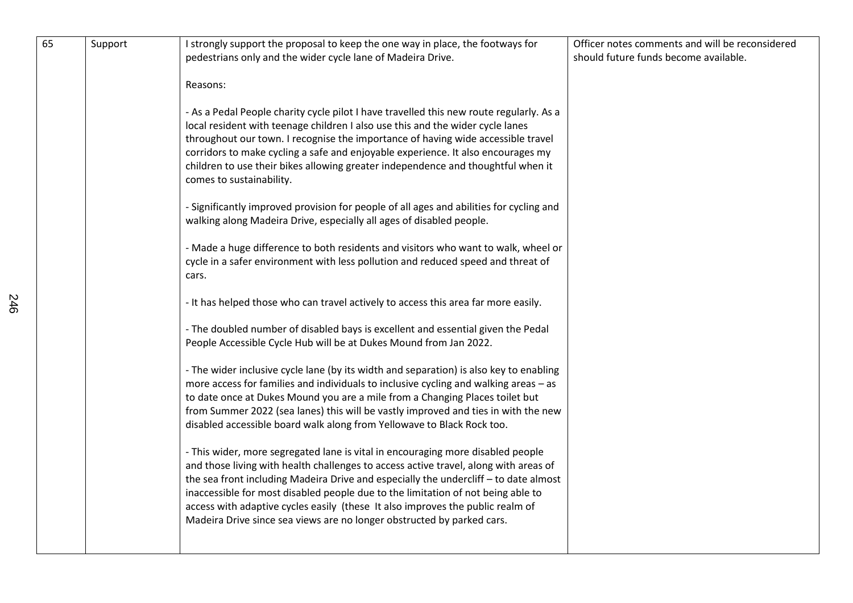| 65 |         |                                                                                                                                                                                                                                                                                                                                                                                                                                                                                                                 | Officer notes comments and will be reconsidered |
|----|---------|-----------------------------------------------------------------------------------------------------------------------------------------------------------------------------------------------------------------------------------------------------------------------------------------------------------------------------------------------------------------------------------------------------------------------------------------------------------------------------------------------------------------|-------------------------------------------------|
|    | Support | I strongly support the proposal to keep the one way in place, the footways for<br>pedestrians only and the wider cycle lane of Madeira Drive.                                                                                                                                                                                                                                                                                                                                                                   | should future funds become available.           |
|    |         | Reasons:                                                                                                                                                                                                                                                                                                                                                                                                                                                                                                        |                                                 |
|    |         | - As a Pedal People charity cycle pilot I have travelled this new route regularly. As a<br>local resident with teenage children I also use this and the wider cycle lanes<br>throughout our town. I recognise the importance of having wide accessible travel<br>corridors to make cycling a safe and enjoyable experience. It also encourages my<br>children to use their bikes allowing greater independence and thoughtful when it<br>comes to sustainability.                                               |                                                 |
|    |         | - Significantly improved provision for people of all ages and abilities for cycling and<br>walking along Madeira Drive, especially all ages of disabled people.                                                                                                                                                                                                                                                                                                                                                 |                                                 |
|    |         | - Made a huge difference to both residents and visitors who want to walk, wheel or<br>cycle in a safer environment with less pollution and reduced speed and threat of<br>cars.                                                                                                                                                                                                                                                                                                                                 |                                                 |
|    |         | - It has helped those who can travel actively to access this area far more easily.                                                                                                                                                                                                                                                                                                                                                                                                                              |                                                 |
|    |         | - The doubled number of disabled bays is excellent and essential given the Pedal<br>People Accessible Cycle Hub will be at Dukes Mound from Jan 2022.                                                                                                                                                                                                                                                                                                                                                           |                                                 |
|    |         | - The wider inclusive cycle lane (by its width and separation) is also key to enabling<br>more access for families and individuals to inclusive cycling and walking areas - as<br>to date once at Dukes Mound you are a mile from a Changing Places toilet but<br>from Summer 2022 (sea lanes) this will be vastly improved and ties in with the new<br>disabled accessible board walk along from Yellowave to Black Rock too.                                                                                  |                                                 |
|    |         | - This wider, more segregated lane is vital in encouraging more disabled people<br>and those living with health challenges to access active travel, along with areas of<br>the sea front including Madeira Drive and especially the undercliff - to date almost<br>inaccessible for most disabled people due to the limitation of not being able to<br>access with adaptive cycles easily (these It also improves the public realm of<br>Madeira Drive since sea views are no longer obstructed by parked cars. |                                                 |
|    |         |                                                                                                                                                                                                                                                                                                                                                                                                                                                                                                                 |                                                 |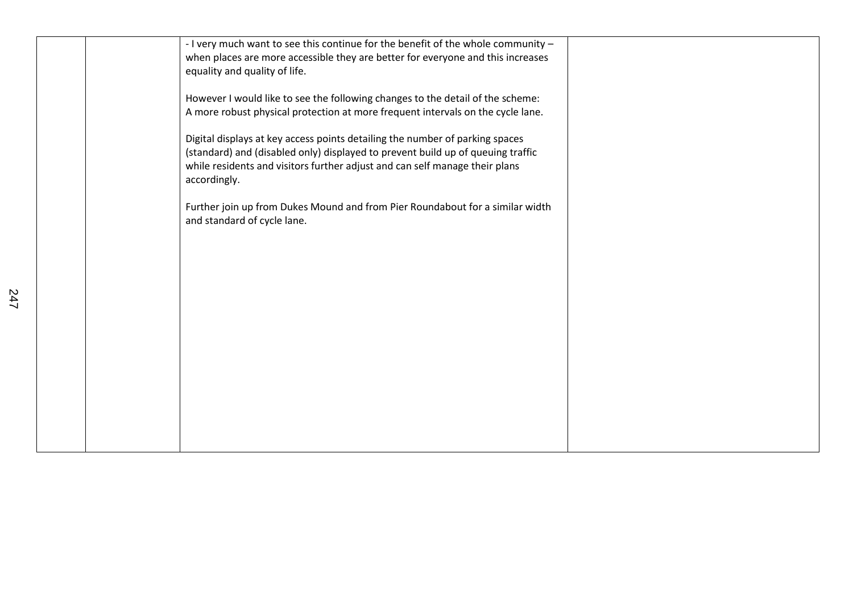|  | - I very much want to see this continue for the benefit of the whole community -<br>when places are more accessible they are better for everyone and this increases<br>equality and quality of life.                                                           |  |
|--|----------------------------------------------------------------------------------------------------------------------------------------------------------------------------------------------------------------------------------------------------------------|--|
|  | However I would like to see the following changes to the detail of the scheme:<br>A more robust physical protection at more frequent intervals on the cycle lane.                                                                                              |  |
|  | Digital displays at key access points detailing the number of parking spaces<br>(standard) and (disabled only) displayed to prevent build up of queuing traffic<br>while residents and visitors further adjust and can self manage their plans<br>accordingly. |  |
|  | Further join up from Dukes Mound and from Pier Roundabout for a similar width<br>and standard of cycle lane.                                                                                                                                                   |  |
|  |                                                                                                                                                                                                                                                                |  |
|  |                                                                                                                                                                                                                                                                |  |
|  |                                                                                                                                                                                                                                                                |  |
|  |                                                                                                                                                                                                                                                                |  |
|  |                                                                                                                                                                                                                                                                |  |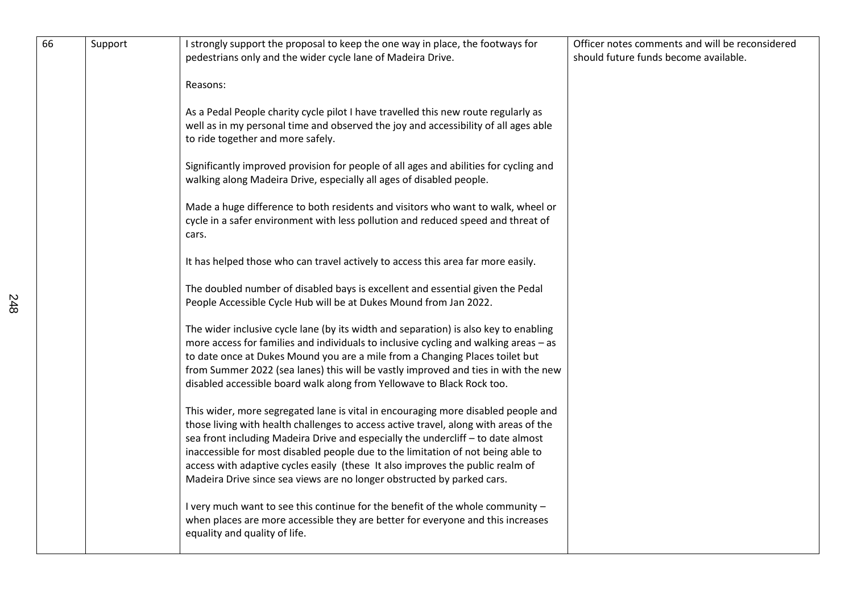| 66 | Support | I strongly support the proposal to keep the one way in place, the footways for<br>pedestrians only and the wider cycle lane of Madeira Drive.                                                                                                                                                                                                                                                                                                                                                                 | Officer notes comments and will be reconsidered<br>should future funds become available. |
|----|---------|---------------------------------------------------------------------------------------------------------------------------------------------------------------------------------------------------------------------------------------------------------------------------------------------------------------------------------------------------------------------------------------------------------------------------------------------------------------------------------------------------------------|------------------------------------------------------------------------------------------|
|    |         | Reasons:                                                                                                                                                                                                                                                                                                                                                                                                                                                                                                      |                                                                                          |
|    |         | As a Pedal People charity cycle pilot I have travelled this new route regularly as<br>well as in my personal time and observed the joy and accessibility of all ages able<br>to ride together and more safely.                                                                                                                                                                                                                                                                                                |                                                                                          |
|    |         | Significantly improved provision for people of all ages and abilities for cycling and<br>walking along Madeira Drive, especially all ages of disabled people.                                                                                                                                                                                                                                                                                                                                                 |                                                                                          |
|    |         | Made a huge difference to both residents and visitors who want to walk, wheel or<br>cycle in a safer environment with less pollution and reduced speed and threat of<br>cars.                                                                                                                                                                                                                                                                                                                                 |                                                                                          |
|    |         | It has helped those who can travel actively to access this area far more easily.                                                                                                                                                                                                                                                                                                                                                                                                                              |                                                                                          |
|    |         | The doubled number of disabled bays is excellent and essential given the Pedal<br>People Accessible Cycle Hub will be at Dukes Mound from Jan 2022.                                                                                                                                                                                                                                                                                                                                                           |                                                                                          |
|    |         | The wider inclusive cycle lane (by its width and separation) is also key to enabling<br>more access for families and individuals to inclusive cycling and walking areas - as<br>to date once at Dukes Mound you are a mile from a Changing Places toilet but<br>from Summer 2022 (sea lanes) this will be vastly improved and ties in with the new<br>disabled accessible board walk along from Yellowave to Black Rock too.                                                                                  |                                                                                          |
|    |         | This wider, more segregated lane is vital in encouraging more disabled people and<br>those living with health challenges to access active travel, along with areas of the<br>sea front including Madeira Drive and especially the undercliff - to date almost<br>inaccessible for most disabled people due to the limitation of not being able to<br>access with adaptive cycles easily (these It also improves the public realm of<br>Madeira Drive since sea views are no longer obstructed by parked cars. |                                                                                          |
|    |         | I very much want to see this continue for the benefit of the whole community -<br>when places are more accessible they are better for everyone and this increases<br>equality and quality of life.                                                                                                                                                                                                                                                                                                            |                                                                                          |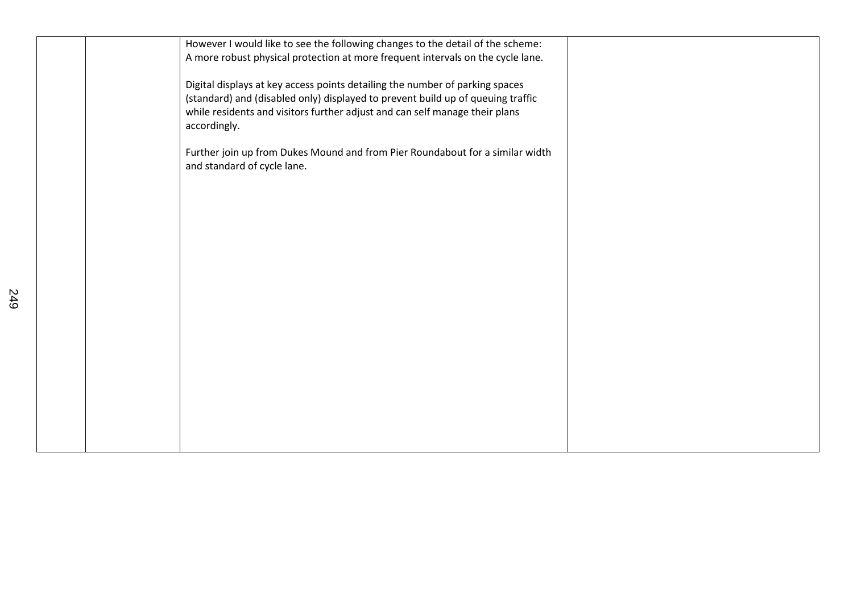|  | However I would like to see the following changes to the detail of the scheme:  |  |
|--|---------------------------------------------------------------------------------|--|
|  | A more robust physical protection at more frequent intervals on the cycle lane. |  |
|  | Digital displays at key access points detailing the number of parking spaces    |  |
|  | (standard) and (disabled only) displayed to prevent build up of queuing traffic |  |
|  | while residents and visitors further adjust and can self manage their plans     |  |
|  | accordingly.                                                                    |  |
|  |                                                                                 |  |
|  | Further join up from Dukes Mound and from Pier Roundabout for a similar width   |  |
|  | and standard of cycle lane.                                                     |  |
|  |                                                                                 |  |
|  |                                                                                 |  |
|  |                                                                                 |  |
|  |                                                                                 |  |
|  |                                                                                 |  |
|  |                                                                                 |  |
|  |                                                                                 |  |
|  |                                                                                 |  |
|  |                                                                                 |  |
|  |                                                                                 |  |
|  |                                                                                 |  |
|  |                                                                                 |  |
|  |                                                                                 |  |
|  |                                                                                 |  |
|  |                                                                                 |  |
|  |                                                                                 |  |
|  |                                                                                 |  |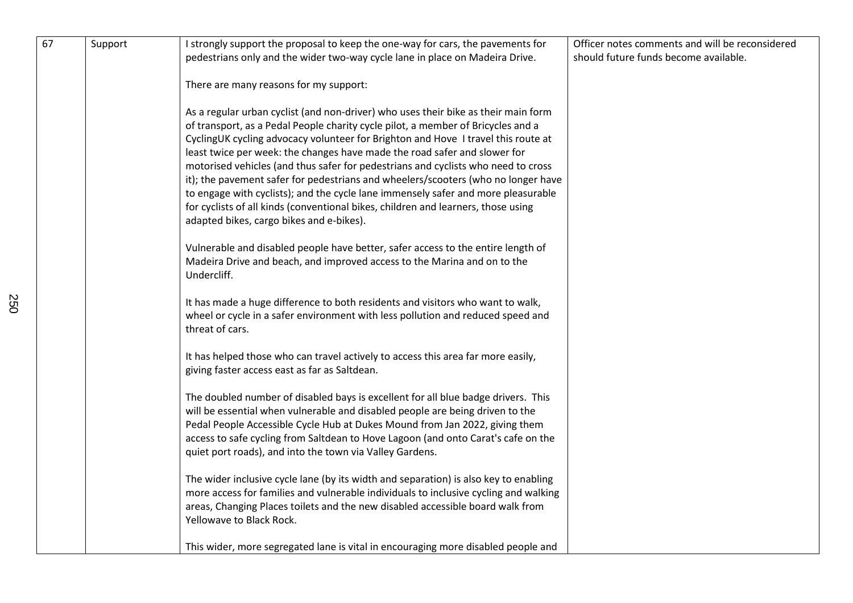| 67 | Support | I strongly support the proposal to keep the one-way for cars, the pavements for<br>pedestrians only and the wider two-way cycle lane in place on Madeira Drive.                                                                                                                                                                                                                                                                                                                                                                                                                                                                                                                                                                          | Officer notes comments and will be reconsidered<br>should future funds become available. |
|----|---------|------------------------------------------------------------------------------------------------------------------------------------------------------------------------------------------------------------------------------------------------------------------------------------------------------------------------------------------------------------------------------------------------------------------------------------------------------------------------------------------------------------------------------------------------------------------------------------------------------------------------------------------------------------------------------------------------------------------------------------------|------------------------------------------------------------------------------------------|
|    |         | There are many reasons for my support:                                                                                                                                                                                                                                                                                                                                                                                                                                                                                                                                                                                                                                                                                                   |                                                                                          |
|    |         | As a regular urban cyclist (and non-driver) who uses their bike as their main form<br>of transport, as a Pedal People charity cycle pilot, a member of Bricycles and a<br>CyclingUK cycling advocacy volunteer for Brighton and Hove I travel this route at<br>least twice per week: the changes have made the road safer and slower for<br>motorised vehicles (and thus safer for pedestrians and cyclists who need to cross<br>it); the pavement safer for pedestrians and wheelers/scooters (who no longer have<br>to engage with cyclists); and the cycle lane immensely safer and more pleasurable<br>for cyclists of all kinds (conventional bikes, children and learners, those using<br>adapted bikes, cargo bikes and e-bikes). |                                                                                          |
|    |         | Vulnerable and disabled people have better, safer access to the entire length of<br>Madeira Drive and beach, and improved access to the Marina and on to the<br>Undercliff.                                                                                                                                                                                                                                                                                                                                                                                                                                                                                                                                                              |                                                                                          |
|    |         | It has made a huge difference to both residents and visitors who want to walk,<br>wheel or cycle in a safer environment with less pollution and reduced speed and<br>threat of cars.                                                                                                                                                                                                                                                                                                                                                                                                                                                                                                                                                     |                                                                                          |
|    |         | It has helped those who can travel actively to access this area far more easily,<br>giving faster access east as far as Saltdean.                                                                                                                                                                                                                                                                                                                                                                                                                                                                                                                                                                                                        |                                                                                          |
|    |         | The doubled number of disabled bays is excellent for all blue badge drivers. This<br>will be essential when vulnerable and disabled people are being driven to the<br>Pedal People Accessible Cycle Hub at Dukes Mound from Jan 2022, giving them<br>access to safe cycling from Saltdean to Hove Lagoon (and onto Carat's cafe on the<br>quiet port roads), and into the town via Valley Gardens.                                                                                                                                                                                                                                                                                                                                       |                                                                                          |
|    |         | The wider inclusive cycle lane (by its width and separation) is also key to enabling<br>more access for families and vulnerable individuals to inclusive cycling and walking<br>areas, Changing Places toilets and the new disabled accessible board walk from<br>Yellowave to Black Rock.                                                                                                                                                                                                                                                                                                                                                                                                                                               |                                                                                          |
|    |         | This wider, more segregated lane is vital in encouraging more disabled people and                                                                                                                                                                                                                                                                                                                                                                                                                                                                                                                                                                                                                                                        |                                                                                          |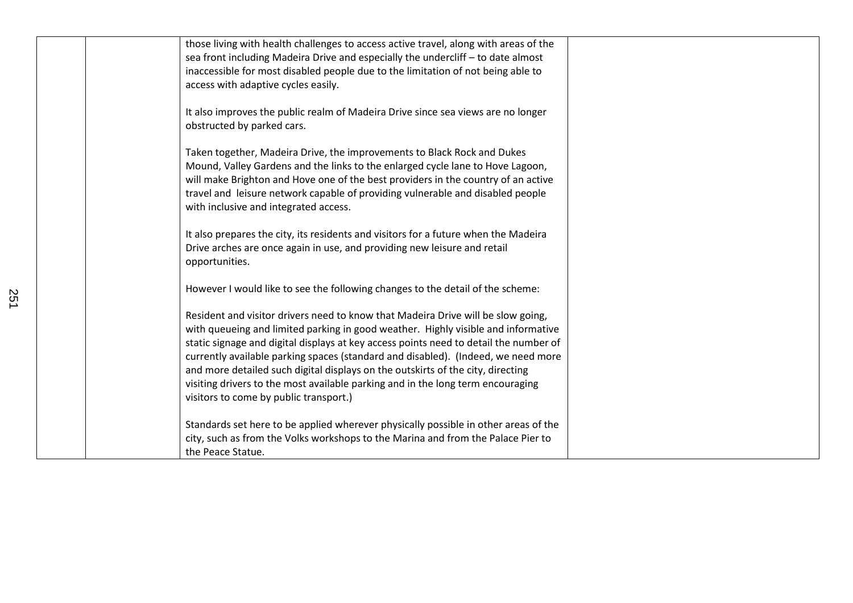| those living with health challenges to access active travel, along with areas of the  |  |
|---------------------------------------------------------------------------------------|--|
| sea front including Madeira Drive and especially the undercliff - to date almost      |  |
| inaccessible for most disabled people due to the limitation of not being able to      |  |
| access with adaptive cycles easily.                                                   |  |
|                                                                                       |  |
| It also improves the public realm of Madeira Drive since sea views are no longer      |  |
| obstructed by parked cars.                                                            |  |
|                                                                                       |  |
| Taken together, Madeira Drive, the improvements to Black Rock and Dukes               |  |
| Mound, Valley Gardens and the links to the enlarged cycle lane to Hove Lagoon,        |  |
| will make Brighton and Hove one of the best providers in the country of an active     |  |
| travel and leisure network capable of providing vulnerable and disabled people        |  |
| with inclusive and integrated access.                                                 |  |
|                                                                                       |  |
| It also prepares the city, its residents and visitors for a future when the Madeira   |  |
| Drive arches are once again in use, and providing new leisure and retail              |  |
| opportunities.                                                                        |  |
|                                                                                       |  |
| However I would like to see the following changes to the detail of the scheme:        |  |
|                                                                                       |  |
| Resident and visitor drivers need to know that Madeira Drive will be slow going,      |  |
| with queueing and limited parking in good weather. Highly visible and informative     |  |
| static signage and digital displays at key access points need to detail the number of |  |
| currently available parking spaces (standard and disabled). (Indeed, we need more     |  |
| and more detailed such digital displays on the outskirts of the city, directing       |  |
|                                                                                       |  |
| visiting drivers to the most available parking and in the long term encouraging       |  |
| visitors to come by public transport.)                                                |  |
|                                                                                       |  |
| Standards set here to be applied wherever physically possible in other areas of the   |  |
| city, such as from the Volks workshops to the Marina and from the Palace Pier to      |  |
| the Peace Statue.                                                                     |  |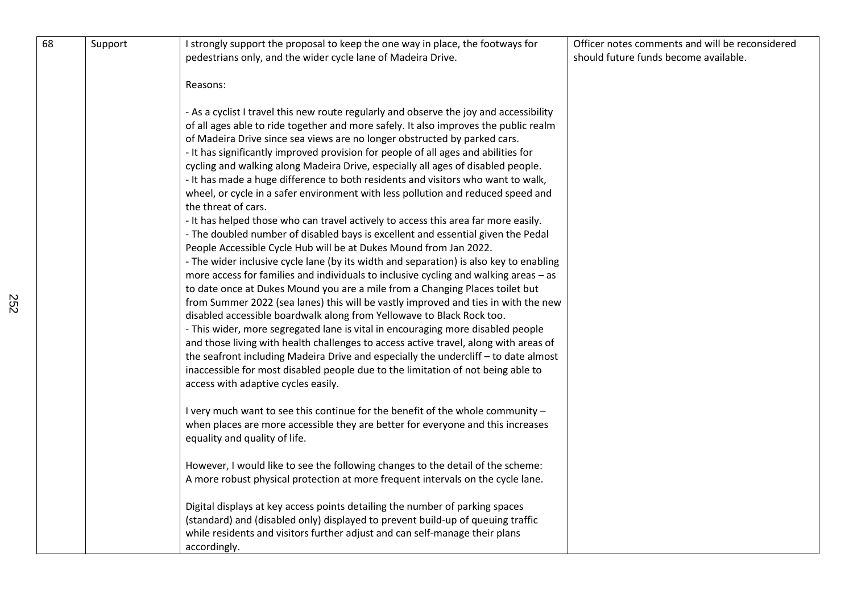| 68 | Support | I strongly support the proposal to keep the one way in place, the footways for<br>pedestrians only, and the wider cycle lane of Madeira Drive.                                                                                                                                                                                                                                                                                                                                                                                                                                                                                                                                                                                                                                                                                                                                                                                                                                        | Officer notes comments and will be reconsidered<br>should future funds become available. |
|----|---------|---------------------------------------------------------------------------------------------------------------------------------------------------------------------------------------------------------------------------------------------------------------------------------------------------------------------------------------------------------------------------------------------------------------------------------------------------------------------------------------------------------------------------------------------------------------------------------------------------------------------------------------------------------------------------------------------------------------------------------------------------------------------------------------------------------------------------------------------------------------------------------------------------------------------------------------------------------------------------------------|------------------------------------------------------------------------------------------|
|    |         | Reasons:<br>- As a cyclist I travel this new route regularly and observe the joy and accessibility<br>of all ages able to ride together and more safely. It also improves the public realm<br>of Madeira Drive since sea views are no longer obstructed by parked cars.<br>- It has significantly improved provision for people of all ages and abilities for<br>cycling and walking along Madeira Drive, especially all ages of disabled people.<br>- It has made a huge difference to both residents and visitors who want to walk,<br>wheel, or cycle in a safer environment with less pollution and reduced speed and<br>the threat of cars.<br>- It has helped those who can travel actively to access this area far more easily.                                                                                                                                                                                                                                                |                                                                                          |
|    |         | - The doubled number of disabled bays is excellent and essential given the Pedal<br>People Accessible Cycle Hub will be at Dukes Mound from Jan 2022.<br>- The wider inclusive cycle lane (by its width and separation) is also key to enabling<br>more access for families and individuals to inclusive cycling and walking areas $-$ as<br>to date once at Dukes Mound you are a mile from a Changing Places toilet but<br>from Summer 2022 (sea lanes) this will be vastly improved and ties in with the new<br>disabled accessible boardwalk along from Yellowave to Black Rock too.<br>- This wider, more segregated lane is vital in encouraging more disabled people<br>and those living with health challenges to access active travel, along with areas of<br>the seafront including Madeira Drive and especially the undercliff - to date almost<br>inaccessible for most disabled people due to the limitation of not being able to<br>access with adaptive cycles easily. |                                                                                          |
|    |         | I very much want to see this continue for the benefit of the whole community -<br>when places are more accessible they are better for everyone and this increases<br>equality and quality of life.                                                                                                                                                                                                                                                                                                                                                                                                                                                                                                                                                                                                                                                                                                                                                                                    |                                                                                          |
|    |         | However, I would like to see the following changes to the detail of the scheme:<br>A more robust physical protection at more frequent intervals on the cycle lane.                                                                                                                                                                                                                                                                                                                                                                                                                                                                                                                                                                                                                                                                                                                                                                                                                    |                                                                                          |
|    |         | Digital displays at key access points detailing the number of parking spaces<br>(standard) and (disabled only) displayed to prevent build-up of queuing traffic<br>while residents and visitors further adjust and can self-manage their plans<br>accordingly.                                                                                                                                                                                                                                                                                                                                                                                                                                                                                                                                                                                                                                                                                                                        |                                                                                          |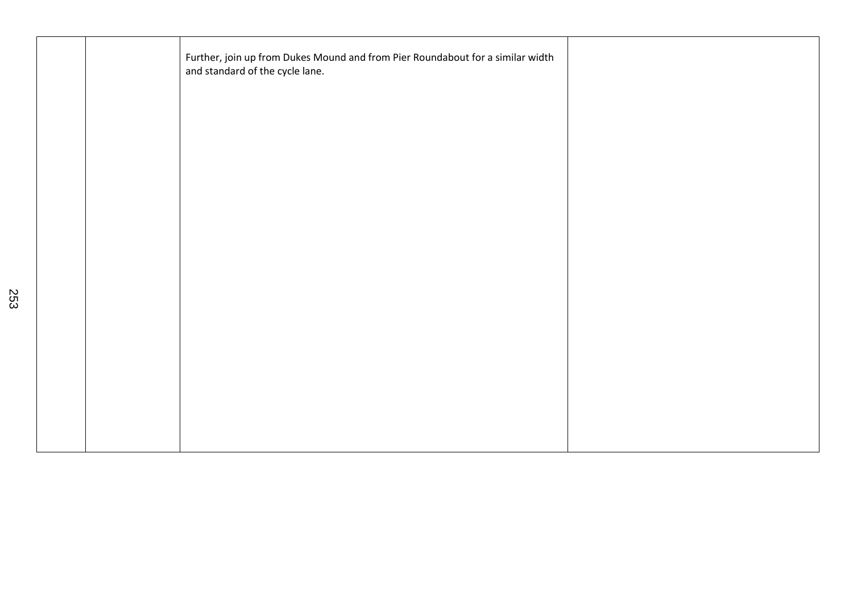|  | Further, join up from Dukes Mound and from Pier Roundabout for a similar width<br>and standard of the cycle lane. |  |
|--|-------------------------------------------------------------------------------------------------------------------|--|
|  |                                                                                                                   |  |
|  |                                                                                                                   |  |
|  |                                                                                                                   |  |
|  |                                                                                                                   |  |
|  |                                                                                                                   |  |
|  |                                                                                                                   |  |
|  |                                                                                                                   |  |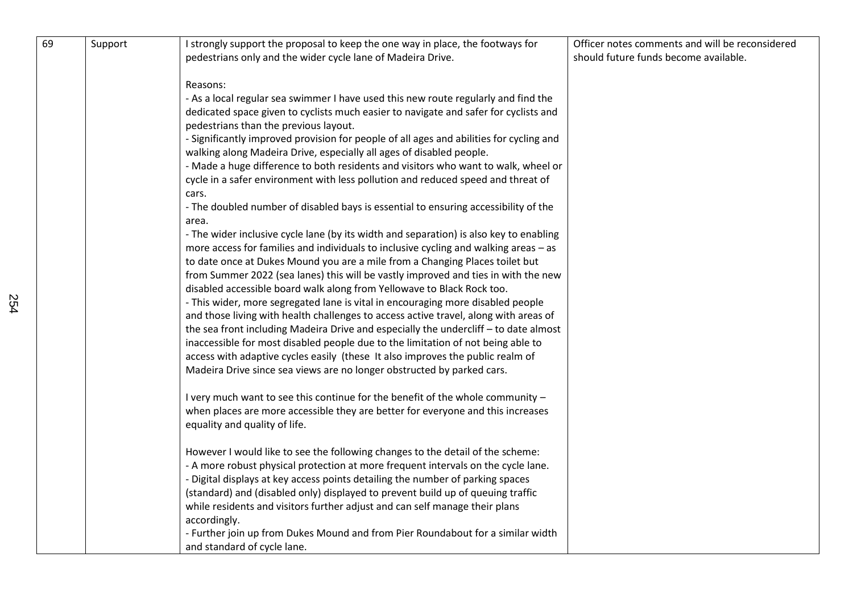| 69 | Support | I strongly support the proposal to keep the one way in place, the footways for                                                                                          | Officer notes comments and will be reconsidered |
|----|---------|-------------------------------------------------------------------------------------------------------------------------------------------------------------------------|-------------------------------------------------|
|    |         | pedestrians only and the wider cycle lane of Madeira Drive.                                                                                                             | should future funds become available.           |
|    |         | Reasons:                                                                                                                                                                |                                                 |
|    |         | - As a local regular sea swimmer I have used this new route regularly and find the                                                                                      |                                                 |
|    |         | dedicated space given to cyclists much easier to navigate and safer for cyclists and                                                                                    |                                                 |
|    |         | pedestrians than the previous layout.                                                                                                                                   |                                                 |
|    |         | - Significantly improved provision for people of all ages and abilities for cycling and                                                                                 |                                                 |
|    |         | walking along Madeira Drive, especially all ages of disabled people.                                                                                                    |                                                 |
|    |         | - Made a huge difference to both residents and visitors who want to walk, wheel or                                                                                      |                                                 |
|    |         | cycle in a safer environment with less pollution and reduced speed and threat of                                                                                        |                                                 |
|    |         | cars.<br>- The doubled number of disabled bays is essential to ensuring accessibility of the                                                                            |                                                 |
|    |         | area.                                                                                                                                                                   |                                                 |
|    |         | - The wider inclusive cycle lane (by its width and separation) is also key to enabling                                                                                  |                                                 |
|    |         | more access for families and individuals to inclusive cycling and walking areas - as                                                                                    |                                                 |
|    |         | to date once at Dukes Mound you are a mile from a Changing Places toilet but                                                                                            |                                                 |
|    |         | from Summer 2022 (sea lanes) this will be vastly improved and ties in with the new                                                                                      |                                                 |
|    |         | disabled accessible board walk along from Yellowave to Black Rock too.                                                                                                  |                                                 |
|    |         | - This wider, more segregated lane is vital in encouraging more disabled people<br>and those living with health challenges to access active travel, along with areas of |                                                 |
|    |         | the sea front including Madeira Drive and especially the undercliff - to date almost                                                                                    |                                                 |
|    |         | inaccessible for most disabled people due to the limitation of not being able to                                                                                        |                                                 |
|    |         | access with adaptive cycles easily (these It also improves the public realm of                                                                                          |                                                 |
|    |         | Madeira Drive since sea views are no longer obstructed by parked cars.                                                                                                  |                                                 |
|    |         | I very much want to see this continue for the benefit of the whole community -                                                                                          |                                                 |
|    |         | when places are more accessible they are better for everyone and this increases                                                                                         |                                                 |
|    |         | equality and quality of life.                                                                                                                                           |                                                 |
|    |         | However I would like to see the following changes to the detail of the scheme:                                                                                          |                                                 |
|    |         | - A more robust physical protection at more frequent intervals on the cycle lane.                                                                                       |                                                 |
|    |         | - Digital displays at key access points detailing the number of parking spaces                                                                                          |                                                 |
|    |         | (standard) and (disabled only) displayed to prevent build up of queuing traffic                                                                                         |                                                 |
|    |         | while residents and visitors further adjust and can self manage their plans<br>accordingly.                                                                             |                                                 |
|    |         | - Further join up from Dukes Mound and from Pier Roundabout for a similar width                                                                                         |                                                 |
|    |         | and standard of cycle lane.                                                                                                                                             |                                                 |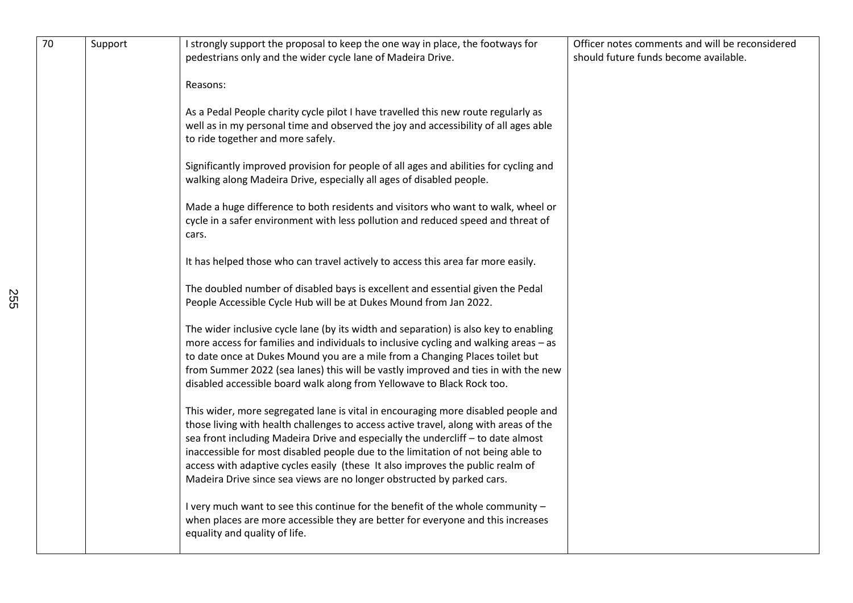| 70 | Support | I strongly support the proposal to keep the one way in place, the footways for<br>pedestrians only and the wider cycle lane of Madeira Drive.                                                                                                                                                                                                                                                                                                                                                                 | Officer notes comments and will be reconsidered<br>should future funds become available. |
|----|---------|---------------------------------------------------------------------------------------------------------------------------------------------------------------------------------------------------------------------------------------------------------------------------------------------------------------------------------------------------------------------------------------------------------------------------------------------------------------------------------------------------------------|------------------------------------------------------------------------------------------|
|    |         | Reasons:                                                                                                                                                                                                                                                                                                                                                                                                                                                                                                      |                                                                                          |
|    |         | As a Pedal People charity cycle pilot I have travelled this new route regularly as<br>well as in my personal time and observed the joy and accessibility of all ages able<br>to ride together and more safely.                                                                                                                                                                                                                                                                                                |                                                                                          |
|    |         | Significantly improved provision for people of all ages and abilities for cycling and<br>walking along Madeira Drive, especially all ages of disabled people.                                                                                                                                                                                                                                                                                                                                                 |                                                                                          |
|    |         | Made a huge difference to both residents and visitors who want to walk, wheel or<br>cycle in a safer environment with less pollution and reduced speed and threat of<br>cars.                                                                                                                                                                                                                                                                                                                                 |                                                                                          |
|    |         | It has helped those who can travel actively to access this area far more easily.                                                                                                                                                                                                                                                                                                                                                                                                                              |                                                                                          |
|    |         | The doubled number of disabled bays is excellent and essential given the Pedal<br>People Accessible Cycle Hub will be at Dukes Mound from Jan 2022.                                                                                                                                                                                                                                                                                                                                                           |                                                                                          |
|    |         | The wider inclusive cycle lane (by its width and separation) is also key to enabling<br>more access for families and individuals to inclusive cycling and walking areas - as<br>to date once at Dukes Mound you are a mile from a Changing Places toilet but<br>from Summer 2022 (sea lanes) this will be vastly improved and ties in with the new<br>disabled accessible board walk along from Yellowave to Black Rock too.                                                                                  |                                                                                          |
|    |         | This wider, more segregated lane is vital in encouraging more disabled people and<br>those living with health challenges to access active travel, along with areas of the<br>sea front including Madeira Drive and especially the undercliff - to date almost<br>inaccessible for most disabled people due to the limitation of not being able to<br>access with adaptive cycles easily (these It also improves the public realm of<br>Madeira Drive since sea views are no longer obstructed by parked cars. |                                                                                          |
|    |         | I very much want to see this continue for the benefit of the whole community -<br>when places are more accessible they are better for everyone and this increases<br>equality and quality of life.                                                                                                                                                                                                                                                                                                            |                                                                                          |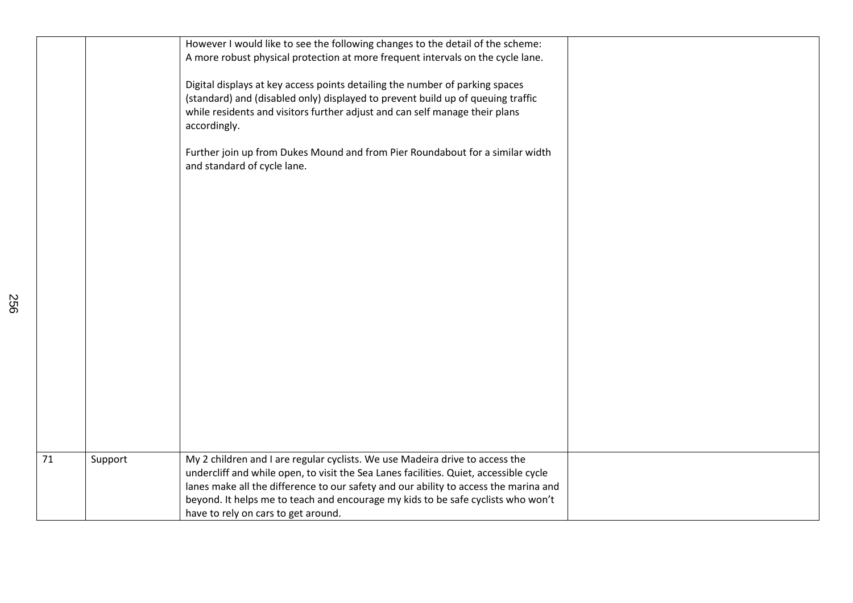|                 |         | However I would like to see the following changes to the detail of the scheme:<br>A more robust physical protection at more frequent intervals on the cycle lane.                                                                                              |  |
|-----------------|---------|----------------------------------------------------------------------------------------------------------------------------------------------------------------------------------------------------------------------------------------------------------------|--|
|                 |         | Digital displays at key access points detailing the number of parking spaces<br>(standard) and (disabled only) displayed to prevent build up of queuing traffic<br>while residents and visitors further adjust and can self manage their plans<br>accordingly. |  |
|                 |         | Further join up from Dukes Mound and from Pier Roundabout for a similar width<br>and standard of cycle lane.                                                                                                                                                   |  |
|                 |         |                                                                                                                                                                                                                                                                |  |
|                 |         |                                                                                                                                                                                                                                                                |  |
|                 |         |                                                                                                                                                                                                                                                                |  |
|                 |         |                                                                                                                                                                                                                                                                |  |
|                 |         |                                                                                                                                                                                                                                                                |  |
|                 |         |                                                                                                                                                                                                                                                                |  |
| $\overline{71}$ | Support | My 2 children and I are regular cyclists. We use Madeira drive to access the<br>undercliff and while open, to visit the Sea Lanes facilities. Quiet, accessible cycle                                                                                          |  |
|                 |         | lanes make all the difference to our safety and our ability to access the marina and<br>beyond. It helps me to teach and encourage my kids to be safe cyclists who won't                                                                                       |  |
|                 |         | have to rely on cars to get around.                                                                                                                                                                                                                            |  |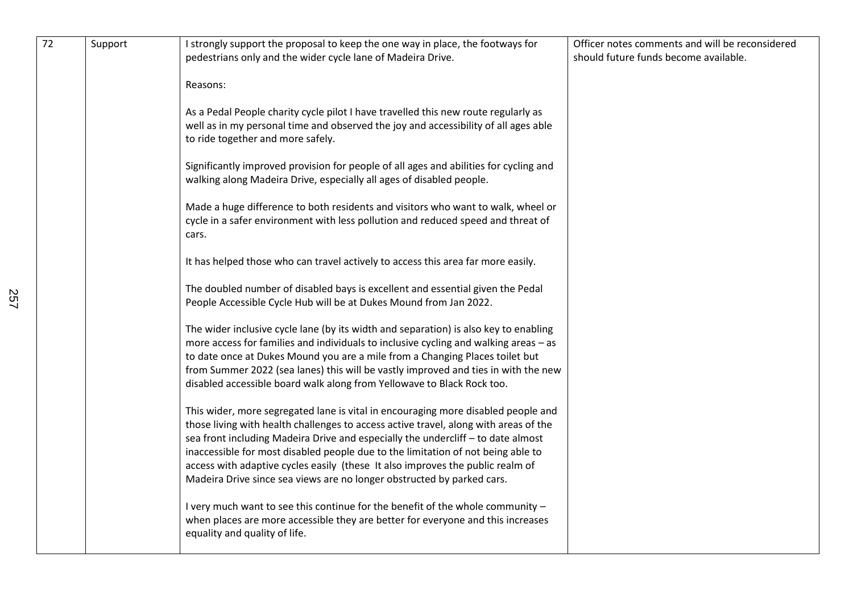| 72 | Support | I strongly support the proposal to keep the one way in place, the footways for<br>pedestrians only and the wider cycle lane of Madeira Drive.                                                                                                                                                                                                                                                                                                                                                                 | Officer notes comments and will be reconsidered<br>should future funds become available. |
|----|---------|---------------------------------------------------------------------------------------------------------------------------------------------------------------------------------------------------------------------------------------------------------------------------------------------------------------------------------------------------------------------------------------------------------------------------------------------------------------------------------------------------------------|------------------------------------------------------------------------------------------|
|    |         | Reasons:                                                                                                                                                                                                                                                                                                                                                                                                                                                                                                      |                                                                                          |
|    |         | As a Pedal People charity cycle pilot I have travelled this new route regularly as<br>well as in my personal time and observed the joy and accessibility of all ages able<br>to ride together and more safely.                                                                                                                                                                                                                                                                                                |                                                                                          |
|    |         | Significantly improved provision for people of all ages and abilities for cycling and<br>walking along Madeira Drive, especially all ages of disabled people.                                                                                                                                                                                                                                                                                                                                                 |                                                                                          |
|    |         | Made a huge difference to both residents and visitors who want to walk, wheel or<br>cycle in a safer environment with less pollution and reduced speed and threat of<br>cars.                                                                                                                                                                                                                                                                                                                                 |                                                                                          |
|    |         | It has helped those who can travel actively to access this area far more easily.                                                                                                                                                                                                                                                                                                                                                                                                                              |                                                                                          |
|    |         | The doubled number of disabled bays is excellent and essential given the Pedal<br>People Accessible Cycle Hub will be at Dukes Mound from Jan 2022.                                                                                                                                                                                                                                                                                                                                                           |                                                                                          |
|    |         | The wider inclusive cycle lane (by its width and separation) is also key to enabling<br>more access for families and individuals to inclusive cycling and walking areas - as<br>to date once at Dukes Mound you are a mile from a Changing Places toilet but<br>from Summer 2022 (sea lanes) this will be vastly improved and ties in with the new<br>disabled accessible board walk along from Yellowave to Black Rock too.                                                                                  |                                                                                          |
|    |         | This wider, more segregated lane is vital in encouraging more disabled people and<br>those living with health challenges to access active travel, along with areas of the<br>sea front including Madeira Drive and especially the undercliff - to date almost<br>inaccessible for most disabled people due to the limitation of not being able to<br>access with adaptive cycles easily (these It also improves the public realm of<br>Madeira Drive since sea views are no longer obstructed by parked cars. |                                                                                          |
|    |         | I very much want to see this continue for the benefit of the whole community -<br>when places are more accessible they are better for everyone and this increases<br>equality and quality of life.                                                                                                                                                                                                                                                                                                            |                                                                                          |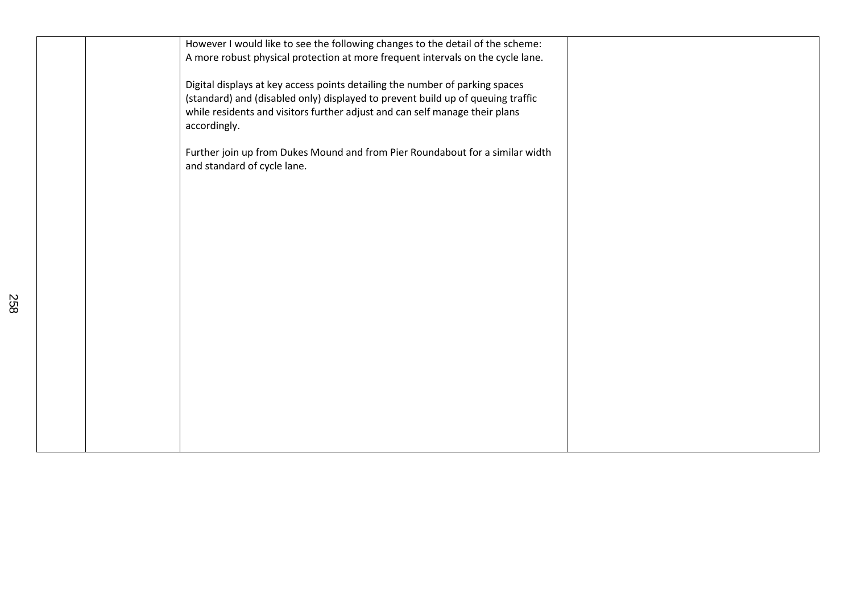| However I would like to see the following changes to the detail of the scheme:<br>A more robust physical protection at more frequent intervals on the cycle lane.                                                                                              |  |
|----------------------------------------------------------------------------------------------------------------------------------------------------------------------------------------------------------------------------------------------------------------|--|
| Digital displays at key access points detailing the number of parking spaces<br>(standard) and (disabled only) displayed to prevent build up of queuing traffic<br>while residents and visitors further adjust and can self manage their plans<br>accordingly. |  |
| Further join up from Dukes Mound and from Pier Roundabout for a similar width<br>and standard of cycle lane.                                                                                                                                                   |  |
|                                                                                                                                                                                                                                                                |  |
|                                                                                                                                                                                                                                                                |  |
|                                                                                                                                                                                                                                                                |  |
|                                                                                                                                                                                                                                                                |  |
|                                                                                                                                                                                                                                                                |  |
|                                                                                                                                                                                                                                                                |  |
|                                                                                                                                                                                                                                                                |  |
|                                                                                                                                                                                                                                                                |  |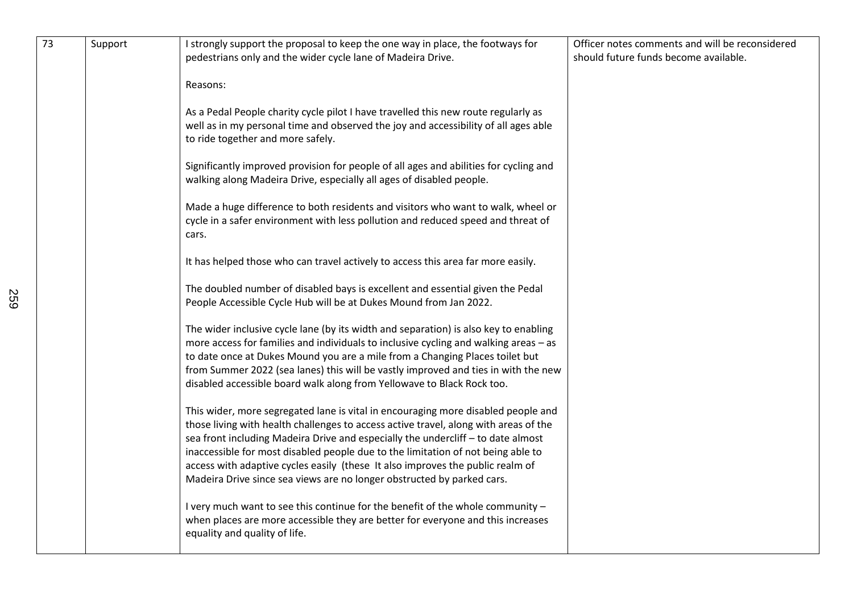| 73 | Support | I strongly support the proposal to keep the one way in place, the footways for<br>pedestrians only and the wider cycle lane of Madeira Drive.                                                                                                                                                                                                                                                                                                                                                                 | Officer notes comments and will be reconsidered<br>should future funds become available. |
|----|---------|---------------------------------------------------------------------------------------------------------------------------------------------------------------------------------------------------------------------------------------------------------------------------------------------------------------------------------------------------------------------------------------------------------------------------------------------------------------------------------------------------------------|------------------------------------------------------------------------------------------|
|    |         | Reasons:                                                                                                                                                                                                                                                                                                                                                                                                                                                                                                      |                                                                                          |
|    |         | As a Pedal People charity cycle pilot I have travelled this new route regularly as<br>well as in my personal time and observed the joy and accessibility of all ages able<br>to ride together and more safely.                                                                                                                                                                                                                                                                                                |                                                                                          |
|    |         | Significantly improved provision for people of all ages and abilities for cycling and<br>walking along Madeira Drive, especially all ages of disabled people.                                                                                                                                                                                                                                                                                                                                                 |                                                                                          |
|    |         | Made a huge difference to both residents and visitors who want to walk, wheel or<br>cycle in a safer environment with less pollution and reduced speed and threat of<br>cars.                                                                                                                                                                                                                                                                                                                                 |                                                                                          |
|    |         | It has helped those who can travel actively to access this area far more easily.                                                                                                                                                                                                                                                                                                                                                                                                                              |                                                                                          |
|    |         | The doubled number of disabled bays is excellent and essential given the Pedal<br>People Accessible Cycle Hub will be at Dukes Mound from Jan 2022.                                                                                                                                                                                                                                                                                                                                                           |                                                                                          |
|    |         | The wider inclusive cycle lane (by its width and separation) is also key to enabling<br>more access for families and individuals to inclusive cycling and walking areas - as<br>to date once at Dukes Mound you are a mile from a Changing Places toilet but<br>from Summer 2022 (sea lanes) this will be vastly improved and ties in with the new<br>disabled accessible board walk along from Yellowave to Black Rock too.                                                                                  |                                                                                          |
|    |         | This wider, more segregated lane is vital in encouraging more disabled people and<br>those living with health challenges to access active travel, along with areas of the<br>sea front including Madeira Drive and especially the undercliff - to date almost<br>inaccessible for most disabled people due to the limitation of not being able to<br>access with adaptive cycles easily (these It also improves the public realm of<br>Madeira Drive since sea views are no longer obstructed by parked cars. |                                                                                          |
|    |         | I very much want to see this continue for the benefit of the whole community -<br>when places are more accessible they are better for everyone and this increases<br>equality and quality of life.                                                                                                                                                                                                                                                                                                            |                                                                                          |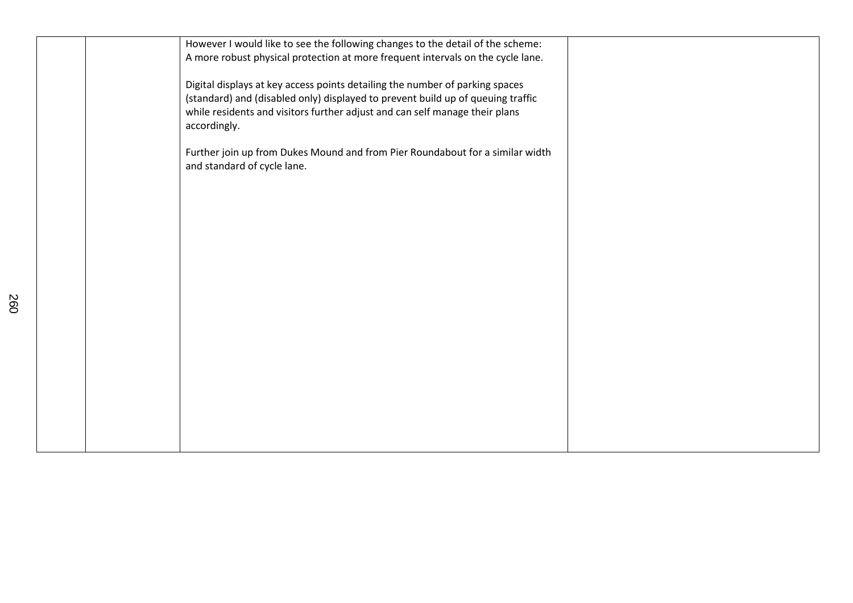| However I would like to see the following changes to the detail of the scheme:<br>A more robust physical protection at more frequent intervals on the cycle lane. |  |
|-------------------------------------------------------------------------------------------------------------------------------------------------------------------|--|
| Digital displays at key access points detailing the number of parking spaces                                                                                      |  |
| (standard) and (disabled only) displayed to prevent build up of queuing traffic                                                                                   |  |
| while residents and visitors further adjust and can self manage their plans<br>accordingly.                                                                       |  |
| Further join up from Dukes Mound and from Pier Roundabout for a similar width                                                                                     |  |
| and standard of cycle lane.                                                                                                                                       |  |
|                                                                                                                                                                   |  |
|                                                                                                                                                                   |  |
|                                                                                                                                                                   |  |
|                                                                                                                                                                   |  |
|                                                                                                                                                                   |  |
|                                                                                                                                                                   |  |
|                                                                                                                                                                   |  |
|                                                                                                                                                                   |  |
|                                                                                                                                                                   |  |
|                                                                                                                                                                   |  |
|                                                                                                                                                                   |  |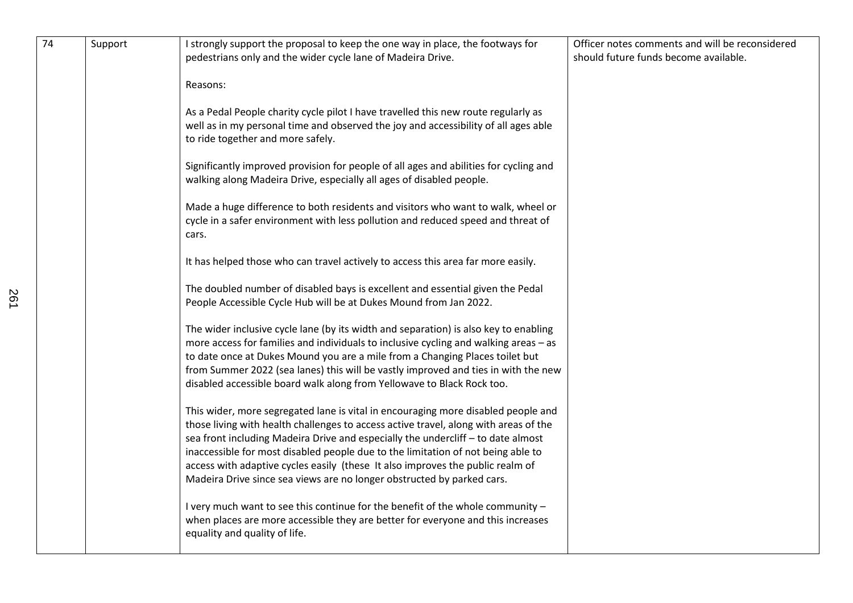| 74 | Support | I strongly support the proposal to keep the one way in place, the footways for<br>pedestrians only and the wider cycle lane of Madeira Drive.                                                                                                                                                                                                                                                                                                                                                                 | Officer notes comments and will be reconsidered<br>should future funds become available. |
|----|---------|---------------------------------------------------------------------------------------------------------------------------------------------------------------------------------------------------------------------------------------------------------------------------------------------------------------------------------------------------------------------------------------------------------------------------------------------------------------------------------------------------------------|------------------------------------------------------------------------------------------|
|    |         | Reasons:                                                                                                                                                                                                                                                                                                                                                                                                                                                                                                      |                                                                                          |
|    |         | As a Pedal People charity cycle pilot I have travelled this new route regularly as<br>well as in my personal time and observed the joy and accessibility of all ages able<br>to ride together and more safely.                                                                                                                                                                                                                                                                                                |                                                                                          |
|    |         | Significantly improved provision for people of all ages and abilities for cycling and<br>walking along Madeira Drive, especially all ages of disabled people.                                                                                                                                                                                                                                                                                                                                                 |                                                                                          |
|    |         | Made a huge difference to both residents and visitors who want to walk, wheel or<br>cycle in a safer environment with less pollution and reduced speed and threat of<br>cars.                                                                                                                                                                                                                                                                                                                                 |                                                                                          |
|    |         | It has helped those who can travel actively to access this area far more easily.                                                                                                                                                                                                                                                                                                                                                                                                                              |                                                                                          |
|    |         | The doubled number of disabled bays is excellent and essential given the Pedal<br>People Accessible Cycle Hub will be at Dukes Mound from Jan 2022.                                                                                                                                                                                                                                                                                                                                                           |                                                                                          |
|    |         | The wider inclusive cycle lane (by its width and separation) is also key to enabling<br>more access for families and individuals to inclusive cycling and walking areas - as<br>to date once at Dukes Mound you are a mile from a Changing Places toilet but<br>from Summer 2022 (sea lanes) this will be vastly improved and ties in with the new<br>disabled accessible board walk along from Yellowave to Black Rock too.                                                                                  |                                                                                          |
|    |         | This wider, more segregated lane is vital in encouraging more disabled people and<br>those living with health challenges to access active travel, along with areas of the<br>sea front including Madeira Drive and especially the undercliff - to date almost<br>inaccessible for most disabled people due to the limitation of not being able to<br>access with adaptive cycles easily (these It also improves the public realm of<br>Madeira Drive since sea views are no longer obstructed by parked cars. |                                                                                          |
|    |         | I very much want to see this continue for the benefit of the whole community -<br>when places are more accessible they are better for everyone and this increases<br>equality and quality of life.                                                                                                                                                                                                                                                                                                            |                                                                                          |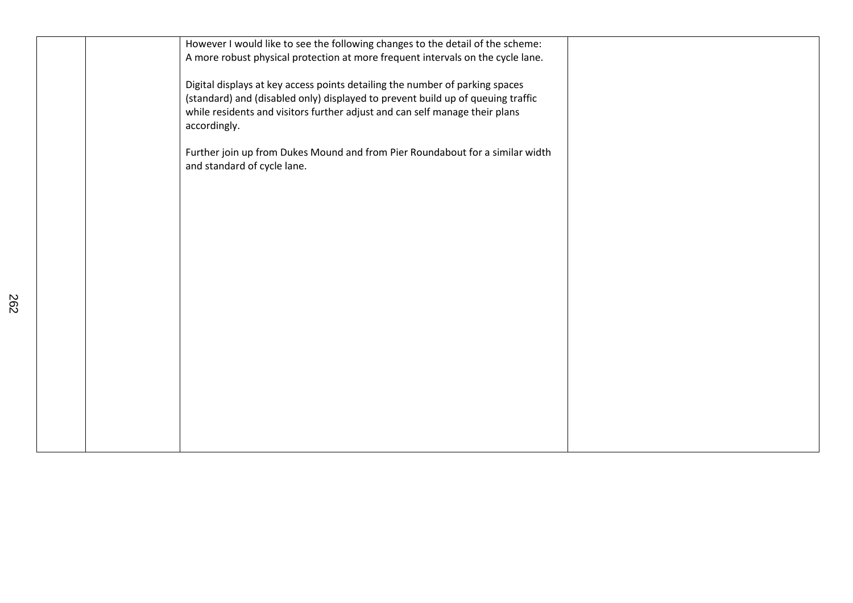| However I would like to see the following changes to the detail of the scheme:                                                                                 |  |
|----------------------------------------------------------------------------------------------------------------------------------------------------------------|--|
| A more robust physical protection at more frequent intervals on the cycle lane.                                                                                |  |
| Digital displays at key access points detailing the number of parking spaces                                                                                   |  |
| (standard) and (disabled only) displayed to prevent build up of queuing traffic<br>while residents and visitors further adjust and can self manage their plans |  |
| accordingly.                                                                                                                                                   |  |
| Further join up from Dukes Mound and from Pier Roundabout for a similar width                                                                                  |  |
| and standard of cycle lane.                                                                                                                                    |  |
|                                                                                                                                                                |  |
|                                                                                                                                                                |  |
|                                                                                                                                                                |  |
|                                                                                                                                                                |  |
|                                                                                                                                                                |  |
|                                                                                                                                                                |  |
|                                                                                                                                                                |  |
|                                                                                                                                                                |  |
|                                                                                                                                                                |  |
|                                                                                                                                                                |  |
|                                                                                                                                                                |  |
|                                                                                                                                                                |  |
|                                                                                                                                                                |  |
|                                                                                                                                                                |  |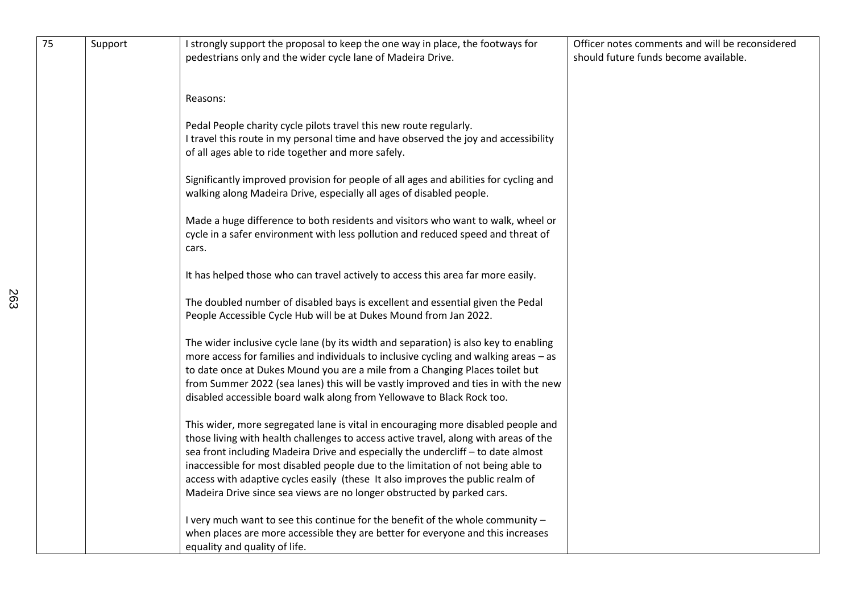| 75 | Support | I strongly support the proposal to keep the one way in place, the footways for<br>pedestrians only and the wider cycle lane of Madeira Drive.                                                                                                                                                                                                                                                                                                                                                                 | Officer notes comments and will be reconsidered<br>should future funds become available. |
|----|---------|---------------------------------------------------------------------------------------------------------------------------------------------------------------------------------------------------------------------------------------------------------------------------------------------------------------------------------------------------------------------------------------------------------------------------------------------------------------------------------------------------------------|------------------------------------------------------------------------------------------|
|    |         | Reasons:                                                                                                                                                                                                                                                                                                                                                                                                                                                                                                      |                                                                                          |
|    |         | Pedal People charity cycle pilots travel this new route regularly.<br>I travel this route in my personal time and have observed the joy and accessibility<br>of all ages able to ride together and more safely.                                                                                                                                                                                                                                                                                               |                                                                                          |
|    |         | Significantly improved provision for people of all ages and abilities for cycling and<br>walking along Madeira Drive, especially all ages of disabled people.                                                                                                                                                                                                                                                                                                                                                 |                                                                                          |
|    |         | Made a huge difference to both residents and visitors who want to walk, wheel or<br>cycle in a safer environment with less pollution and reduced speed and threat of<br>cars.                                                                                                                                                                                                                                                                                                                                 |                                                                                          |
|    |         | It has helped those who can travel actively to access this area far more easily.                                                                                                                                                                                                                                                                                                                                                                                                                              |                                                                                          |
|    |         | The doubled number of disabled bays is excellent and essential given the Pedal<br>People Accessible Cycle Hub will be at Dukes Mound from Jan 2022.                                                                                                                                                                                                                                                                                                                                                           |                                                                                          |
|    |         | The wider inclusive cycle lane (by its width and separation) is also key to enabling<br>more access for families and individuals to inclusive cycling and walking areas - as<br>to date once at Dukes Mound you are a mile from a Changing Places toilet but<br>from Summer 2022 (sea lanes) this will be vastly improved and ties in with the new<br>disabled accessible board walk along from Yellowave to Black Rock too.                                                                                  |                                                                                          |
|    |         | This wider, more segregated lane is vital in encouraging more disabled people and<br>those living with health challenges to access active travel, along with areas of the<br>sea front including Madeira Drive and especially the undercliff - to date almost<br>inaccessible for most disabled people due to the limitation of not being able to<br>access with adaptive cycles easily (these It also improves the public realm of<br>Madeira Drive since sea views are no longer obstructed by parked cars. |                                                                                          |
|    |         | I very much want to see this continue for the benefit of the whole community -<br>when places are more accessible they are better for everyone and this increases<br>equality and quality of life.                                                                                                                                                                                                                                                                                                            |                                                                                          |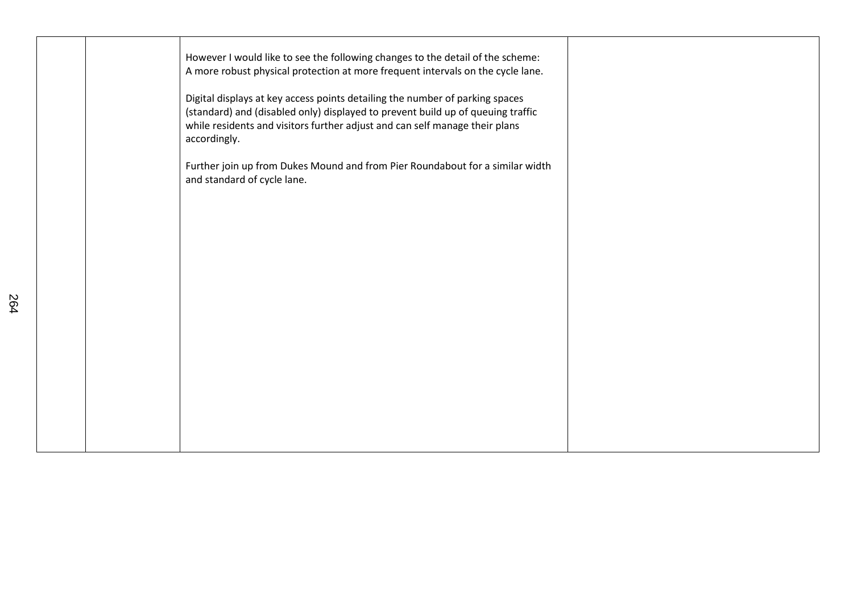| However I would like to see the following changes to the detail of the scheme:<br>A more robust physical protection at more frequent intervals on the cycle lane.<br>Digital displays at key access points detailing the number of parking spaces<br>(standard) and (disabled only) displayed to prevent build up of queuing traffic<br>while residents and visitors further adjust and can self manage their plans<br>accordingly. |  |
|-------------------------------------------------------------------------------------------------------------------------------------------------------------------------------------------------------------------------------------------------------------------------------------------------------------------------------------------------------------------------------------------------------------------------------------|--|
| Further join up from Dukes Mound and from Pier Roundabout for a similar width<br>and standard of cycle lane.                                                                                                                                                                                                                                                                                                                        |  |
|                                                                                                                                                                                                                                                                                                                                                                                                                                     |  |
|                                                                                                                                                                                                                                                                                                                                                                                                                                     |  |
|                                                                                                                                                                                                                                                                                                                                                                                                                                     |  |
|                                                                                                                                                                                                                                                                                                                                                                                                                                     |  |
|                                                                                                                                                                                                                                                                                                                                                                                                                                     |  |
|                                                                                                                                                                                                                                                                                                                                                                                                                                     |  |
|                                                                                                                                                                                                                                                                                                                                                                                                                                     |  |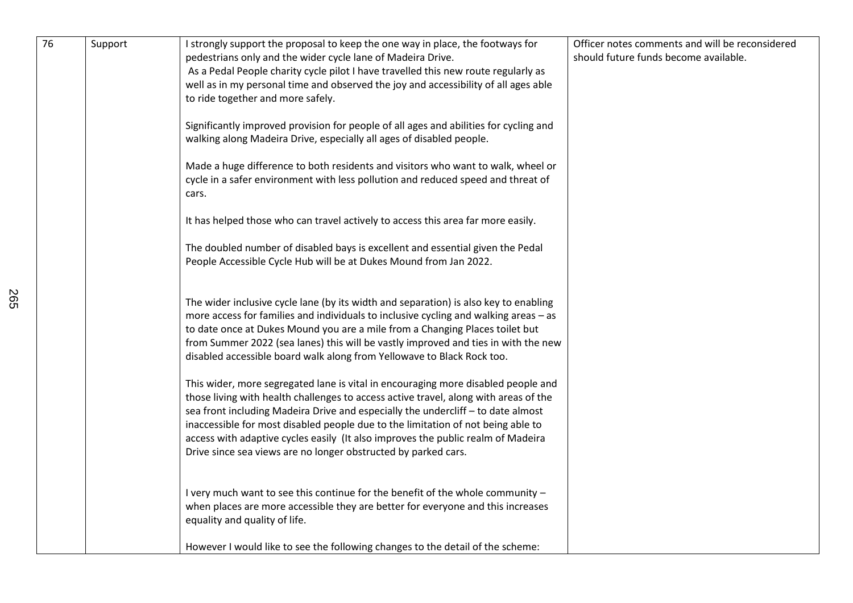| $\overline{76}$ | Support | I strongly support the proposal to keep the one way in place, the footways for<br>pedestrians only and the wider cycle lane of Madeira Drive.<br>As a Pedal People charity cycle pilot I have travelled this new route regularly as<br>well as in my personal time and observed the joy and accessibility of all ages able<br>to ride together and more safely.                                                                                                                                         | Officer notes comments and will be reconsidered<br>should future funds become available. |
|-----------------|---------|---------------------------------------------------------------------------------------------------------------------------------------------------------------------------------------------------------------------------------------------------------------------------------------------------------------------------------------------------------------------------------------------------------------------------------------------------------------------------------------------------------|------------------------------------------------------------------------------------------|
|                 |         | Significantly improved provision for people of all ages and abilities for cycling and<br>walking along Madeira Drive, especially all ages of disabled people.                                                                                                                                                                                                                                                                                                                                           |                                                                                          |
|                 |         | Made a huge difference to both residents and visitors who want to walk, wheel or<br>cycle in a safer environment with less pollution and reduced speed and threat of<br>cars.                                                                                                                                                                                                                                                                                                                           |                                                                                          |
|                 |         | It has helped those who can travel actively to access this area far more easily.                                                                                                                                                                                                                                                                                                                                                                                                                        |                                                                                          |
|                 |         | The doubled number of disabled bays is excellent and essential given the Pedal<br>People Accessible Cycle Hub will be at Dukes Mound from Jan 2022.                                                                                                                                                                                                                                                                                                                                                     |                                                                                          |
|                 |         | The wider inclusive cycle lane (by its width and separation) is also key to enabling<br>more access for families and individuals to inclusive cycling and walking areas - as<br>to date once at Dukes Mound you are a mile from a Changing Places toilet but<br>from Summer 2022 (sea lanes) this will be vastly improved and ties in with the new<br>disabled accessible board walk along from Yellowave to Black Rock too.                                                                            |                                                                                          |
|                 |         | This wider, more segregated lane is vital in encouraging more disabled people and<br>those living with health challenges to access active travel, along with areas of the<br>sea front including Madeira Drive and especially the undercliff - to date almost<br>inaccessible for most disabled people due to the limitation of not being able to<br>access with adaptive cycles easily (It also improves the public realm of Madeira<br>Drive since sea views are no longer obstructed by parked cars. |                                                                                          |
|                 |         | I very much want to see this continue for the benefit of the whole community -<br>when places are more accessible they are better for everyone and this increases<br>equality and quality of life.                                                                                                                                                                                                                                                                                                      |                                                                                          |
|                 |         | However I would like to see the following changes to the detail of the scheme:                                                                                                                                                                                                                                                                                                                                                                                                                          |                                                                                          |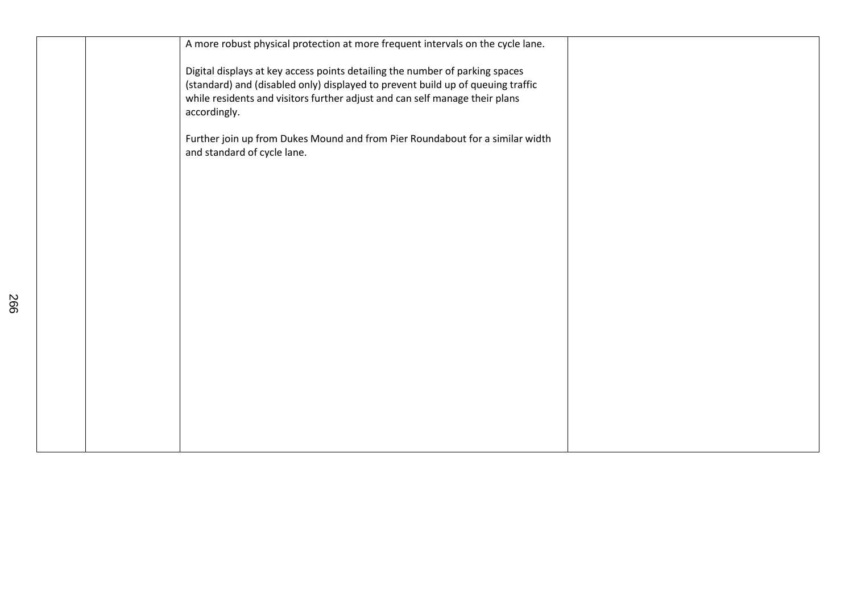| A more robust physical protection at more frequent intervals on the cycle lane.                                                                                                                                                                                |  |
|----------------------------------------------------------------------------------------------------------------------------------------------------------------------------------------------------------------------------------------------------------------|--|
| Digital displays at key access points detailing the number of parking spaces<br>(standard) and (disabled only) displayed to prevent build up of queuing traffic<br>while residents and visitors further adjust and can self manage their plans<br>accordingly. |  |
| Further join up from Dukes Mound and from Pier Roundabout for a similar width<br>and standard of cycle lane.                                                                                                                                                   |  |
|                                                                                                                                                                                                                                                                |  |
|                                                                                                                                                                                                                                                                |  |
|                                                                                                                                                                                                                                                                |  |
|                                                                                                                                                                                                                                                                |  |
|                                                                                                                                                                                                                                                                |  |
|                                                                                                                                                                                                                                                                |  |
|                                                                                                                                                                                                                                                                |  |
|                                                                                                                                                                                                                                                                |  |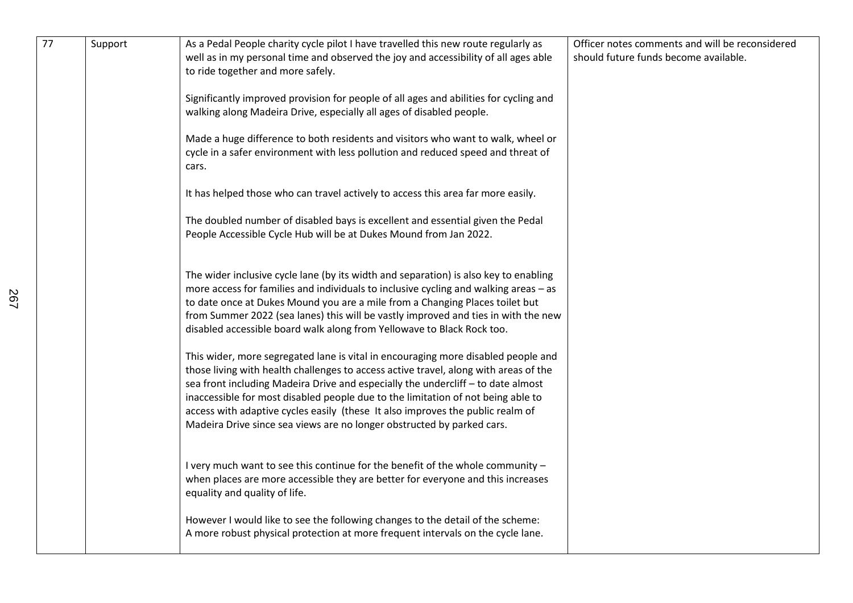| 77 | Support | As a Pedal People charity cycle pilot I have travelled this new route regularly as<br>well as in my personal time and observed the joy and accessibility of all ages able<br>to ride together and more safely.                                                                                                                                                                                                                                                                                                                                                                                                                                                                                                                                                                                                                                                      | Officer notes comments and will be reconsidered<br>should future funds become available. |
|----|---------|---------------------------------------------------------------------------------------------------------------------------------------------------------------------------------------------------------------------------------------------------------------------------------------------------------------------------------------------------------------------------------------------------------------------------------------------------------------------------------------------------------------------------------------------------------------------------------------------------------------------------------------------------------------------------------------------------------------------------------------------------------------------------------------------------------------------------------------------------------------------|------------------------------------------------------------------------------------------|
|    |         | Significantly improved provision for people of all ages and abilities for cycling and<br>walking along Madeira Drive, especially all ages of disabled people.                                                                                                                                                                                                                                                                                                                                                                                                                                                                                                                                                                                                                                                                                                       |                                                                                          |
|    |         | Made a huge difference to both residents and visitors who want to walk, wheel or<br>cycle in a safer environment with less pollution and reduced speed and threat of<br>cars.                                                                                                                                                                                                                                                                                                                                                                                                                                                                                                                                                                                                                                                                                       |                                                                                          |
|    |         | It has helped those who can travel actively to access this area far more easily.                                                                                                                                                                                                                                                                                                                                                                                                                                                                                                                                                                                                                                                                                                                                                                                    |                                                                                          |
|    |         | The doubled number of disabled bays is excellent and essential given the Pedal<br>People Accessible Cycle Hub will be at Dukes Mound from Jan 2022.                                                                                                                                                                                                                                                                                                                                                                                                                                                                                                                                                                                                                                                                                                                 |                                                                                          |
|    |         | The wider inclusive cycle lane (by its width and separation) is also key to enabling<br>more access for families and individuals to inclusive cycling and walking areas - as<br>to date once at Dukes Mound you are a mile from a Changing Places toilet but<br>from Summer 2022 (sea lanes) this will be vastly improved and ties in with the new<br>disabled accessible board walk along from Yellowave to Black Rock too.<br>This wider, more segregated lane is vital in encouraging more disabled people and<br>those living with health challenges to access active travel, along with areas of the<br>sea front including Madeira Drive and especially the undercliff - to date almost<br>inaccessible for most disabled people due to the limitation of not being able to<br>access with adaptive cycles easily (these It also improves the public realm of |                                                                                          |
|    |         | Madeira Drive since sea views are no longer obstructed by parked cars.<br>I very much want to see this continue for the benefit of the whole community -<br>when places are more accessible they are better for everyone and this increases                                                                                                                                                                                                                                                                                                                                                                                                                                                                                                                                                                                                                         |                                                                                          |
|    |         | equality and quality of life.<br>However I would like to see the following changes to the detail of the scheme:<br>A more robust physical protection at more frequent intervals on the cycle lane.                                                                                                                                                                                                                                                                                                                                                                                                                                                                                                                                                                                                                                                                  |                                                                                          |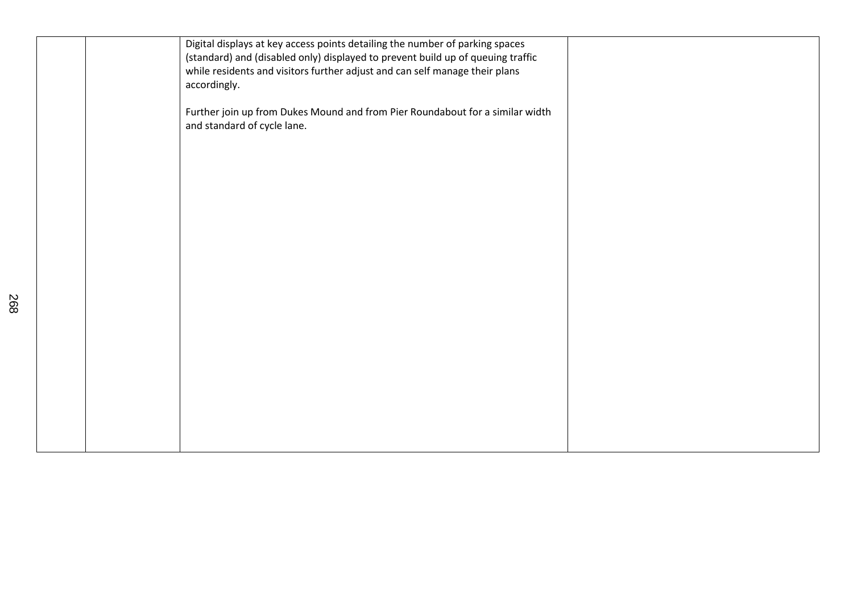|  | Digital displays at key access points detailing the number of parking spaces<br>(standard) and (disabled only) displayed to prevent build up of queuing traffic<br>while residents and visitors further adjust and can self manage their plans<br>accordingly. |  |
|--|----------------------------------------------------------------------------------------------------------------------------------------------------------------------------------------------------------------------------------------------------------------|--|
|  | Further join up from Dukes Mound and from Pier Roundabout for a similar width<br>and standard of cycle lane.                                                                                                                                                   |  |
|  |                                                                                                                                                                                                                                                                |  |
|  |                                                                                                                                                                                                                                                                |  |
|  |                                                                                                                                                                                                                                                                |  |
|  |                                                                                                                                                                                                                                                                |  |
|  |                                                                                                                                                                                                                                                                |  |
|  |                                                                                                                                                                                                                                                                |  |
|  |                                                                                                                                                                                                                                                                |  |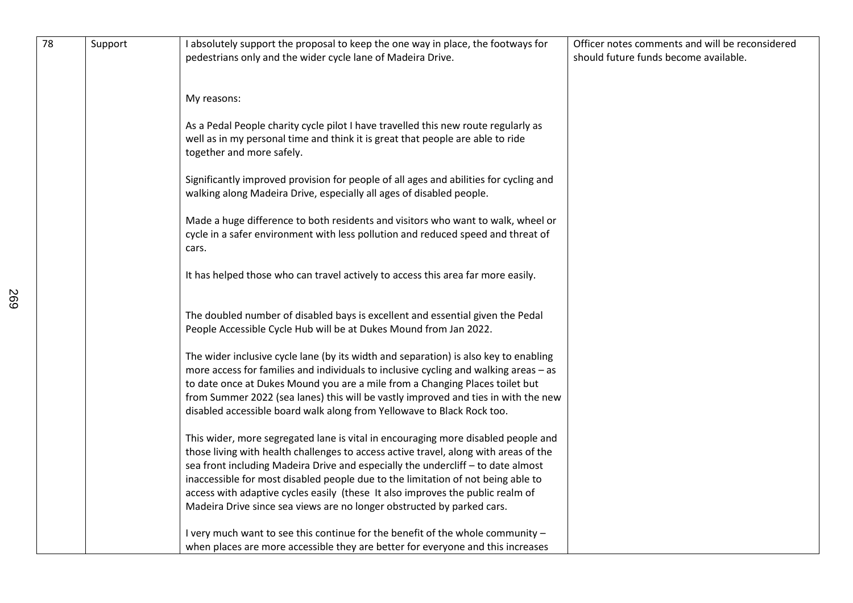| 78 | Support | I absolutely support the proposal to keep the one way in place, the footways for                                                                                     | Officer notes comments and will be reconsidered |
|----|---------|----------------------------------------------------------------------------------------------------------------------------------------------------------------------|-------------------------------------------------|
|    |         | pedestrians only and the wider cycle lane of Madeira Drive.                                                                                                          | should future funds become available.           |
|    |         |                                                                                                                                                                      |                                                 |
|    |         | My reasons:                                                                                                                                                          |                                                 |
|    |         |                                                                                                                                                                      |                                                 |
|    |         | As a Pedal People charity cycle pilot I have travelled this new route regularly as<br>well as in my personal time and think it is great that people are able to ride |                                                 |
|    |         | together and more safely.                                                                                                                                            |                                                 |
|    |         | Significantly improved provision for people of all ages and abilities for cycling and                                                                                |                                                 |
|    |         | walking along Madeira Drive, especially all ages of disabled people.                                                                                                 |                                                 |
|    |         | Made a huge difference to both residents and visitors who want to walk, wheel or                                                                                     |                                                 |
|    |         | cycle in a safer environment with less pollution and reduced speed and threat of<br>cars.                                                                            |                                                 |
|    |         |                                                                                                                                                                      |                                                 |
|    |         | It has helped those who can travel actively to access this area far more easily.                                                                                     |                                                 |
|    |         |                                                                                                                                                                      |                                                 |
|    |         | The doubled number of disabled bays is excellent and essential given the Pedal                                                                                       |                                                 |
|    |         | People Accessible Cycle Hub will be at Dukes Mound from Jan 2022.                                                                                                    |                                                 |
|    |         | The wider inclusive cycle lane (by its width and separation) is also key to enabling                                                                                 |                                                 |
|    |         | more access for families and individuals to inclusive cycling and walking areas - as                                                                                 |                                                 |
|    |         | to date once at Dukes Mound you are a mile from a Changing Places toilet but                                                                                         |                                                 |
|    |         | from Summer 2022 (sea lanes) this will be vastly improved and ties in with the new                                                                                   |                                                 |
|    |         | disabled accessible board walk along from Yellowave to Black Rock too.                                                                                               |                                                 |
|    |         | This wider, more segregated lane is vital in encouraging more disabled people and                                                                                    |                                                 |
|    |         | those living with health challenges to access active travel, along with areas of the                                                                                 |                                                 |
|    |         | sea front including Madeira Drive and especially the undercliff - to date almost                                                                                     |                                                 |
|    |         | inaccessible for most disabled people due to the limitation of not being able to                                                                                     |                                                 |
|    |         | access with adaptive cycles easily (these It also improves the public realm of                                                                                       |                                                 |
|    |         | Madeira Drive since sea views are no longer obstructed by parked cars.                                                                                               |                                                 |
|    |         | I very much want to see this continue for the benefit of the whole community -                                                                                       |                                                 |
|    |         | when places are more accessible they are better for everyone and this increases                                                                                      |                                                 |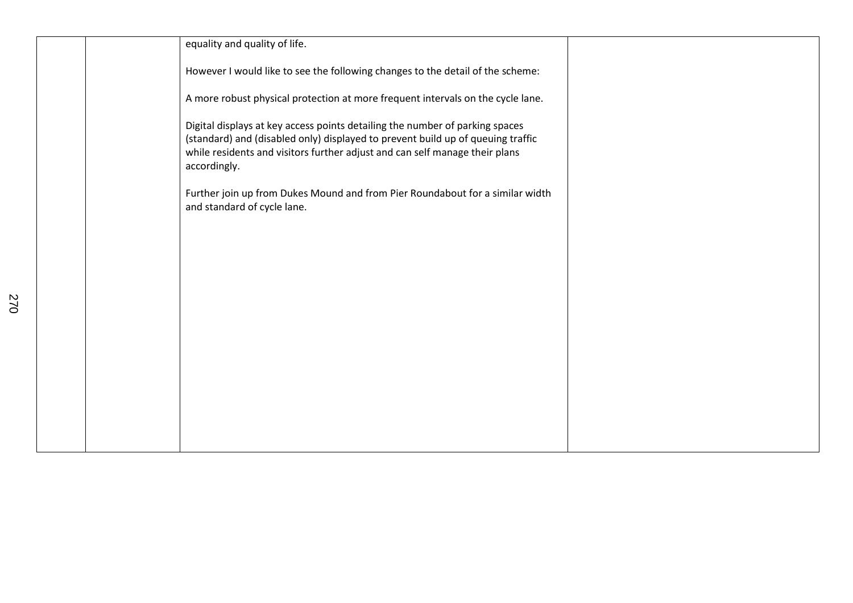|  | equality and quality of life.                                                                                                                                                                                                                                  |  |
|--|----------------------------------------------------------------------------------------------------------------------------------------------------------------------------------------------------------------------------------------------------------------|--|
|  | However I would like to see the following changes to the detail of the scheme:                                                                                                                                                                                 |  |
|  | A more robust physical protection at more frequent intervals on the cycle lane.                                                                                                                                                                                |  |
|  | Digital displays at key access points detailing the number of parking spaces<br>(standard) and (disabled only) displayed to prevent build up of queuing traffic<br>while residents and visitors further adjust and can self manage their plans<br>accordingly. |  |
|  | Further join up from Dukes Mound and from Pier Roundabout for a similar width<br>and standard of cycle lane.                                                                                                                                                   |  |
|  |                                                                                                                                                                                                                                                                |  |
|  |                                                                                                                                                                                                                                                                |  |
|  |                                                                                                                                                                                                                                                                |  |
|  |                                                                                                                                                                                                                                                                |  |
|  |                                                                                                                                                                                                                                                                |  |
|  |                                                                                                                                                                                                                                                                |  |
|  |                                                                                                                                                                                                                                                                |  |
|  |                                                                                                                                                                                                                                                                |  |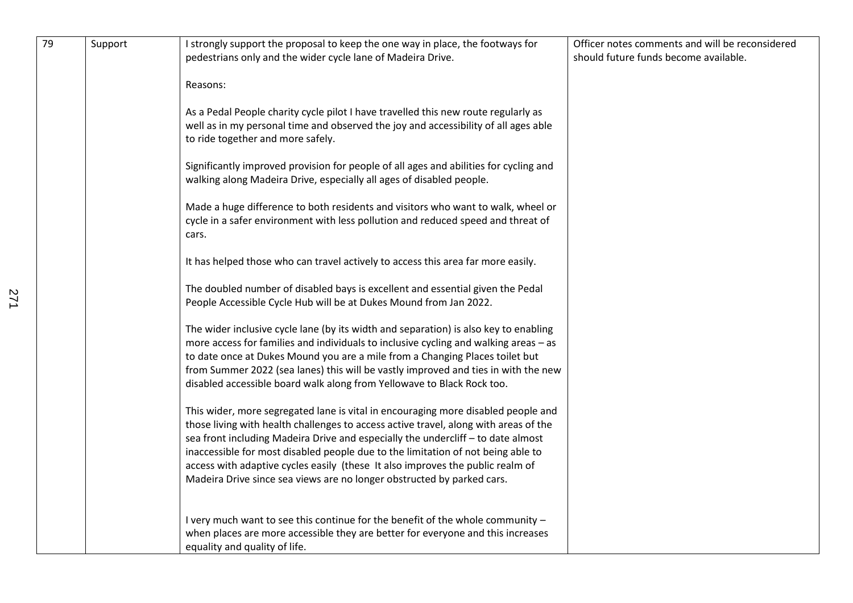| 79 | Support | I strongly support the proposal to keep the one way in place, the footways for<br>pedestrians only and the wider cycle lane of Madeira Drive.                                                                                                                                                                                                                                                                                                                                                                 | Officer notes comments and will be reconsidered<br>should future funds become available. |
|----|---------|---------------------------------------------------------------------------------------------------------------------------------------------------------------------------------------------------------------------------------------------------------------------------------------------------------------------------------------------------------------------------------------------------------------------------------------------------------------------------------------------------------------|------------------------------------------------------------------------------------------|
|    |         | Reasons:                                                                                                                                                                                                                                                                                                                                                                                                                                                                                                      |                                                                                          |
|    |         | As a Pedal People charity cycle pilot I have travelled this new route regularly as<br>well as in my personal time and observed the joy and accessibility of all ages able<br>to ride together and more safely.                                                                                                                                                                                                                                                                                                |                                                                                          |
|    |         | Significantly improved provision for people of all ages and abilities for cycling and<br>walking along Madeira Drive, especially all ages of disabled people.                                                                                                                                                                                                                                                                                                                                                 |                                                                                          |
|    |         | Made a huge difference to both residents and visitors who want to walk, wheel or<br>cycle in a safer environment with less pollution and reduced speed and threat of<br>cars.                                                                                                                                                                                                                                                                                                                                 |                                                                                          |
|    |         | It has helped those who can travel actively to access this area far more easily.                                                                                                                                                                                                                                                                                                                                                                                                                              |                                                                                          |
|    |         | The doubled number of disabled bays is excellent and essential given the Pedal<br>People Accessible Cycle Hub will be at Dukes Mound from Jan 2022.                                                                                                                                                                                                                                                                                                                                                           |                                                                                          |
|    |         | The wider inclusive cycle lane (by its width and separation) is also key to enabling<br>more access for families and individuals to inclusive cycling and walking areas - as<br>to date once at Dukes Mound you are a mile from a Changing Places toilet but<br>from Summer 2022 (sea lanes) this will be vastly improved and ties in with the new<br>disabled accessible board walk along from Yellowave to Black Rock too.                                                                                  |                                                                                          |
|    |         | This wider, more segregated lane is vital in encouraging more disabled people and<br>those living with health challenges to access active travel, along with areas of the<br>sea front including Madeira Drive and especially the undercliff - to date almost<br>inaccessible for most disabled people due to the limitation of not being able to<br>access with adaptive cycles easily (these It also improves the public realm of<br>Madeira Drive since sea views are no longer obstructed by parked cars. |                                                                                          |
|    |         | I very much want to see this continue for the benefit of the whole community -<br>when places are more accessible they are better for everyone and this increases<br>equality and quality of life.                                                                                                                                                                                                                                                                                                            |                                                                                          |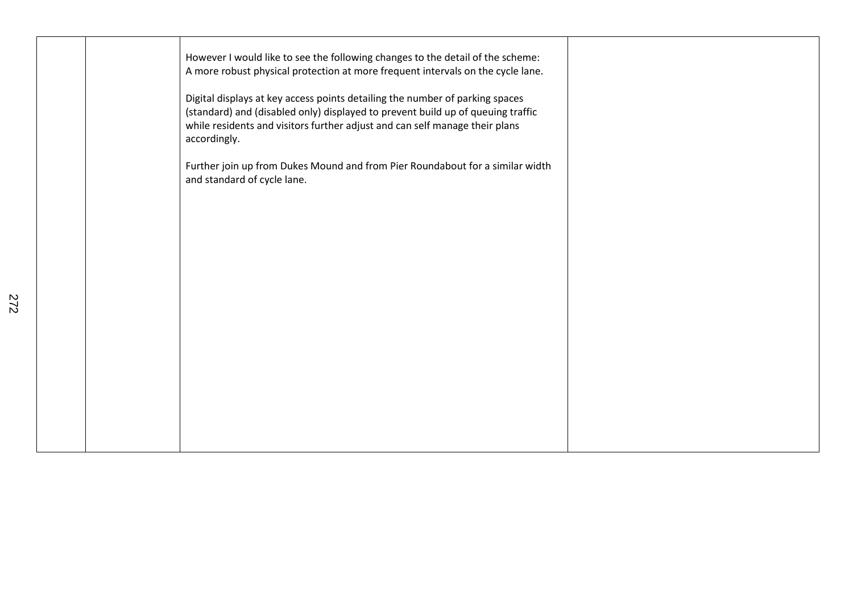| However I would like to see the following changes to the detail of the scheme:<br>A more robust physical protection at more frequent intervals on the cycle lane.<br>Digital displays at key access points detailing the number of parking spaces<br>(standard) and (disabled only) displayed to prevent build up of queuing traffic<br>while residents and visitors further adjust and can self manage their plans<br>accordingly. |  |
|-------------------------------------------------------------------------------------------------------------------------------------------------------------------------------------------------------------------------------------------------------------------------------------------------------------------------------------------------------------------------------------------------------------------------------------|--|
| Further join up from Dukes Mound and from Pier Roundabout for a similar width<br>and standard of cycle lane.                                                                                                                                                                                                                                                                                                                        |  |
|                                                                                                                                                                                                                                                                                                                                                                                                                                     |  |
|                                                                                                                                                                                                                                                                                                                                                                                                                                     |  |
|                                                                                                                                                                                                                                                                                                                                                                                                                                     |  |
|                                                                                                                                                                                                                                                                                                                                                                                                                                     |  |
|                                                                                                                                                                                                                                                                                                                                                                                                                                     |  |
|                                                                                                                                                                                                                                                                                                                                                                                                                                     |  |
|                                                                                                                                                                                                                                                                                                                                                                                                                                     |  |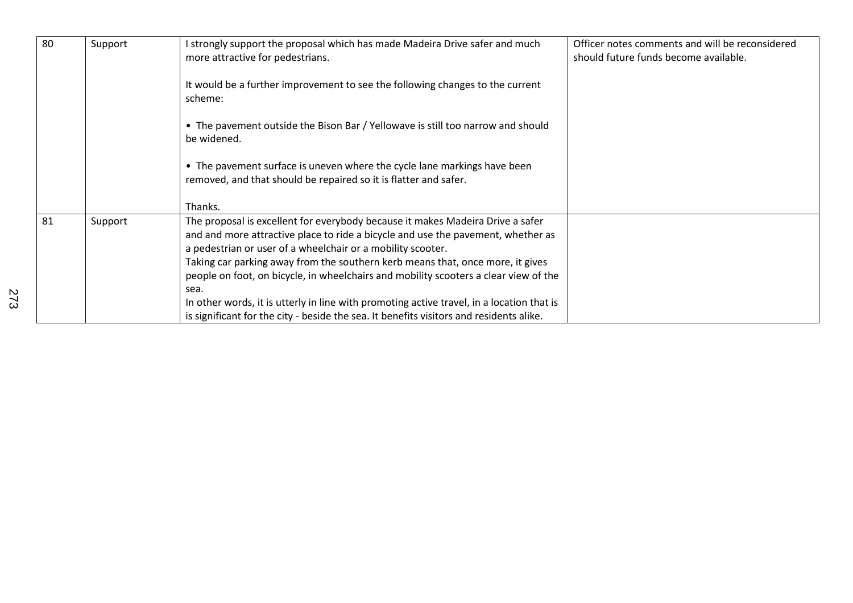| 80 | Support | strongly support the proposal which has made Madeira Drive safer and much<br>more attractive for pedestrians.                                                                                                                                                                                                                                                                                                                                                                                                    | Officer notes comments and will be reconsidered<br>should future funds become available. |
|----|---------|------------------------------------------------------------------------------------------------------------------------------------------------------------------------------------------------------------------------------------------------------------------------------------------------------------------------------------------------------------------------------------------------------------------------------------------------------------------------------------------------------------------|------------------------------------------------------------------------------------------|
|    |         | It would be a further improvement to see the following changes to the current<br>scheme:                                                                                                                                                                                                                                                                                                                                                                                                                         |                                                                                          |
|    |         | • The pavement outside the Bison Bar / Yellowave is still too narrow and should<br>be widened.                                                                                                                                                                                                                                                                                                                                                                                                                   |                                                                                          |
|    |         | • The pavement surface is uneven where the cycle lane markings have been<br>removed, and that should be repaired so it is flatter and safer.                                                                                                                                                                                                                                                                                                                                                                     |                                                                                          |
|    |         | Thanks.                                                                                                                                                                                                                                                                                                                                                                                                                                                                                                          |                                                                                          |
| 81 | Support | The proposal is excellent for everybody because it makes Madeira Drive a safer<br>and and more attractive place to ride a bicycle and use the pavement, whether as<br>a pedestrian or user of a wheelchair or a mobility scooter.<br>Taking car parking away from the southern kerb means that, once more, it gives<br>people on foot, on bicycle, in wheelchairs and mobility scooters a clear view of the<br>sea.<br>In other words, it is utterly in line with promoting active travel, in a location that is |                                                                                          |
|    |         | is significant for the city - beside the sea. It benefits visitors and residents alike.                                                                                                                                                                                                                                                                                                                                                                                                                          |                                                                                          |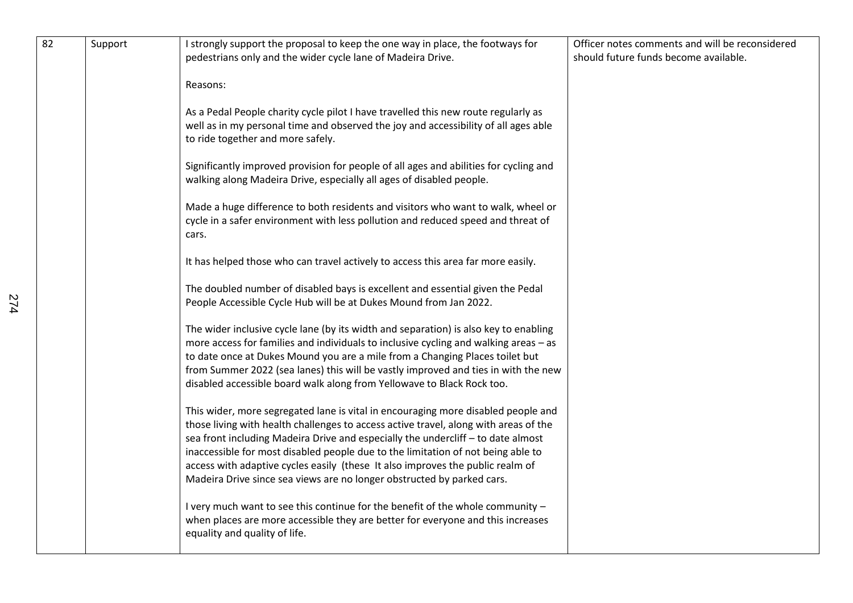| 82 | Support | I strongly support the proposal to keep the one way in place, the footways for<br>pedestrians only and the wider cycle lane of Madeira Drive.                                                                                                                                                                                                                                                                                                                                                                 | Officer notes comments and will be reconsidered<br>should future funds become available. |
|----|---------|---------------------------------------------------------------------------------------------------------------------------------------------------------------------------------------------------------------------------------------------------------------------------------------------------------------------------------------------------------------------------------------------------------------------------------------------------------------------------------------------------------------|------------------------------------------------------------------------------------------|
|    |         | Reasons:                                                                                                                                                                                                                                                                                                                                                                                                                                                                                                      |                                                                                          |
|    |         | As a Pedal People charity cycle pilot I have travelled this new route regularly as<br>well as in my personal time and observed the joy and accessibility of all ages able<br>to ride together and more safely.                                                                                                                                                                                                                                                                                                |                                                                                          |
|    |         | Significantly improved provision for people of all ages and abilities for cycling and<br>walking along Madeira Drive, especially all ages of disabled people.                                                                                                                                                                                                                                                                                                                                                 |                                                                                          |
|    |         | Made a huge difference to both residents and visitors who want to walk, wheel or<br>cycle in a safer environment with less pollution and reduced speed and threat of<br>cars.                                                                                                                                                                                                                                                                                                                                 |                                                                                          |
|    |         | It has helped those who can travel actively to access this area far more easily.                                                                                                                                                                                                                                                                                                                                                                                                                              |                                                                                          |
|    |         | The doubled number of disabled bays is excellent and essential given the Pedal<br>People Accessible Cycle Hub will be at Dukes Mound from Jan 2022.                                                                                                                                                                                                                                                                                                                                                           |                                                                                          |
|    |         | The wider inclusive cycle lane (by its width and separation) is also key to enabling<br>more access for families and individuals to inclusive cycling and walking areas - as<br>to date once at Dukes Mound you are a mile from a Changing Places toilet but<br>from Summer 2022 (sea lanes) this will be vastly improved and ties in with the new<br>disabled accessible board walk along from Yellowave to Black Rock too.                                                                                  |                                                                                          |
|    |         | This wider, more segregated lane is vital in encouraging more disabled people and<br>those living with health challenges to access active travel, along with areas of the<br>sea front including Madeira Drive and especially the undercliff - to date almost<br>inaccessible for most disabled people due to the limitation of not being able to<br>access with adaptive cycles easily (these It also improves the public realm of<br>Madeira Drive since sea views are no longer obstructed by parked cars. |                                                                                          |
|    |         | I very much want to see this continue for the benefit of the whole community -<br>when places are more accessible they are better for everyone and this increases<br>equality and quality of life.                                                                                                                                                                                                                                                                                                            |                                                                                          |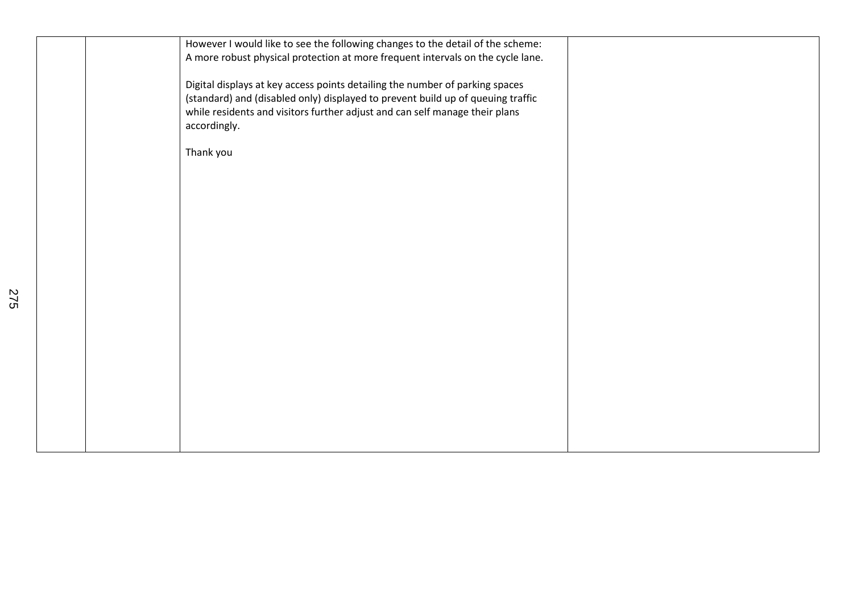|  | However I would like to see the following changes to the detail of the scheme:<br>A more robust physical protection at more frequent intervals on the cycle lane. |  |
|--|-------------------------------------------------------------------------------------------------------------------------------------------------------------------|--|
|  |                                                                                                                                                                   |  |
|  | Digital displays at key access points detailing the number of parking spaces                                                                                      |  |
|  | (standard) and (disabled only) displayed to prevent build up of queuing traffic<br>while residents and visitors further adjust and can self manage their plans    |  |
|  | accordingly.                                                                                                                                                      |  |
|  |                                                                                                                                                                   |  |
|  | Thank you                                                                                                                                                         |  |
|  |                                                                                                                                                                   |  |
|  |                                                                                                                                                                   |  |
|  |                                                                                                                                                                   |  |
|  |                                                                                                                                                                   |  |
|  |                                                                                                                                                                   |  |
|  |                                                                                                                                                                   |  |
|  |                                                                                                                                                                   |  |
|  |                                                                                                                                                                   |  |
|  |                                                                                                                                                                   |  |
|  |                                                                                                                                                                   |  |
|  |                                                                                                                                                                   |  |
|  |                                                                                                                                                                   |  |
|  |                                                                                                                                                                   |  |
|  |                                                                                                                                                                   |  |
|  |                                                                                                                                                                   |  |
|  |                                                                                                                                                                   |  |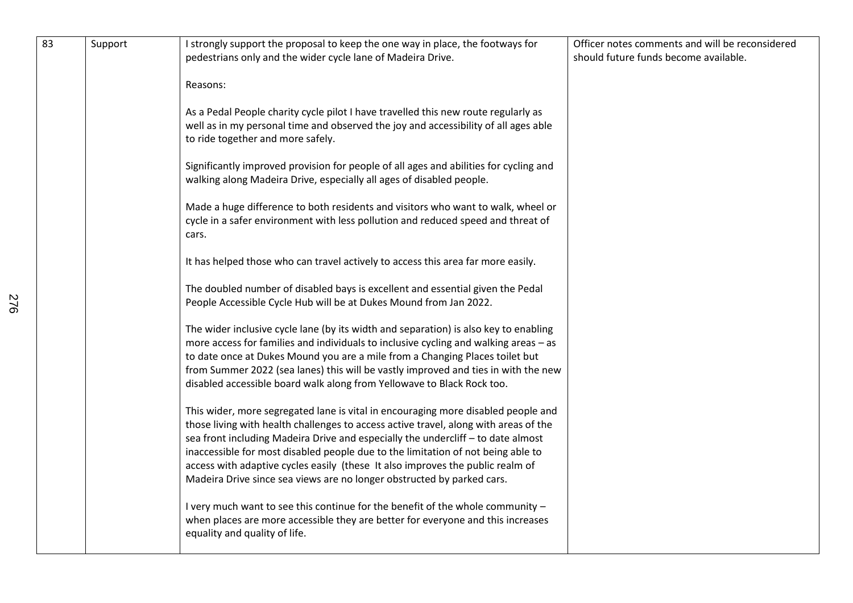| 83 | Support | I strongly support the proposal to keep the one way in place, the footways for<br>pedestrians only and the wider cycle lane of Madeira Drive.<br>Reasons:                                                                                                                                                                                                                                                                                                                                                     | Officer notes comments and will be reconsidered<br>should future funds become available. |
|----|---------|---------------------------------------------------------------------------------------------------------------------------------------------------------------------------------------------------------------------------------------------------------------------------------------------------------------------------------------------------------------------------------------------------------------------------------------------------------------------------------------------------------------|------------------------------------------------------------------------------------------|
|    |         | As a Pedal People charity cycle pilot I have travelled this new route regularly as<br>well as in my personal time and observed the joy and accessibility of all ages able<br>to ride together and more safely.                                                                                                                                                                                                                                                                                                |                                                                                          |
|    |         | Significantly improved provision for people of all ages and abilities for cycling and<br>walking along Madeira Drive, especially all ages of disabled people.                                                                                                                                                                                                                                                                                                                                                 |                                                                                          |
|    |         | Made a huge difference to both residents and visitors who want to walk, wheel or<br>cycle in a safer environment with less pollution and reduced speed and threat of<br>cars.                                                                                                                                                                                                                                                                                                                                 |                                                                                          |
|    |         | It has helped those who can travel actively to access this area far more easily.                                                                                                                                                                                                                                                                                                                                                                                                                              |                                                                                          |
|    |         | The doubled number of disabled bays is excellent and essential given the Pedal<br>People Accessible Cycle Hub will be at Dukes Mound from Jan 2022.                                                                                                                                                                                                                                                                                                                                                           |                                                                                          |
|    |         | The wider inclusive cycle lane (by its width and separation) is also key to enabling<br>more access for families and individuals to inclusive cycling and walking areas - as<br>to date once at Dukes Mound you are a mile from a Changing Places toilet but<br>from Summer 2022 (sea lanes) this will be vastly improved and ties in with the new<br>disabled accessible board walk along from Yellowave to Black Rock too.                                                                                  |                                                                                          |
|    |         | This wider, more segregated lane is vital in encouraging more disabled people and<br>those living with health challenges to access active travel, along with areas of the<br>sea front including Madeira Drive and especially the undercliff - to date almost<br>inaccessible for most disabled people due to the limitation of not being able to<br>access with adaptive cycles easily (these It also improves the public realm of<br>Madeira Drive since sea views are no longer obstructed by parked cars. |                                                                                          |
|    |         | I very much want to see this continue for the benefit of the whole community -<br>when places are more accessible they are better for everyone and this increases<br>equality and quality of life.                                                                                                                                                                                                                                                                                                            |                                                                                          |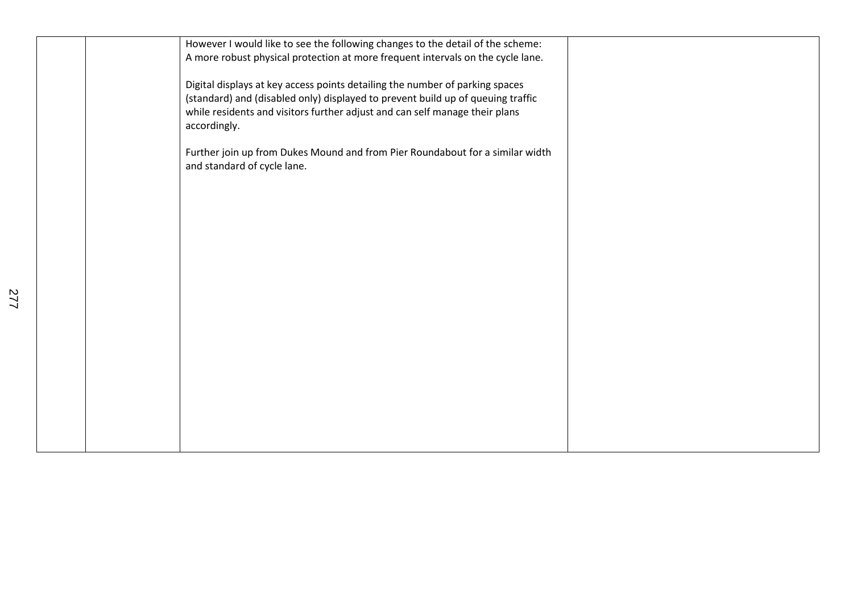| However I would like to see the following changes to the detail of the scheme:<br>A more robust physical protection at more frequent intervals on the cycle lane.                                                                                              |  |
|----------------------------------------------------------------------------------------------------------------------------------------------------------------------------------------------------------------------------------------------------------------|--|
| Digital displays at key access points detailing the number of parking spaces<br>(standard) and (disabled only) displayed to prevent build up of queuing traffic<br>while residents and visitors further adjust and can self manage their plans<br>accordingly. |  |
| Further join up from Dukes Mound and from Pier Roundabout for a similar width<br>and standard of cycle lane.                                                                                                                                                   |  |
|                                                                                                                                                                                                                                                                |  |
|                                                                                                                                                                                                                                                                |  |
|                                                                                                                                                                                                                                                                |  |
|                                                                                                                                                                                                                                                                |  |
|                                                                                                                                                                                                                                                                |  |
|                                                                                                                                                                                                                                                                |  |
|                                                                                                                                                                                                                                                                |  |
|                                                                                                                                                                                                                                                                |  |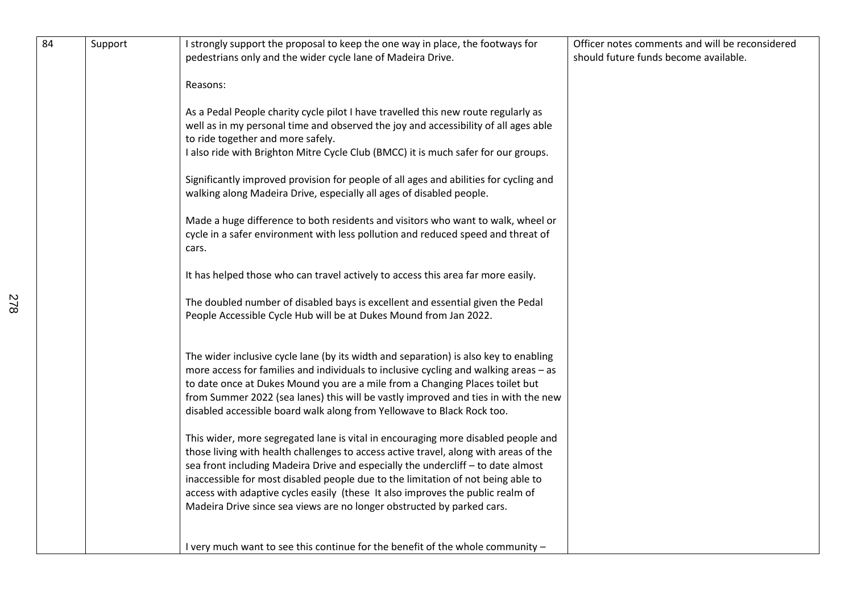| 84 | Support | I strongly support the proposal to keep the one way in place, the footways for<br>pedestrians only and the wider cycle lane of Madeira Drive.                                                                                                                                                                                                                                                                                                                                                                 | Officer notes comments and will be reconsidered<br>should future funds become available. |
|----|---------|---------------------------------------------------------------------------------------------------------------------------------------------------------------------------------------------------------------------------------------------------------------------------------------------------------------------------------------------------------------------------------------------------------------------------------------------------------------------------------------------------------------|------------------------------------------------------------------------------------------|
|    |         | Reasons:                                                                                                                                                                                                                                                                                                                                                                                                                                                                                                      |                                                                                          |
|    |         | As a Pedal People charity cycle pilot I have travelled this new route regularly as<br>well as in my personal time and observed the joy and accessibility of all ages able<br>to ride together and more safely.<br>I also ride with Brighton Mitre Cycle Club (BMCC) it is much safer for our groups.                                                                                                                                                                                                          |                                                                                          |
|    |         | Significantly improved provision for people of all ages and abilities for cycling and<br>walking along Madeira Drive, especially all ages of disabled people.                                                                                                                                                                                                                                                                                                                                                 |                                                                                          |
|    |         | Made a huge difference to both residents and visitors who want to walk, wheel or<br>cycle in a safer environment with less pollution and reduced speed and threat of<br>cars.                                                                                                                                                                                                                                                                                                                                 |                                                                                          |
|    |         | It has helped those who can travel actively to access this area far more easily.                                                                                                                                                                                                                                                                                                                                                                                                                              |                                                                                          |
|    |         | The doubled number of disabled bays is excellent and essential given the Pedal<br>People Accessible Cycle Hub will be at Dukes Mound from Jan 2022.                                                                                                                                                                                                                                                                                                                                                           |                                                                                          |
|    |         | The wider inclusive cycle lane (by its width and separation) is also key to enabling<br>more access for families and individuals to inclusive cycling and walking areas - as<br>to date once at Dukes Mound you are a mile from a Changing Places toilet but<br>from Summer 2022 (sea lanes) this will be vastly improved and ties in with the new<br>disabled accessible board walk along from Yellowave to Black Rock too.                                                                                  |                                                                                          |
|    |         | This wider, more segregated lane is vital in encouraging more disabled people and<br>those living with health challenges to access active travel, along with areas of the<br>sea front including Madeira Drive and especially the undercliff - to date almost<br>inaccessible for most disabled people due to the limitation of not being able to<br>access with adaptive cycles easily (these It also improves the public realm of<br>Madeira Drive since sea views are no longer obstructed by parked cars. |                                                                                          |
|    |         | I very much want to see this continue for the benefit of the whole community -                                                                                                                                                                                                                                                                                                                                                                                                                                |                                                                                          |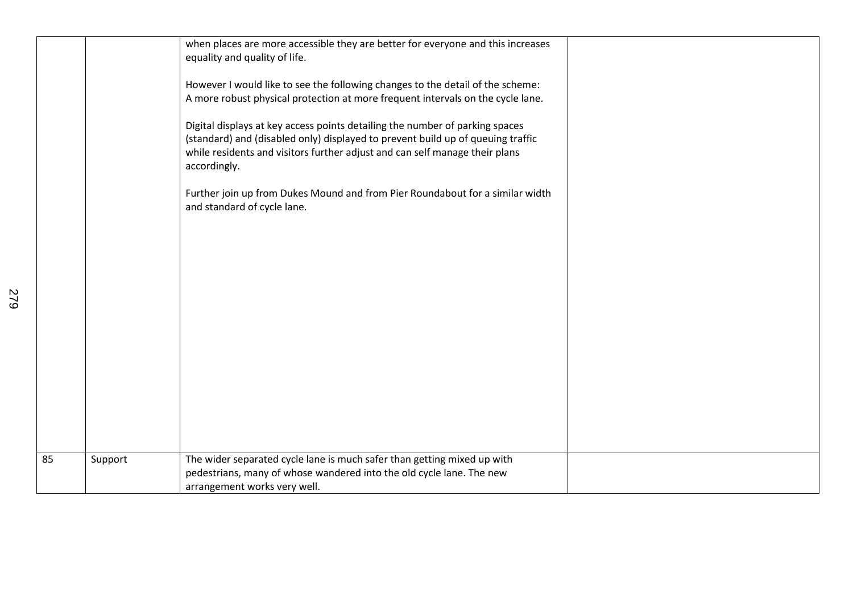|    |         | when places are more accessible they are better for everyone and this increases<br>equality and quality of life.                                                                                                                                               |  |
|----|---------|----------------------------------------------------------------------------------------------------------------------------------------------------------------------------------------------------------------------------------------------------------------|--|
|    |         | However I would like to see the following changes to the detail of the scheme:<br>A more robust physical protection at more frequent intervals on the cycle lane.                                                                                              |  |
|    |         | Digital displays at key access points detailing the number of parking spaces<br>(standard) and (disabled only) displayed to prevent build up of queuing traffic<br>while residents and visitors further adjust and can self manage their plans<br>accordingly. |  |
|    |         | Further join up from Dukes Mound and from Pier Roundabout for a similar width<br>and standard of cycle lane.                                                                                                                                                   |  |
|    |         |                                                                                                                                                                                                                                                                |  |
|    |         |                                                                                                                                                                                                                                                                |  |
|    |         |                                                                                                                                                                                                                                                                |  |
|    |         |                                                                                                                                                                                                                                                                |  |
|    |         |                                                                                                                                                                                                                                                                |  |
|    |         |                                                                                                                                                                                                                                                                |  |
| 85 | Support | The wider separated cycle lane is much safer than getting mixed up with<br>pedestrians, many of whose wandered into the old cycle lane. The new<br>arrangement works very well.                                                                                |  |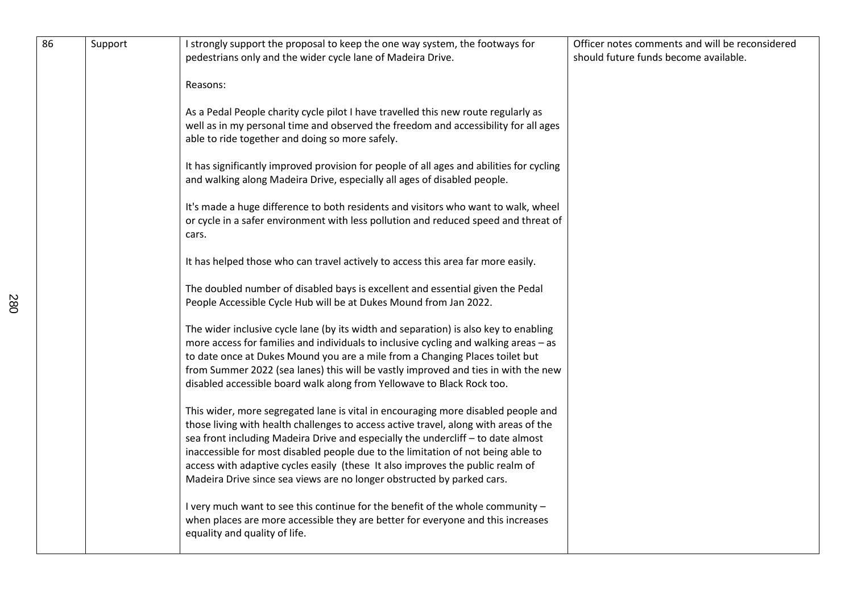| 86 | Support | I strongly support the proposal to keep the one way system, the footways for<br>pedestrians only and the wider cycle lane of Madeira Drive.                                                                                                                                                                                                                                                                                                                                                                   | Officer notes comments and will be reconsidered<br>should future funds become available. |
|----|---------|---------------------------------------------------------------------------------------------------------------------------------------------------------------------------------------------------------------------------------------------------------------------------------------------------------------------------------------------------------------------------------------------------------------------------------------------------------------------------------------------------------------|------------------------------------------------------------------------------------------|
|    |         | Reasons:                                                                                                                                                                                                                                                                                                                                                                                                                                                                                                      |                                                                                          |
|    |         | As a Pedal People charity cycle pilot I have travelled this new route regularly as<br>well as in my personal time and observed the freedom and accessibility for all ages<br>able to ride together and doing so more safely.                                                                                                                                                                                                                                                                                  |                                                                                          |
|    |         | It has significantly improved provision for people of all ages and abilities for cycling<br>and walking along Madeira Drive, especially all ages of disabled people.                                                                                                                                                                                                                                                                                                                                          |                                                                                          |
|    |         | It's made a huge difference to both residents and visitors who want to walk, wheel<br>or cycle in a safer environment with less pollution and reduced speed and threat of<br>cars.                                                                                                                                                                                                                                                                                                                            |                                                                                          |
|    |         | It has helped those who can travel actively to access this area far more easily.                                                                                                                                                                                                                                                                                                                                                                                                                              |                                                                                          |
|    |         | The doubled number of disabled bays is excellent and essential given the Pedal<br>People Accessible Cycle Hub will be at Dukes Mound from Jan 2022.                                                                                                                                                                                                                                                                                                                                                           |                                                                                          |
|    |         | The wider inclusive cycle lane (by its width and separation) is also key to enabling<br>more access for families and individuals to inclusive cycling and walking areas - as<br>to date once at Dukes Mound you are a mile from a Changing Places toilet but<br>from Summer 2022 (sea lanes) this will be vastly improved and ties in with the new<br>disabled accessible board walk along from Yellowave to Black Rock too.                                                                                  |                                                                                          |
|    |         | This wider, more segregated lane is vital in encouraging more disabled people and<br>those living with health challenges to access active travel, along with areas of the<br>sea front including Madeira Drive and especially the undercliff - to date almost<br>inaccessible for most disabled people due to the limitation of not being able to<br>access with adaptive cycles easily (these It also improves the public realm of<br>Madeira Drive since sea views are no longer obstructed by parked cars. |                                                                                          |
|    |         | I very much want to see this continue for the benefit of the whole community -<br>when places are more accessible they are better for everyone and this increases<br>equality and quality of life.                                                                                                                                                                                                                                                                                                            |                                                                                          |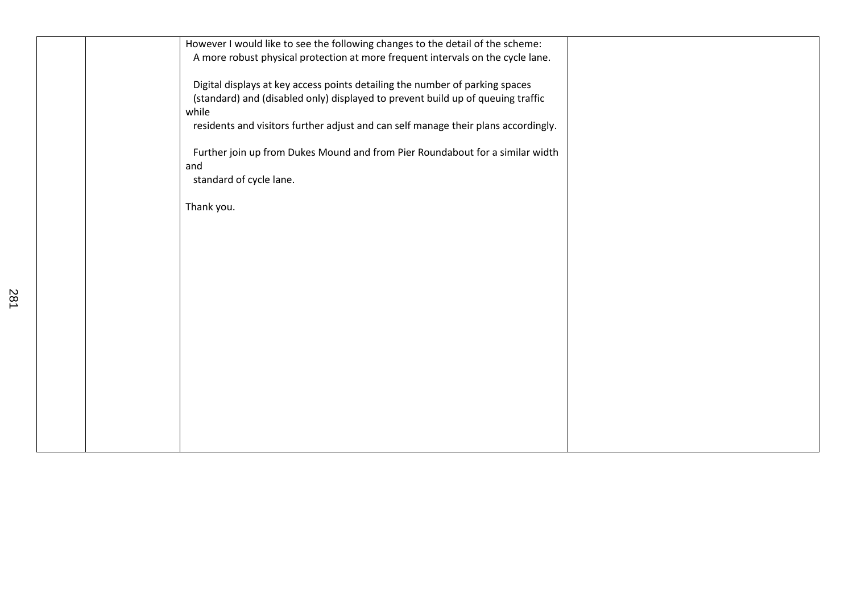| However I would like to see the following changes to the detail of the scheme:                                                                                  |  |
|-----------------------------------------------------------------------------------------------------------------------------------------------------------------|--|
| A more robust physical protection at more frequent intervals on the cycle lane.                                                                                 |  |
|                                                                                                                                                                 |  |
| Digital displays at key access points detailing the number of parking spaces<br>(standard) and (disabled only) displayed to prevent build up of queuing traffic |  |
| while                                                                                                                                                           |  |
| residents and visitors further adjust and can self manage their plans accordingly.                                                                              |  |
|                                                                                                                                                                 |  |
| Further join up from Dukes Mound and from Pier Roundabout for a similar width                                                                                   |  |
| and                                                                                                                                                             |  |
| standard of cycle lane.                                                                                                                                         |  |
| Thank you.                                                                                                                                                      |  |
|                                                                                                                                                                 |  |
|                                                                                                                                                                 |  |
|                                                                                                                                                                 |  |
|                                                                                                                                                                 |  |
|                                                                                                                                                                 |  |
|                                                                                                                                                                 |  |
|                                                                                                                                                                 |  |
|                                                                                                                                                                 |  |
|                                                                                                                                                                 |  |
|                                                                                                                                                                 |  |
|                                                                                                                                                                 |  |
|                                                                                                                                                                 |  |
|                                                                                                                                                                 |  |
|                                                                                                                                                                 |  |
|                                                                                                                                                                 |  |
|                                                                                                                                                                 |  |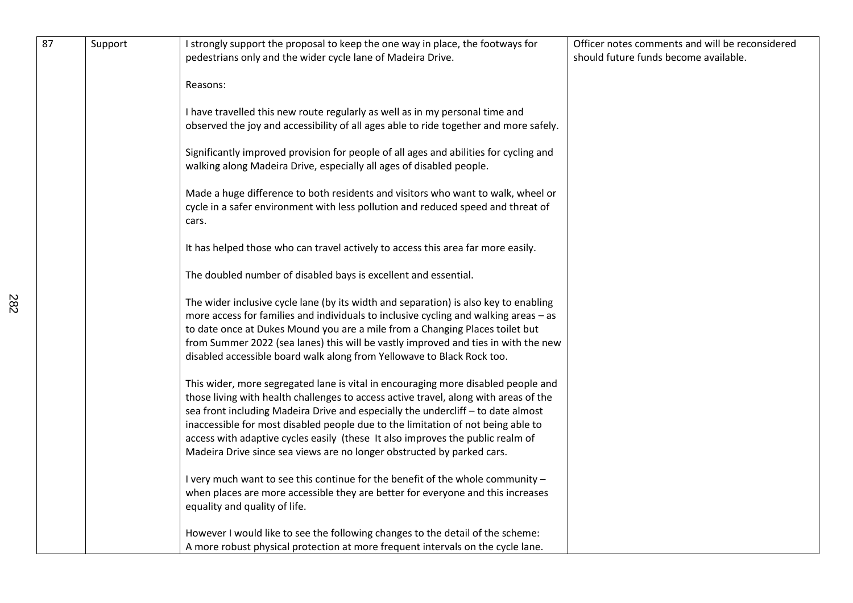| 87 | Support | I strongly support the proposal to keep the one way in place, the footways for                                                                                                                                                                                                                                                                                                                                                                                                                                | Officer notes comments and will be reconsidered |
|----|---------|---------------------------------------------------------------------------------------------------------------------------------------------------------------------------------------------------------------------------------------------------------------------------------------------------------------------------------------------------------------------------------------------------------------------------------------------------------------------------------------------------------------|-------------------------------------------------|
|    |         | pedestrians only and the wider cycle lane of Madeira Drive.                                                                                                                                                                                                                                                                                                                                                                                                                                                   | should future funds become available.           |
|    |         | Reasons:                                                                                                                                                                                                                                                                                                                                                                                                                                                                                                      |                                                 |
|    |         | I have travelled this new route regularly as well as in my personal time and<br>observed the joy and accessibility of all ages able to ride together and more safely.                                                                                                                                                                                                                                                                                                                                         |                                                 |
|    |         | Significantly improved provision for people of all ages and abilities for cycling and<br>walking along Madeira Drive, especially all ages of disabled people.                                                                                                                                                                                                                                                                                                                                                 |                                                 |
|    |         | Made a huge difference to both residents and visitors who want to walk, wheel or<br>cycle in a safer environment with less pollution and reduced speed and threat of<br>cars.                                                                                                                                                                                                                                                                                                                                 |                                                 |
|    |         | It has helped those who can travel actively to access this area far more easily.                                                                                                                                                                                                                                                                                                                                                                                                                              |                                                 |
|    |         | The doubled number of disabled bays is excellent and essential.                                                                                                                                                                                                                                                                                                                                                                                                                                               |                                                 |
|    |         | The wider inclusive cycle lane (by its width and separation) is also key to enabling<br>more access for families and individuals to inclusive cycling and walking areas - as<br>to date once at Dukes Mound you are a mile from a Changing Places toilet but<br>from Summer 2022 (sea lanes) this will be vastly improved and ties in with the new<br>disabled accessible board walk along from Yellowave to Black Rock too.                                                                                  |                                                 |
|    |         | This wider, more segregated lane is vital in encouraging more disabled people and<br>those living with health challenges to access active travel, along with areas of the<br>sea front including Madeira Drive and especially the undercliff - to date almost<br>inaccessible for most disabled people due to the limitation of not being able to<br>access with adaptive cycles easily (these It also improves the public realm of<br>Madeira Drive since sea views are no longer obstructed by parked cars. |                                                 |
|    |         | I very much want to see this continue for the benefit of the whole community -<br>when places are more accessible they are better for everyone and this increases<br>equality and quality of life.                                                                                                                                                                                                                                                                                                            |                                                 |
|    |         | However I would like to see the following changes to the detail of the scheme:<br>A more robust physical protection at more frequent intervals on the cycle lane.                                                                                                                                                                                                                                                                                                                                             |                                                 |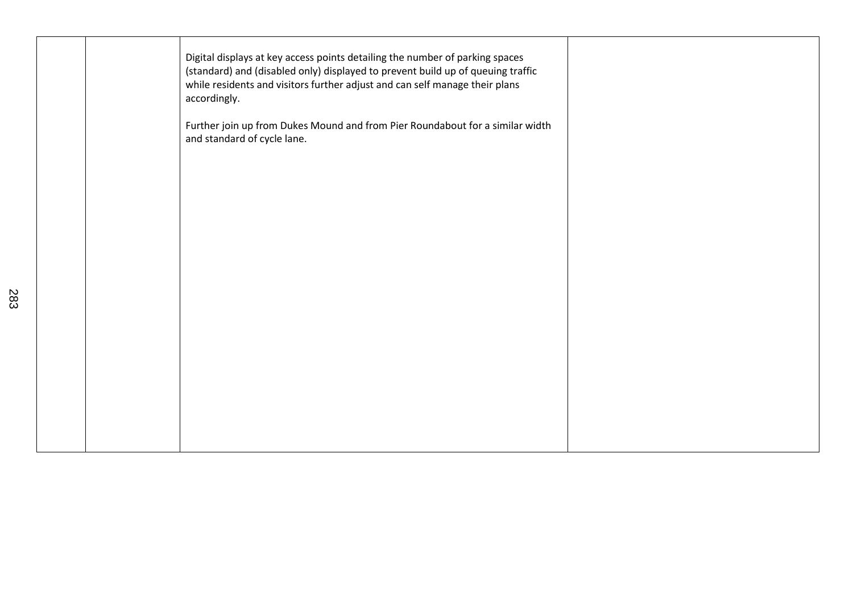|  | Digital displays at key access points detailing the number of parking spaces<br>(standard) and (disabled only) displayed to prevent build up of queuing traffic<br>while residents and visitors further adjust and can self manage their plans<br>accordingly. |  |
|--|----------------------------------------------------------------------------------------------------------------------------------------------------------------------------------------------------------------------------------------------------------------|--|
|  | Further join up from Dukes Mound and from Pier Roundabout for a similar width<br>and standard of cycle lane.                                                                                                                                                   |  |
|  |                                                                                                                                                                                                                                                                |  |
|  |                                                                                                                                                                                                                                                                |  |
|  |                                                                                                                                                                                                                                                                |  |
|  |                                                                                                                                                                                                                                                                |  |
|  |                                                                                                                                                                                                                                                                |  |
|  |                                                                                                                                                                                                                                                                |  |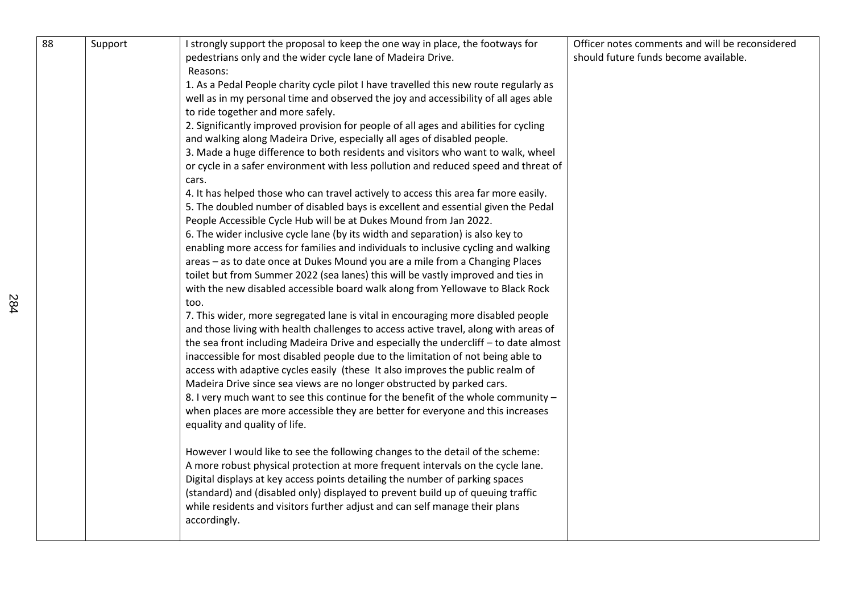| 88 | Support | I strongly support the proposal to keep the one way in place, the footways for<br>pedestrians only and the wider cycle lane of Madeira Drive.                                | Officer notes comments and will be reconsidered<br>should future funds become available. |
|----|---------|------------------------------------------------------------------------------------------------------------------------------------------------------------------------------|------------------------------------------------------------------------------------------|
|    |         | Reasons:                                                                                                                                                                     |                                                                                          |
|    |         | 1. As a Pedal People charity cycle pilot I have travelled this new route regularly as<br>well as in my personal time and observed the joy and accessibility of all ages able |                                                                                          |
|    |         | to ride together and more safely.                                                                                                                                            |                                                                                          |
|    |         | 2. Significantly improved provision for people of all ages and abilities for cycling                                                                                         |                                                                                          |
|    |         | and walking along Madeira Drive, especially all ages of disabled people.                                                                                                     |                                                                                          |
|    |         | 3. Made a huge difference to both residents and visitors who want to walk, wheel                                                                                             |                                                                                          |
|    |         | or cycle in a safer environment with less pollution and reduced speed and threat of                                                                                          |                                                                                          |
|    |         | cars.                                                                                                                                                                        |                                                                                          |
|    |         | 4. It has helped those who can travel actively to access this area far more easily.                                                                                          |                                                                                          |
|    |         | 5. The doubled number of disabled bays is excellent and essential given the Pedal                                                                                            |                                                                                          |
|    |         | People Accessible Cycle Hub will be at Dukes Mound from Jan 2022.                                                                                                            |                                                                                          |
|    |         | 6. The wider inclusive cycle lane (by its width and separation) is also key to                                                                                               |                                                                                          |
|    |         | enabling more access for families and individuals to inclusive cycling and walking                                                                                           |                                                                                          |
|    |         | areas - as to date once at Dukes Mound you are a mile from a Changing Places                                                                                                 |                                                                                          |
|    |         | toilet but from Summer 2022 (sea lanes) this will be vastly improved and ties in                                                                                             |                                                                                          |
|    |         | with the new disabled accessible board walk along from Yellowave to Black Rock                                                                                               |                                                                                          |
|    |         | too.                                                                                                                                                                         |                                                                                          |
|    |         | 7. This wider, more segregated lane is vital in encouraging more disabled people                                                                                             |                                                                                          |
|    |         | and those living with health challenges to access active travel, along with areas of                                                                                         |                                                                                          |
|    |         | the sea front including Madeira Drive and especially the undercliff - to date almost                                                                                         |                                                                                          |
|    |         | inaccessible for most disabled people due to the limitation of not being able to                                                                                             |                                                                                          |
|    |         | access with adaptive cycles easily (these It also improves the public realm of                                                                                               |                                                                                          |
|    |         | Madeira Drive since sea views are no longer obstructed by parked cars.                                                                                                       |                                                                                          |
|    |         | 8. I very much want to see this continue for the benefit of the whole community -                                                                                            |                                                                                          |
|    |         | when places are more accessible they are better for everyone and this increases                                                                                              |                                                                                          |
|    |         | equality and quality of life.                                                                                                                                                |                                                                                          |
|    |         | However I would like to see the following changes to the detail of the scheme:                                                                                               |                                                                                          |
|    |         | A more robust physical protection at more frequent intervals on the cycle lane.                                                                                              |                                                                                          |
|    |         | Digital displays at key access points detailing the number of parking spaces                                                                                                 |                                                                                          |
|    |         | (standard) and (disabled only) displayed to prevent build up of queuing traffic                                                                                              |                                                                                          |
|    |         | while residents and visitors further adjust and can self manage their plans                                                                                                  |                                                                                          |
|    |         | accordingly.                                                                                                                                                                 |                                                                                          |
|    |         |                                                                                                                                                                              |                                                                                          |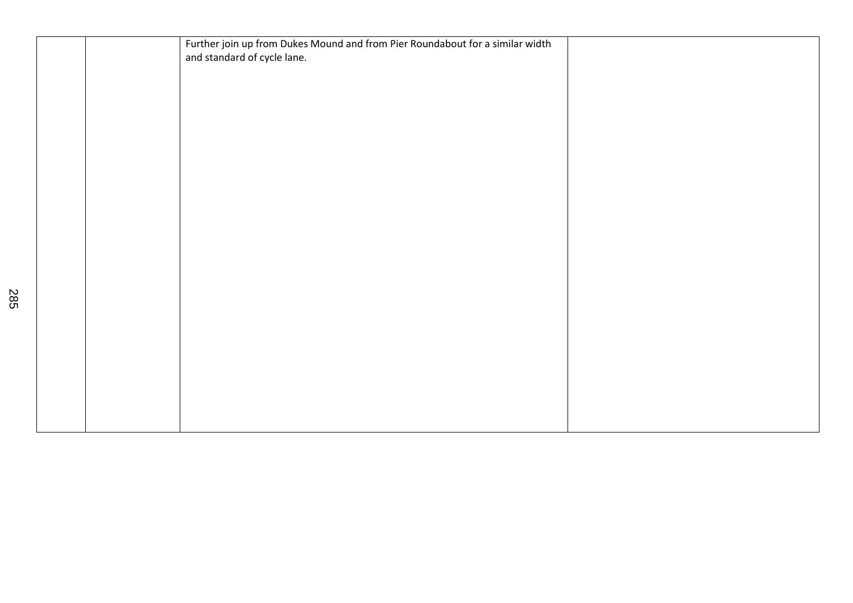|  | Further join up from Dukes Mound and from Pier Roundabout for a similar width |  |
|--|-------------------------------------------------------------------------------|--|
|  | and standard of cycle lane.                                                   |  |
|  |                                                                               |  |
|  |                                                                               |  |
|  |                                                                               |  |
|  |                                                                               |  |
|  |                                                                               |  |
|  |                                                                               |  |
|  |                                                                               |  |
|  |                                                                               |  |
|  |                                                                               |  |
|  |                                                                               |  |
|  |                                                                               |  |
|  |                                                                               |  |
|  |                                                                               |  |
|  |                                                                               |  |
|  |                                                                               |  |
|  |                                                                               |  |
|  |                                                                               |  |
|  |                                                                               |  |
|  |                                                                               |  |
|  |                                                                               |  |
|  |                                                                               |  |
|  |                                                                               |  |
|  |                                                                               |  |
|  |                                                                               |  |
|  |                                                                               |  |
|  |                                                                               |  |
|  |                                                                               |  |
|  |                                                                               |  |
|  |                                                                               |  |
|  |                                                                               |  |
|  |                                                                               |  |
|  |                                                                               |  |
|  |                                                                               |  |
|  |                                                                               |  |
|  |                                                                               |  |
|  |                                                                               |  |
|  |                                                                               |  |
|  |                                                                               |  |
|  |                                                                               |  |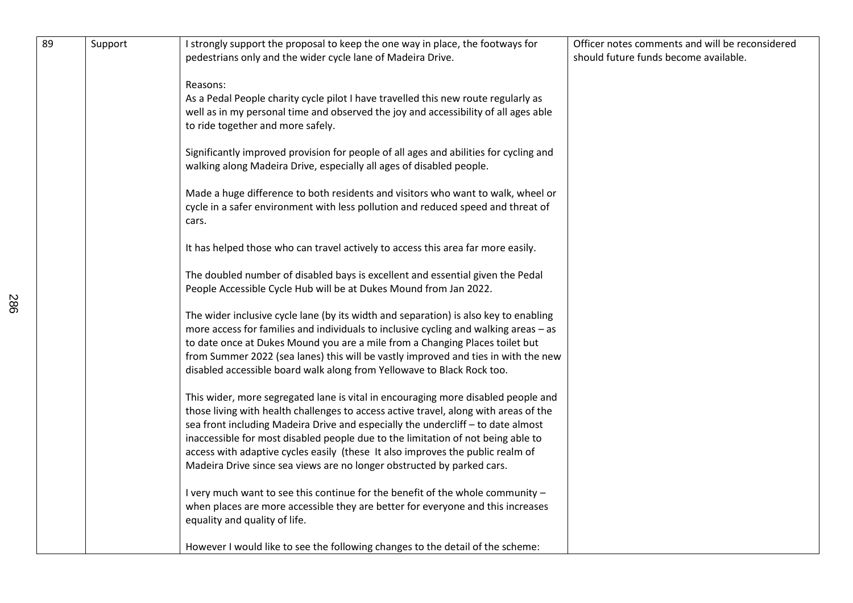| 89 | Support | I strongly support the proposal to keep the one way in place, the footways for<br>pedestrians only and the wider cycle lane of Madeira Drive.                                                                                                                                                                                                                                                                                                                                                                 | Officer notes comments and will be reconsidered<br>should future funds become available. |
|----|---------|---------------------------------------------------------------------------------------------------------------------------------------------------------------------------------------------------------------------------------------------------------------------------------------------------------------------------------------------------------------------------------------------------------------------------------------------------------------------------------------------------------------|------------------------------------------------------------------------------------------|
|    |         | Reasons:<br>As a Pedal People charity cycle pilot I have travelled this new route regularly as<br>well as in my personal time and observed the joy and accessibility of all ages able<br>to ride together and more safely.                                                                                                                                                                                                                                                                                    |                                                                                          |
|    |         | Significantly improved provision for people of all ages and abilities for cycling and<br>walking along Madeira Drive, especially all ages of disabled people.                                                                                                                                                                                                                                                                                                                                                 |                                                                                          |
|    |         | Made a huge difference to both residents and visitors who want to walk, wheel or<br>cycle in a safer environment with less pollution and reduced speed and threat of<br>cars.                                                                                                                                                                                                                                                                                                                                 |                                                                                          |
|    |         | It has helped those who can travel actively to access this area far more easily.                                                                                                                                                                                                                                                                                                                                                                                                                              |                                                                                          |
|    |         | The doubled number of disabled bays is excellent and essential given the Pedal<br>People Accessible Cycle Hub will be at Dukes Mound from Jan 2022.                                                                                                                                                                                                                                                                                                                                                           |                                                                                          |
|    |         | The wider inclusive cycle lane (by its width and separation) is also key to enabling<br>more access for families and individuals to inclusive cycling and walking areas - as<br>to date once at Dukes Mound you are a mile from a Changing Places toilet but<br>from Summer 2022 (sea lanes) this will be vastly improved and ties in with the new<br>disabled accessible board walk along from Yellowave to Black Rock too.                                                                                  |                                                                                          |
|    |         | This wider, more segregated lane is vital in encouraging more disabled people and<br>those living with health challenges to access active travel, along with areas of the<br>sea front including Madeira Drive and especially the undercliff - to date almost<br>inaccessible for most disabled people due to the limitation of not being able to<br>access with adaptive cycles easily (these It also improves the public realm of<br>Madeira Drive since sea views are no longer obstructed by parked cars. |                                                                                          |
|    |         | I very much want to see this continue for the benefit of the whole community -<br>when places are more accessible they are better for everyone and this increases<br>equality and quality of life.                                                                                                                                                                                                                                                                                                            |                                                                                          |
|    |         | However I would like to see the following changes to the detail of the scheme:                                                                                                                                                                                                                                                                                                                                                                                                                                |                                                                                          |

286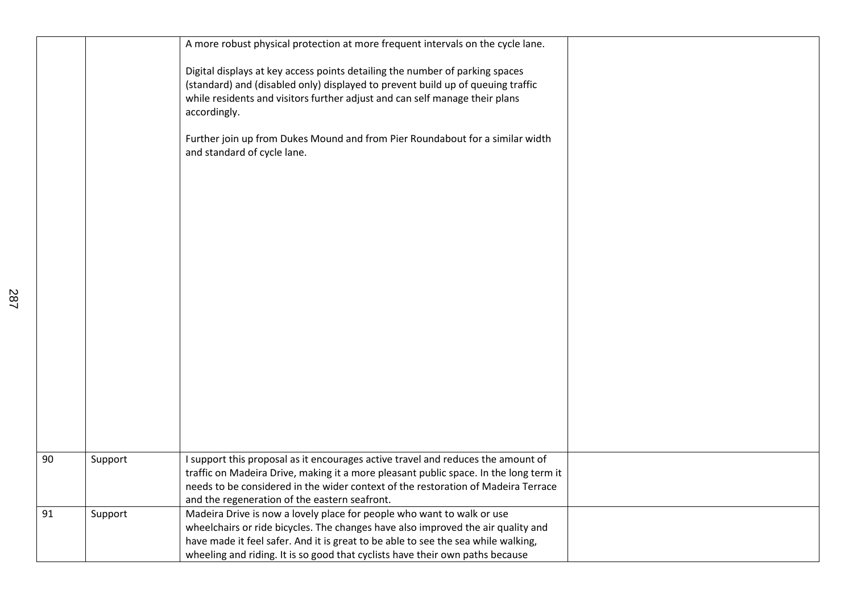|    |         | A more robust physical protection at more frequent intervals on the cycle lane.                                                                                                                                                                                |  |
|----|---------|----------------------------------------------------------------------------------------------------------------------------------------------------------------------------------------------------------------------------------------------------------------|--|
|    |         | Digital displays at key access points detailing the number of parking spaces<br>(standard) and (disabled only) displayed to prevent build up of queuing traffic<br>while residents and visitors further adjust and can self manage their plans<br>accordingly. |  |
|    |         | Further join up from Dukes Mound and from Pier Roundabout for a similar width<br>and standard of cycle lane.                                                                                                                                                   |  |
|    |         |                                                                                                                                                                                                                                                                |  |
|    |         |                                                                                                                                                                                                                                                                |  |
|    |         |                                                                                                                                                                                                                                                                |  |
|    |         |                                                                                                                                                                                                                                                                |  |
|    |         |                                                                                                                                                                                                                                                                |  |
|    |         |                                                                                                                                                                                                                                                                |  |
|    |         |                                                                                                                                                                                                                                                                |  |
| 90 | Support | I support this proposal as it encourages active travel and reduces the amount of<br>traffic on Madeira Drive, making it a more pleasant public space. In the long term it                                                                                      |  |
|    |         | needs to be considered in the wider context of the restoration of Madeira Terrace<br>and the regeneration of the eastern seafront.                                                                                                                             |  |
| 91 | Support | Madeira Drive is now a lovely place for people who want to walk or use<br>wheelchairs or ride bicycles. The changes have also improved the air quality and                                                                                                     |  |
|    |         | have made it feel safer. And it is great to be able to see the sea while walking,<br>wheeling and riding. It is so good that cyclists have their own paths because                                                                                             |  |